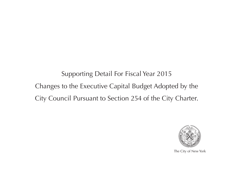Supporting Detail For Fiscal Year 2015 Changes to the Executive Capital Budget Adopted by the City Council Pursuant to Section 254 of the City Charter.



The City of New York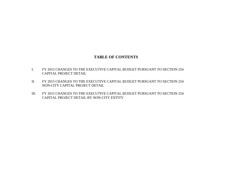# **TABLE OF CONTENTS**

- I. FY 2015 CHANGES TO THE EXECUTIVE CAPITAL BUDGET PURSUANT TO SECTION 254 CAPITAL PROJECT DETAIL
- II. FY 2015 CHANGES TO THE EXECUTIVE CAPITAL BUDGET PURSUANT TO SECTION 254 NON-CITY CAPITAL PROJECT DETAIL
- III. FY 2015 CHANGES TO THE EXECUTIVE CAPITAL BUDGET PURSUANT TO SECTION 254 CAPITAL PROJECT DETAIL BY NON-CITY ENTITY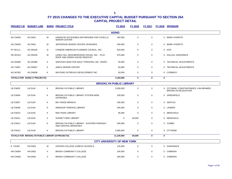| <b>PROJECT ID</b> | <b>BUDGET LINE</b>            |              | <b>BORO PROJECT TITLE</b>                                                  | FY 2015      | FY 2016 | <b>FY 2017</b> | <b>FY 2018</b> | <b>SPONSOR</b>          |
|-------------------|-------------------------------|--------------|----------------------------------------------------------------------------|--------------|---------|----------------|----------------|-------------------------|
|                   |                               |              |                                                                            | <b>AGING</b> |         |                |                |                         |
| AG CN003          | <b>AG D001</b>                | M            | HANDICAP-ACCESSIBLE BATHROOMS FOR COVELLO<br><b>SENIOR CENTER</b>          | 400,000      | 0       | 0              |                | 0 MARK-VIVERITO         |
| AG CN004          | <b>AG D001</b>                | M            | JEFFERSON SENIOR CENTER UPGRADES                                           | 450,000      | 0       | 0              |                | 0 MARK-VIVERITO         |
| <b>PV NC111</b>   | <b>AG DN100</b>               | Q            | CHINESE-AMERICAN PLANNING COUNCIL, INC.                                    | 503,000      | 0       | 0              |                | 0 KOO                   |
| HD NC013          | <b>AG DN235</b>               | M            | LENOX HILL NEIGHBORHOOD HOUSE, INC. - PLAY<br>ROOF AND GREEN HOUSE RENOVAT | 675,000      | 0       | 0              |                | 0 KALLOS, GARODNICK     |
| AG DN380          | <b>AG DN380</b>               | $\mathsf{A}$ | SERVICES NOW FOR ADULT PERSONS, INC. (SNAP)                                | 55,000       | 0       | $\mathbf 0$    |                | 0 TECHNICAL ADJUSTMENTS |
| AG TA001          | AG DN837                      | K            | AMICO SENIOR CENTER                                                        | 50,000       | 0       | 0              |                | 0 TECHNICAL ADJUSTMENTS |
| AG NC002          | AG DN838                      | K            | WAYSIDE OUTREACH DEVELOPMENT INC.                                          | 50,000       | 0       | 0              |                | 0 CORNEGY               |
|                   | TOTALS FOR AGING (7 PROJECTS) |              |                                                                            | 2,183,000    | 0       | 0              | 0              |                         |

|                 |                |   |                                                                   | <b>BROOKLYN PUBLIC LIBRARY</b>     |             |             |                                                                       |
|-----------------|----------------|---|-------------------------------------------------------------------|------------------------------------|-------------|-------------|-----------------------------------------------------------------------|
| LB CN002        | LB D104        | K | <b>BROOKLYN PUBLIC LIBRARY</b>                                    | 5,000,000                          | $\mathbf 0$ | $\mathbf 0$ | 0 CITYWIDE, CONSTANTINIDES, VAN BRAMER,<br><b>BROOKLYN DELEGATION</b> |
| LB CN004        | LB D104        | K | BROOKLYN PUBLIC LIBRARY SYSTEM-WIDE<br><b>UPGRADES</b>            | 200,000                            | 0           | $\mathbf 0$ | 0 GREENFIELD                                                          |
| LB CN007        | LB D104        | K | <b>BAY RIDGE BRANCH</b>                                           | 200,000                            | 0           | 0           | 0 GENTILE                                                             |
| LB CN009        | LB D104        | Κ | <b>WINDSOR TERRACE LIBRARY</b>                                    | 250,000                            | 0           | 0           | 0 LANDER                                                              |
| LB CN010        | LB D104        | Κ | <b>RED HOOK LIBRARY</b>                                           | 85,000                             | $\mathbf 0$ | $\mathbf 0$ | 0 MENCHACA                                                            |
| LB CN011        | LB D104        | Κ | <b>SUNSET PARK LIBRARY</b>                                        | 0                                  | 60,000      | 0           | 0 MENCHACA                                                            |
| <b>LB CN012</b> | <b>LB D104</b> | K | BROOKLYN PUBLIC LIBRARY - EASTERN PARKWAY<br>AND CENTRAL BRANCHES | 500,000                            | 0           | $\mathbf 0$ | 0 CUMBO                                                               |
| LB CN013        | LB D104        | Κ | <b>BROOKLYN PUBLIC LIBRARY</b>                                    | 5,000,000                          | $\mathbf 0$ | $\mathbf 0$ | 0 CITYWIDE                                                            |
|                 |                |   | TOTALS FOR BROOKLYN PUBLIC LIBRARY (8 PROJECTS)                   | 11,235,000                         | 60,000      | 0           | 0                                                                     |
|                 |                |   |                                                                   | <b>CITY UNIVERSITY OF NEW YORK</b> |             |             |                                                                       |
| E CN182         | <b>HN D002</b> | М | HUNTER COLLEGE CAMPUS SCHOOLS                                     | 125,000                            | 0           | $\mathbf 0$ | 0 GARODNICK                                                           |
| HN CN004        | <b>HN D002</b> | X | <b>BRONX COMMUNITY COLLEGE</b>                                    | 200,000                            | 0           | 0           | 0 CABRERA                                                             |
| HN CN005        | <b>HN D002</b> | X | <b>BRONX COMMUNITY COLLEGE</b>                                    | 450,000                            | 0           | $\mathbf 0$ | 0 CABRERA                                                             |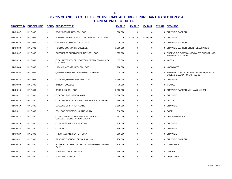| <b>PROJECT ID</b> | <b>BUDGET LINE</b> | <b>BORO</b> | <b>PROJECT TITLE</b>                                             | FY 2015     | <b>FY 2016</b> | <b>FY 2017</b> | FY 2018 SPONSOR                                                          |
|-------------------|--------------------|-------------|------------------------------------------------------------------|-------------|----------------|----------------|--------------------------------------------------------------------------|
| HN CN007          | <b>HN D002</b>     | X           | BRONX COMMUNITY COLLEGE                                          | 300,000     | $\pmb{0}$      | $\mathbf 0$    | 0 CITYWIDE, BARRON                                                       |
| HN CN028          | <b>HN D002</b>     | X           | EUGENIO MARIA DE HOSTOS COMMUNITY COLLEGE                        | $\mathbf 0$ | 5,000,000      | 5,000,000      | 0 CITYWIDE                                                               |
| HN CN032          | <b>HN D002</b>     | M           | <b>GUTTMAN COMMUNITY COLLEGE</b>                                 | 35,000      | 0              | 0              | 0 CITYWIDE, BARRON                                                       |
| HN CN033          | <b>HN D002</b>     | X           | <b>HOSTOS COMMUNITY COLLEGE</b>                                  | 1,500,000   | $\mathbf 0$    | $\mathbf 0$    | 0 CITYWIDE, BARRON, BRONX DELEGATION                                     |
| HN CN067          | <b>HN D002</b>     | Q           | QUEENSBOROUGH COMMUNITY COLLEGE                                  | 375,000     | 0              | $\mathbf 0$    | 0 QUEENS DELEGATION, CROWLEY, DROMM, KOO,<br>KOSLOWITZ, ULRICH           |
| HN CN016          | <b>HN D003</b>     | X           | CITY UNIVERSITY OF NEW YORK BRONX COMMUNITY<br><b>COLLEGE</b>    | 35,000      | 0              | 0              | 0 VACCA                                                                  |
| HN CN043          | <b>HN D003</b>     | Q           | LAGUADIA COMMUNITY COLLEGE                                       | 100,000     | $\mathbf 0$    | $\mathbf 0$    | 0 KOSLOWITZ                                                              |
| HN CN053          | <b>HN D005</b>     | Q           | QUEENS BOROUGH COMMUNITY COLLEGE                                 | 475,000     | $\mathbf 0$    | $\mathbf 0$    | 0 KOSLOWITZ, KOO, DROMM, CROWLEY, ULRICH,<br>QUEENS DELEGATION, CITYWIDE |
| HN CN078          | <b>HN D005</b>     | X           | CUNY REQUIRED APPROPRIATION                                      | 8,750,000   | $\mathbf 0$    | $\mathbf 0$    | 0 CITYWIDE                                                               |
| HN CN003          | <b>HN D300</b>     | M           | <b>BARUCH COLLEGE</b>                                            | 75,000      | $\mathbf 0$    | $\mathbf 0$    | 0 MENDEZ                                                                 |
| HN CN010          | <b>HN D300</b>     | Κ           | <b>BROOKLYN COLLEGE</b>                                          | 2,000,000   | 0              | $\mathbf 0$    | 0 CITYWIDE, BARRON, WILLIAMS, MAISEL                                     |
| HN CN012          | <b>HN D300</b>     | М           | CITY COLLEGE OF NEW YORK                                         | 3,000,000   | 0              | $\mathbf 0$    | 0 CITYWIDE                                                               |
| HN CN015          | <b>HN D300</b>     | X           | CITY UNIVERSITY OF NEW YORK BARUCH COLLEGE                       | 150,000     | 0              | 0              | 0 VACCA                                                                  |
| HN CN019          | <b>HN D300</b>     | R           | COLLEGE OF STATEN ISLAND                                         | 1,500,000   | $\mathbf 0$    | $\mathbf 0$    | 0 CITYWIDE                                                               |
| HN CN021          | <b>HN D300</b>     | R           | COLLEGE OF STATEN ISLAND, CUNY                                   | 510,000     | $\mathbf 0$    | $\mathbf 0$    | 0 ROSE                                                                   |
| HN CN024          | <b>HN D300</b>     | Q           | CUNY QUEENS COLLEGE MOLECULAR AND<br>CELLULAR BIOLOGY LABORATORY | 183,000     | $\mathbf 0$    | $\mathbf 0$    | 0 CONSTANTINIDES                                                         |
| HN CN025          | <b>HN D300</b>     | M           | CUNY RESEARCH FOUNDATION                                         | 150,000     | $\mathbf 0$    | 0              | 0 CITYWIDE                                                               |
| HN CN026          | <b>HN D300</b>     | M           | <b>CUNY TV</b>                                                   | 500,000     | 0              | $\mathbf 0$    | 0 CITYWIDE                                                               |
| HN CN029          | <b>HN D300</b>     | М           | THE GRADUATE CENTER, CUNY                                        | 500,000     | $\mathbf 0$    | $\mathbf 0$    | 0 CITYWIDE                                                               |
| HN CN031          | <b>HN D300</b>     | M           | <b>GRADUATE SCHOOL OF JOURNALISM</b>                             | 250,000     | $\mathbf 0$    | $\mathbf 0$    | 0 CITYWIDE, BARRON                                                       |
| HN CN036          | <b>HN D300</b>     | M           | HUNTER COLLEGE OF THE CITY UNIVERSITY OF NEW<br><b>YORK</b>      | 375,000     | $\mathbf 0$    | 0              | 0 GARODNICK                                                              |
| HN CN037          | <b>HN D300</b>     | Κ           | JOHN JAY CAMPUS PLAZA                                            | 150,000     | $\mathbf 0$    | $\mathbf 0$    | 0 LANDER                                                                 |
| HN CN040          | <b>HN D300</b>     | M           | JOHN JAY COLLEGE                                                 | 250,000     | $\mathbf 0$    | $\mathbf 0$    | 0 ROSENTHAL                                                              |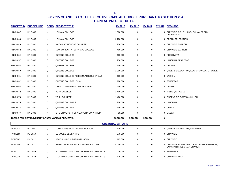| <b>PROJECT ID</b>                                    | <b>BUDGET LINE</b> |   | <b>BORO PROJECT TITLE</b>             | <b>FY 2015</b> | <b>FY 2016</b> | <b>FY 2017</b> |          | FY 2018 SPONSOR                                            |
|------------------------------------------------------|--------------------|---|---------------------------------------|----------------|----------------|----------------|----------|------------------------------------------------------------|
| HN CN047                                             | <b>HN D300</b>     | X | LEHMAN COLLEGE                        | 1,500,000      | 0              | 0              |          | 0 CITYWIDE, COHEN, KING, PALMA, BRONX<br><b>DELEGATION</b> |
| HN CN048                                             | <b>HN D300</b>     | X | LEHMAN COLLEGE                        | 2,700,000      | 0              | 0              | $\Omega$ | <b>BRONX DELEGATION</b>                                    |
| HN CN049                                             | <b>HN D300</b>     | M | MACAULAY HONORS COLLEGE               | 250,000        | 0              | 0              |          | 0 CITYWIDE, BARRON                                         |
| <b>HN CN052</b>                                      | <b>HN D300</b>     | M | NEW YORK CITY TECHNICAL COLLEGE       | 400,000        | 0              | 0              |          | 0 CITYWIDE, BARRON                                         |
| HN CN054                                             | <b>HN D300</b>     | Q | QUEENS COLLEGE                        | 100,000        | 0              | 0              |          | 0 KOSLOWITZ                                                |
| HN CN057                                             | <b>HN D300</b>     | Q | QUEENS COLLEGE                        | 250,000        | 0              | 0              |          | 0 LANCMAN, FERRERAS                                        |
| <b>HN CN058</b>                                      | <b>HN D300</b>     | Q | QUEENS COLLEGE                        | 100,000        | 0              | 0              |          | 0 DROMM                                                    |
| HN CN059                                             | <b>HN D300</b>     | Q | QUEENS COLLEGE                        | 1,200,000      | 0              | 0              |          | 0 QUEENS DELEGATION, KOO, CROWLEY, CITYWIDE                |
| HN CN061                                             | <b>HN D300</b>     | Q | QUEENS COLLEGE MOLECULAR BIOLOGY LAB  | 100,000        | 0              | 0              |          | 0 WEPRIN                                                   |
| HN CN062                                             | <b>HN D300</b>     | Q | QUEENS COLLEGE, CUNY                  | 100,000        | 0              | 0              |          | 0 FERRERAS                                                 |
| HN CN068                                             | <b>HN D300</b>     | M | THE CITY UNIVERSITY OF NEW YORK       | 200,000        | 0              | 0              |          | 0 LEVINE                                                   |
| HN CN072                                             | <b>HN D300</b>     | Q | YORK COLLEGE                          | 1,400,000      | 0              | 0              |          | 0 MILLER, CITYWIDE                                         |
| HN CN073                                             | <b>HN D300</b>     | Q | YORK COLLEGE                          | 1,400,000      | 0              | 0              |          | 0 QUEENS DELEGATION, MILLER                                |
| HN CN075                                             | <b>HN D300</b>     | Q | QUEENS COLLEGE 2                      | 250,000        | 0              | 0              |          | 0 LANCMAN                                                  |
| HN CN076                                             | <b>HN D300</b>     | Q | QUEENS COLLEGE                        | 100,000        | 0              | 0              |          | 0 ULRICH                                                   |
| HN CN077                                             | <b>HN D300</b>     | X | CITY UNIVERSITY OF NEW YORK CUNY PREP | 35,000         | 0              | 0              |          | 0 VACCA                                                    |
| TOTALS FOR CITY UNIVERSITY OF NEW YORK (42 PROJECTS) |                    |   |                                       |                | 5,000,000      | 5,000,000      | 0        |                                                            |

|                 | <b>CULTURAL AFFAIRS</b> |    |                                          |           |   |   |                                                                              |  |  |  |
|-----------------|-------------------------|----|------------------------------------------|-----------|---|---|------------------------------------------------------------------------------|--|--|--|
| <b>PV NC124</b> | <b>PV D001</b>          | Q  | LOUIS ARMSTRONG HOUSE MUSEUM             | 430,000   | 0 | 0 | 0 QUEENS DELEGATION, FERRERAS                                                |  |  |  |
| <b>PV NC159</b> | <b>PV D018</b>          | м  | EL MUSEO DEL BARRIO                      | 375,000   | 0 | 0 | 0 CITYWIDE                                                                   |  |  |  |
| <b>PV NC165</b> | <b>PV D022</b>          | K. | BROOKLYN CHILDREN'S MUSEUM               | 125,000   | 0 | 0 | 0 CITYWIDE                                                                   |  |  |  |
| <b>PV NC106</b> | <b>PV D034</b>          | м  | AMERICAN MUSEUM OF NATURAL HISTORY       | 4,000,000 | 0 | 0 | 0 CITYWIDE, ROSENTHAL, CHIN, LEVINE, FERRERAS,<br>CONSTANTINIDES, VAN BRAMER |  |  |  |
| PV NC017        | <b>PV D040</b>          | Q  | FLUSHING COUNCIL ON CULTURE AND THE ARTS | 70.000    | 0 | 0 | 0 FERRERAS                                                                   |  |  |  |
| PV NC019        | <b>PV D040</b>          | Q  | FLUSHING COUNCIL ON CULTURE AND THE ARTS | 125,000   | 0 | 0 | 0 CITYWIDE, KOO                                                              |  |  |  |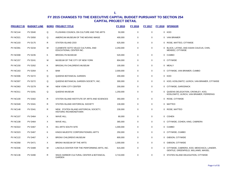| <b>PROJECT ID</b> | <b>BUDGET LINE</b> |          | <b>BORO PROJECT TITLE</b>                                              | FY 2015   | <b>FY 2016</b> | <b>FY 2017</b> |              | FY 2018 SPONSOR                                                                      |
|-------------------|--------------------|----------|------------------------------------------------------------------------|-----------|----------------|----------------|--------------|--------------------------------------------------------------------------------------|
| <b>PV NC144</b>   | <b>PV D040</b>     | Q        | FLUSHING COUNCIL ON CULTURE AND THE ARTS                               | 50,000    | $\Omega$       | $\mathbf 0$    |              | 0 KOO                                                                                |
| <b>PV NC021</b>   | <b>PV D050</b>     | Q        | AMERICAN MUSEUM OF THE MOVING IMAGE                                    | 400,000   | $\Omega$       | $\mathbf 0$    |              | 0 VAN BRAMER                                                                         |
| <b>PV NC103</b>   | <b>PV D175</b>     | R        | STATEN ISLAND ZOO                                                      | 625,000   | 0              | $\mathbf 0$    |              | 0 ROSE, MATTEO, CITYWIDE                                                             |
| <b>PV NC091</b>   | <b>PV D234</b>     | M        | CLEMENTE SOTO VELEZ CULTURAL AND<br>EDUCATIONAL CENTER INC.            | 2,250,000 | 0              | $\mathbf 0$    |              | 0 BLACK, LATINO, AND ASIAN CAUCUS, CHIN,<br>MENDEZ, CITYWIDE                         |
| <b>PV NC008</b>   | <b>PV D235</b>     | K        | <b>BROOKLYN MUSEUM</b>                                                 | 520,000   | 0              | $\mathbf 0$    |              | 0 CUMBO                                                                              |
| <b>PV NC157</b>   | <b>PV D241</b>     | M        | MUSEUM OF THE CITY OF NEW YORK                                         | 804,000   | $\mathbf 0$    | $\mathbf 0$    |              | 0 CITYWIDE                                                                           |
| <b>PV NC150</b>   | <b>PV D262</b>     | K        | <b>BROOKLYN CHILDREN'S MUSEUM</b>                                      | 100,000   | 0              | 0              |              | 0 MEALY                                                                              |
| <b>PV NC163</b>   | <b>PV D264</b>     | K        | <b>BAM</b>                                                             | 2,000,000 | 0              | $\mathbf 0$    |              | 0 CITYWIDE, VAN BRAMER, CUMBO                                                        |
| <b>PV NC006</b>   | <b>PV D272</b>     | Q        | QUEENS BOTANICAL GARDEN                                                | 200,000   | $\mathbf 0$    | $\mathbf 0$    |              | 0 KOO                                                                                |
| PV NC007          | <b>PV D272</b>     | Q        | QUEENS BOTANICAL GARDEN SOCIETY, INC.                                  | 300,000   | 0              | $\mathbf 0$    |              | 0 KOO, KOSLOWITZ, ULRICH, VAN BRAMER, CITYWIDE                                       |
| <b>PV NC063</b>   | <b>PV D279</b>     | М        | NEW YORK CITY CENTER                                                   | 200,000   | 0              | $\mathbf 0$    |              | 0 CITYWIDE, GARODNICK                                                                |
| <b>PV NC011</b>   | <b>PV D291</b>     | Q        | QUEENS MUSEUM                                                          | 1,250,000 | 0              | 0              |              | 0 QUEENS DELEGATION, CROWLEY, KOO,<br>KOSLOWITZ, ULRICH, VAN BRAMER, FERRERAS        |
| <b>PV NC100</b>   | <b>PV D302</b>     | R.       | STATEN ISLAND INSTITUTE OF ARTS AND SCIENCES                           | 350,000   | $\mathbf 0$    | 0              |              | 0 ROSE, CITYWIDE                                                                     |
| <b>PV NC049</b>   | <b>PV D341</b>     | R        | STATEN ISLAND HISTORICAL SOCIETY                                       | 130,000   | 0              | 0              |              | 0 MATTEO                                                                             |
| <b>PV NC148</b>   | <b>PV D341</b>     | R        | NEW: STATEN ISLAND HISTORICAL SOCIETY,<br><b>HISTORIC RICHMONDTOWN</b> | 230,000   | 0              | $\Omega$       |              | 0 ROSE, MATTEO                                                                       |
| <b>PV NC107</b>   | <b>PV D464</b>     | X        | <b>WAVE HILL</b>                                                       | 80,000    | 0              | $\mathbf 0$    |              | 0 COHEN                                                                              |
| <b>PV NC108</b>   | <b>PV D464</b>     | X        | <b>WAVE HILL</b>                                                       | 365,000   | $\mathbf 0$    | $\mathbf 0$    |              | 0 CITYWIDE, COHEN, KING, CABRERA                                                     |
| <b>PV NC022</b>   | <b>PV D467</b>     | K        | 651 ARTS SOUTH SITE                                                    | 1,000,000 | 0              | $\mathbf 0$    |              | 0 CUMBO                                                                              |
| <b>PV NC023</b>   | <b>PV D467</b>     | K        | KINGS MAJESTIC CORPORATION/651 ART'S                                   | 250,000   | $\Omega$       | $\mathbf 0$    |              | 0 CITYWIDE, CUMBO                                                                    |
| <b>PV NC122</b>   | <b>PV D467</b>     | $\times$ | <b>BRONX CHILDREN'S MUSEUM</b>                                         | 800,000   | 0              | $\mathbf 0$    |              | 0 GIBSON, CITYWIDE                                                                   |
| <b>PV NC058</b>   | <b>PV D471</b>     | $\times$ | BRONX MUSEUM OF THE ARTS                                               | 1,000,000 | 0              | $\mathbf 0$    | $\mathbf{0}$ | GIBSON, CITYWIDE                                                                     |
| <b>PV NC046</b>   | <b>PV D489</b>     | M        | LINCOLN CENTER FOR THE PERFORMING ARTS, INC.                           | 615,000   | 0              | $\mathbf 0$    |              | 0 CITYWIDE, CABRERA, KOO, MENCHACA, LANDER,<br>GENTILE, GREENFIELD, WILLIAMS, MAISEL |
| <b>PV NC136</b>   | <b>PV D490</b>     | R.       | SNUG HARBOR CULTURAL CENTER & BOTANICAL<br><b>GARDEN</b>               | 3,710,000 | 0              | $\mathbf 0$    |              | 0 STATEN ISLAND DELEGATION, CITYWIDE                                                 |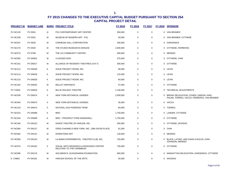| <b>PROJECT ID</b> | <b>BUDGET LINE</b> |          | <b>BORO PROJECT TITLE</b>                                           | FY 2015   | FY 2016 | FY 2017     |              | FY 2018 SPONSOR                                                                      |
|-------------------|--------------------|----------|---------------------------------------------------------------------|-----------|---------|-------------|--------------|--------------------------------------------------------------------------------------|
| <b>PV NC120</b>   | <b>PV D501</b>     | Q        | PS1 CONTEMPORARY ART CENTER                                         | 300,000   | 0       | 0           | $\mathbf{0}$ | VAN BRAMER                                                                           |
| <b>PV NC158</b>   | <b>PV D501</b>     | М        | MUSEUM OF MODERN ART - PS1                                          | 50,000    | 0       | 0           |              | 0 VAN BRAMER, CITYWIDE                                                               |
| PV NC047          | <b>PV D503</b>     | м        | CARNEGIE HALL CORPORATION                                           | 200,000   | 0       | 0           | $\mathbf{0}$ | <b>GARODNICK</b>                                                                     |
| <b>PV NC170</b>   | <b>PV D525</b>     | М        | THE STUDIO MUSEUM IN HARLEM                                         | 2,000,000 | 0       | 0           |              | 0 CITYWIDE, FERRERAS                                                                 |
| PV NC073          | <b>PV D788</b>     | М        | THE 122 COMMUNITY CENTER                                            | 300,000   | 0       | 0           |              | 0 MENDEZ                                                                             |
| <b>PV NC093</b>   | PV DN001           | М        | 3 LEGGED DOG                                                        | 375,000   | 0       | 0           |              | 0 CITYWIDE, CHIN                                                                     |
| <b>PV NC161</b>   | PV DN017           | М        | ALLIANCE OF RESIDENT THEATRES (A.R.T)                               | 300,000   | 0       | $\mathbf 0$ |              | 0 CITYWIDE                                                                           |
| <b>PV NC112</b>   | PV DN028           | Κ        | <b>ISSUE PROJECT ROOM, INC.</b>                                     | 68,000    | 0       | 0           |              | 0 LEVIN                                                                              |
| <b>PV NC114</b>   | <b>PV DN028</b>    | Κ        | <b>ISSUE PROJECT ROOM, INC.</b>                                     | 110,000   | 0       | 0           |              | 0 LEVIN                                                                              |
| <b>PV NC115</b>   | <b>PV DN028</b>    | Κ        | <b>ISSUE PROJECT ROOM, INC.</b>                                     | 60,000    | 0       | 0           |              | 0 LEVIN                                                                              |
| <b>PV NC162</b>   | PV DN042           | М        | <b>BALLET HISPANICO</b>                                             | 67,000    | 0       | 0           |              | 0 CITYWIDE                                                                           |
| <b>PV TA003</b>   | <b>PV DN053</b>    | Κ        | BILLIE HOLIDAY THEATRE                                              | 1,146,000 | 0       | $\mathbf 0$ | $\Omega$     | TECHNICAL ADJUSTMENTS                                                                |
| <b>PV NC039</b>   | PV DN074           | $\times$ | NEW YORK BOTANICAL GARDEN                                           | 2,000,000 | 0       | 0           | 0            | BRONX DELEGATION, COHEN, GIBSON, KING,<br>PALMA, TORRES, VACCA, FERRERAS, VAN BRAMER |
| <b>PV NC040</b>   | PV DN074           | X        | NEW YORK BOTANICAL GARDEN                                           | 35,000    | 0       | 0           |              | 0 VACCA                                                                              |
| <b>PV NC143</b>   | PV DN074           | X        | NATURAL GAS POWERED TRAM                                            | 93,000    | 0       | 0           | $\mathbf{0}$ | <b>TORRES</b>                                                                        |
| <b>PV NC015</b>   | PV DN088           | Κ        | <b>BRIC</b>                                                         | 1,750,000 | 0       | 0           |              | 0 LANDER, CITYWIDE                                                                   |
| <b>PV NC164</b>   | PV DN088           | Κ        | <b>BRIC - PROSPECT PARK BANDSHELL</b>                               | 1,750,000 | 0       | 0           |              | 0 CITYWIDE                                                                           |
| <b>PV NC166</b>   | <b>PV DN122</b>    | М        | DANCE THEATRE OF HARLEM, INC.                                       | 500,000   | 0       | 0           |              | 0 CITYWIDE, DICKENS                                                                  |
| <b>PV NC084</b>   | <b>PV DN127</b>    | М        | OPEN CHANNELS NEW YORK, INC., DBA DIXON PLACE                       | 61,000    | 0       | 0           |              | 0 CHIN                                                                               |
| <b>PV NC082</b>   | <b>PV DN131</b>    | М        | <b>DOWNTOWN ART</b>                                                 | 126,000   | 0       | $\mathbf 0$ | $\mathbf{0}$ | MENDEZ                                                                               |
| <b>PV NC056</b>   | <b>PV DN134</b>    | м        | LA MAMA EXPERIMENTAL THEATER CLUB, INC.                             | 750,000   | 0       | 0           |              | 0 BLACK, LATINO, AND ASIAN CAUCUS, CHIN,<br>JOHNSON, MENDEZ                          |
| PV NC070          | <b>PV DN162</b>    | X        | VISUAL ARTS RESEARCH & RESOURCE CENTER<br>RELATING TO THE CARIBBEAN | 750,000   | 0       | 0           |              | 0 CITYWIDE                                                                           |
| PV NC096          | <b>PV DN176</b>    | м        | SOLOMON R. GUGGENHEIM FOUNDATION                                    | 800,000   | 0       | 0           | $\mathbf{0}$ | MANHATTAN DELEGATION, GARODNICK, CITYWIDE                                            |
| <b>E CN863</b>    | <b>PV DN181</b>    | M        | HARLEM SCHOOL OF THE ARTS                                           | 35,000    | 0       | 0           |              | 0 DICKENS                                                                            |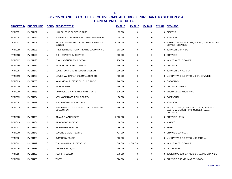| <b>PROJECT ID</b> | <b>BUDGET LINE</b> |   | <b>BORO PROJECT TITLE</b>                                    | FY 2015   | <b>FY 2016</b> | <b>FY 2017</b> | FY 2018 SPONSOR                                                                                        |
|-------------------|--------------------|---|--------------------------------------------------------------|-----------|----------------|----------------|--------------------------------------------------------------------------------------------------------|
| <b>PV NC051</b>   | <b>PV DN181</b>    | M | HARLEM SCHOOL OF THE ARTS                                    | 35,000    | 0              | 0              | 0 DICKENS                                                                                              |
| <b>PV NC081</b>   | <b>PV DN185</b>    | M | HOME FOR CONTEMPORARY THEATRE AND ART                        | 38,000    | $\mathbf 0$    | $\mathbf 0$    | 0 JOHNSON                                                                                              |
| <b>PV NC134</b>   | <b>PV DN195</b>    | M | AN CLAIDHEAMH SOLUIS, INC. D/B/A IRISH ARTS<br><b>CENTER</b> | 5,000,000 | $\mathbf 0$    | $\mathbf 0$    | 0 MANHATTAN DELEGATION, DROMM, JOHNSON, VAN<br>BRAMER, CITYWIDE                                        |
| <b>PV NC085</b>   | <b>PV DN196</b>    | M | THE IRISH REPERTORY THEATRE COMPANY INC.                     | 563,000   | $\mathbf 0$    | $\mathbf 0$    | 0 JOHNSON, CITYWIDE                                                                                    |
| <b>PV NC168</b>   | <b>PV DN196</b>    | М | IRISH REPERTORY THEATRE                                      | 200,000   | 0              | $\mathbf 0$    | 0 CITYWIDE                                                                                             |
| <b>PV NC135</b>   | <b>PV DN198</b>    | Q | <b>ISAMU NOGUCHI FOUNDATION</b>                              | 250,000   | 0              | $\mathbf 0$    | 0 VAN BRAMER, CITYWIDE                                                                                 |
| <b>PV NC169</b>   | <b>PV DN219</b>    | м | MANHATTAN CLASS COMPANY                                      | 750,000   | 0              | $\mathbf 0$    | 0 CITYWIDE                                                                                             |
| <b>PV NC083</b>   | <b>PV DN247</b>    | M | LOWER EAST SIDE TENEMENT MUSEUM                              | 300,000   | 0              | $\mathbf 0$    | 0 JOHNSON, GARODNICK                                                                                   |
| <b>PV NC119</b>   | <b>PV DN250</b>    | M | LOWER MANHATTAN CULTURAL COUNCIL                             | 400,000   | $\mathbf 0$    | $\mathbf 0$    | 0 MANHATTAN DELEGATION, CHIN, CITYWIDE                                                                 |
| <b>PV NC118</b>   | <b>PV DN256</b>    | M | MANHATTAN THEATRE CLUB, INC. NYCC                            | 140,000   | $\mathbf 0$    | $\mathbf 0$    | 0 GARODNICK                                                                                            |
| <b>PV NC086</b>   | <b>PV DN258</b>    | K | <b>MARK MORRIS</b>                                           | 250,000   | $\mathbf 0$    | $\mathbf 0$    | 0 CITYWIDE, CUMBO                                                                                      |
| <b>PV NC065</b>   | <b>PV DN266</b>    | X | MIND-BUILDERS CREATIVE ARTS CENTER                           | 635,000   | $\mathbf 0$    | $\mathbf 0$    | 0 BRONX DELEGATION, KING                                                                               |
| <b>PV NC099</b>   | <b>PV DN304</b>    | M | NEW YORK HISTORICAL SOCIETY                                  | 50,000    | $\mathbf 0$    | $\mathbf 0$    | 0 ROSENTHAL                                                                                            |
| <b>PV NC061</b>   | <b>PV DN329</b>    | М | PLAYWRIGHTS HORIZONS INC.                                    | 250,000   | $\mathbf 0$    | $\mathbf 0$    | 0 JOHNSON                                                                                              |
| PV NC076          | <b>PV DN333</b>    | X | PREGONES TOURING PUERTO RICAN THEATRE<br>COLLECTION          | 750,000   | $\mathbf 0$    | $\mathbf 0$    | 0 BLACK, LATINO, AND ASIAN CAUCUS, ARROYO,<br>CABRERA, GIBSON, KING, MENDEZ, PALMA,<br><b>CITYWIDE</b> |
| <b>PV NC020</b>   | <b>PV DN362</b>    | K | ST. ANN'S WAREHOUSE                                          | 2,000,000 | 0              | $\mathbf 0$    | 0 CITYWIDE, LEVIN                                                                                      |
| <b>PV NC116</b>   | <b>PV DN364</b>    | R | ST. GEORGE THEATRE                                           | 86,000    | 0              | $\mathbf 0$    | 0 MATTEO                                                                                               |
| <b>PV NC117</b>   | <b>PV DN364</b>    | R | ST. GEORGE THEATRE                                           | 86,000    | 0              | $\mathbf 0$    | 0 ROSE                                                                                                 |
| <b>PV NC069</b>   | <b>PV DN375</b>    | M | <b>SECOND STAGE THEATRE</b>                                  | 417,000   | 0              | $\mathbf 0$    | 0 CITYWIDE, JOHNSON                                                                                    |
| <b>PV NC064</b>   | <b>PV DN409</b>    | м | SYMPHONY SPACE                                               | 500,000   | 0              | 0              | 0 MANHATTAN DELEGATION, ROSENTHAL                                                                      |
| <b>PV NC121</b>   | <b>PV DN412</b>    | Q | THALIA SPANISH THEATRE INC.                                  | 1,000,000 | 3,000,000      | $\mathbf 0$    | 0 VAN BRAMER, CITYWIDE                                                                                 |
| PV NC094          | <b>PV DN413</b>    | Q | THEATER ET AL, INC.                                          | 250,000   | $\mathbf 0$    | $\mathbf 0$    | 0 VAN BRAMER                                                                                           |
| <b>PV NC104</b>   | <b>PV DN423</b>    | M | <b>JEWISH MUSEUM</b>                                         | 675,000   | $\mathbf 0$    | $\mathbf 0$    | 0 JEWISH CAUCUS, GARODNICK, LEVINE, CITYWIDE                                                           |
| <b>PV NC123</b>   | <b>PV DN430</b>    | Q | <b>WNET</b>                                                  | 524,000   | $\mathbf 0$    | $\mathbf 0$    | 0 CITYWIDE, DROMM, LANDER, VACCA                                                                       |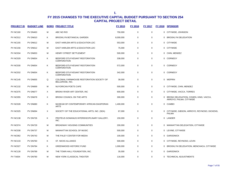| <b>PROJECT ID</b> | <b>BUDGET LINE</b> |   | <b>BORO PROJECT TITLE</b>                                    | <b>FY 2015</b> | <b>FY 2016</b> | <b>FY 2017</b> |              | FY 2018 SPONSOR                                                    |
|-------------------|--------------------|---|--------------------------------------------------------------|----------------|----------------|----------------|--------------|--------------------------------------------------------------------|
| <b>PV NC160</b>   | <b>PV DN463</b>    | м | ABC NO RIO                                                   | 750,000        | 0              | 0              |              | 0 CITYWIDE, JOHNSON                                                |
| <b>PV NC012</b>   | <b>PV DN610</b>    | Κ | BROOKLYN BOTANICAL GARDEN                                    | 8,000,000      | 0              | 0              |              | 0 BROOKLYN DELEGATION                                              |
| <b>PV NC155</b>   | <b>PV DN612</b>    | М | EAST HARLEM ARTS & EDUCATION LDC                             | 553,000        | 0              | 0              | $\mathbf{0}$ | <b>CITYWIDE</b>                                                    |
| <b>PV NC156</b>   | <b>PV DN612</b>    | м | EAST HARLEM ARTS & EDUCATION LDC                             | 75,000         | 0              | $\mathbf 0$    |              | 0 CITYWIDE                                                         |
| PV NC034          | <b>PV DN653</b>    | м | HENRY STREET SETTLEMENT                                      | 500,000        | 0              | 0              | $\mathbf{0}$ | CHIN, MENDEZ                                                       |
| <b>PV NC029</b>   | <b>PV DN654</b>    | Κ | BEDFORD STUYVESANT RESTORATION<br><b>CORPORATION</b>         | 338,000        | 0              | 0              |              | 0 CORNEGY                                                          |
| <b>PV NC030</b>   | <b>PV DN654</b>    | Κ | BEDFORD-STUYVESANT RESTORATION<br>CORPORATION                | 572,000        | 0              | 0              | $\mathbf{0}$ | <b>CORNEGY</b>                                                     |
| <b>PV NC032</b>   | <b>PV DN654</b>    | Κ | BEDFORD STUYVESANT RESTORATION<br><b>CORPORATION</b>         | 342,000        | 0              | 0              | $\mathbf{0}$ | <b>CORNEGY</b>                                                     |
| <b>PV NC145</b>   | <b>PV DN655</b>    | Q | COLONIAL FARMHOUSE RESTORATION SOCIETY OF<br>BELLEROSE, INC. | 38,000         | 0              | 0              |              | 0 WEPRIN                                                           |
| <b>PV NC132</b>   | PV DN669           | М | NUYORICAN POETS CAFE                                         | 500,000        | 0              | $\mathbf 0$    | $\mathbf{0}$ | CITYWIDE, CHIN, MENDEZ                                             |
| <b>PV NC075</b>   | PV DN677           | X | BRONX RIVER ART CENTER, INC.                                 | 600,000        | 0              | $\mathbf 0$    |              | 0 CITYWIDE, VACCA, TORRES                                          |
| <b>PV NC055</b>   | <b>PV DN678</b>    | X | BRONX COUNCIL ON THE ARTS                                    | 300,000        | 0              | 0              |              | 0 BRONX DELEGATION, COHEN, KING, VACCA,<br>ARROYO, PALMA, CITYWIDE |
| <b>PV NC028</b>   | <b>PV DN680</b>    | Κ | MUSEUM OF CONTEMPORARY AFRICAN DIASPORAN<br><b>ARTS</b>      | 1,400,000      | 0              | 0              |              | 0 CUMBO                                                            |
| <b>PV NC025</b>   | PV DN694           | X | SOCIETY OF THE EDUCATIONAL ARTS, INC. (SEA)                  | 87,000         | 0              | 0              | 0            | CITYWIDE, GIBSON, ARROYO, REYNOSO, DICKENS,<br><b>PALMA</b>        |
| <b>PV NC138</b>   | <b>PV DN726</b>    | Κ | PROTEUS GOWANUS INTERDISCIPLINARY GALLERY,<br>INC.           | 150,000        | 0              | 0              |              | 0 LANDER                                                           |
| PV NC074          | <b>PV DN729</b>    | М | <b>BROADWAY HOUSING COMMUNITIES</b>                          | 200,000        | 0              | 0              |              | 0 MANHATTAN DELEGATION, CITYWIDE                                   |
| <b>PV NC038</b>   | PV DN737           | м | MANHATTAN SCHOOL OF MUSIC                                    | 500,000        | 0              | $\mathbf 0$    |              | 0 LEVINE, CITYWIDE                                                 |
| <b>PV NC062</b>   | <b>PV DN743</b>    | М | THE PALEY CENTER FOR MEDIA                                   | 100,000        | 0              | $\mathbf 0$    | $\mathbf{0}$ | <b>GARODNICK</b>                                                   |
| <b>PV NC133</b>   | <b>PV DN760</b>    | Κ | <b>ST. NICKS ALLIANCE</b>                                    | 500,000        | 0              | $\mathbf 0$    |              | 0 CITYWIDE, REYNOSO, LEVIN                                         |
| <b>PV NC027</b>   | <b>PV DN784</b>    | Κ | <b>GREENWOOD HISTORIC FUND</b>                               | 1,000,000      | 0              | 0              | $\mathbf{0}$ | BROOKLYN DELEGATION, MENCHACA, CITYWIDE                            |
| <b>PV NC128</b>   | <b>PV DN789</b>    | м | THE TOWN HALL FOUNDATION, INC.                               | 35,000         | 0              | 0              | $\mathbf{0}$ | <b>GARODNICK</b>                                                   |
| <b>PV TA004</b>   | <b>PV DN790</b>    | M | NEW YORK CLASSICAL THEATER                                   | 116,000        | $\mathbf 0$    | $\mathbf 0$    |              | 0 TECHNICAL ADJUSTMENTS                                            |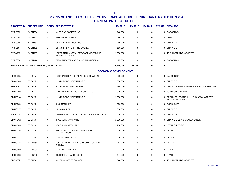| <b>PROJECT ID</b> | <b>BUDGET LINE</b>                         |   | <b>BORO PROJECT TITLE</b>                              | FY 2015    | <b>FY 2016</b> | <b>FY 2017</b> | <b>FY 2018</b> | <b>SPONSOR</b>          |
|-------------------|--------------------------------------------|---|--------------------------------------------------------|------------|----------------|----------------|----------------|-------------------------|
| <b>PV NC053</b>   | PV DN794                                   | M | AMERICAS SOCIETY. INC.                                 | 140,000    | 0              | 0              |                | 0 GARODNICK             |
| <b>PV NC089</b>   | <b>PV DN831</b>                            | м | <b>GINA GIBNEY DANCE</b>                               | 96,000     | 0              | 0              |                | 0 CHIN                  |
| <b>PV NC090</b>   | <b>PV DN831</b>                            | м | GINA GIBNEY DANCE, INC.                                | 250,000    | 0              | 0              |                | 0 CITYWIDE              |
| <b>PV NC167</b>   | <b>PV DN831</b>                            | м | <b>GINA GIBNEY - LIGHTING SYSTEM</b>                   | 100,000    | 0              | 0              |                | 0 CITYWIDE              |
| <b>PV TA002</b>   | PV DN836                                   | M | UPPER MANHANTTAN EMPOWERMENT ZONE<br>(UMEZ) - MART 125 | 2,500,000  | 0              | $\mathbf 0$    |                | 0 TECHNICAL ADJUSTMENTS |
| PV NC078          | <b>PV DN844</b>                            | M | TADA! THEATER AND DANCE ALLIANCE INC.                  | 75.000     | 0              | 0              |                | 0 GARODNICK             |
|                   | TOTALS FOR CULTURAL AFFAIRS (105 PROJECTS) |   |                                                        | 70.946.000 | 3,000,000      | 0              | 0              |                         |

| <b>ECONOMIC DEVELOPMENT</b> |                 |          |                                                          |           |             |   |                                                              |  |  |
|-----------------------------|-----------------|----------|----------------------------------------------------------|-----------|-------------|---|--------------------------------------------------------------|--|--|
| ED CN005                    | <b>ED D075</b>  | M        | ECONOMIC DEVELOPMENT CORPORATION                         | 500,000   | 0           | 0 | 0 GARODNICK                                                  |  |  |
| ED CN006                    | <b>ED D075</b>  | X        | HUNTS POINT MEAT MARKET                                  | 650,000   | $\mathbf 0$ | 0 | 0 CITYWIDE                                                   |  |  |
| ED CN007                    | <b>ED D075</b>  | X        | HUNTS POINT MEAT MARKET                                  | 185,000   | $\mathbf 0$ | 0 | 0 CITYWIDE, KING, CABRERA, BRONX DELEGATION                  |  |  |
| ED CN009                    | <b>ED D075</b>  | М        | NEW YORK CITY AIDS MEMORIAL, INC.                        | 500,000   | 0           | 0 | 0 JOHNSON, CITYWIDE                                          |  |  |
| ED NC014                    | <b>ED D075</b>  | $\times$ | HUNTS POINT MEAT MARKET                                  | 2,500,000 | $\mathbf 0$ | 0 | 0 BRONX DELEGATION, KING, GIBSON, ARROYO,<br>PALMA, CITYWIDE |  |  |
| ED NC035                    | <b>ED D075</b>  | М        | <b>DYCKMAN PIER</b>                                      | 500,000   | $\mathbf 0$ | 0 | 0 RODRIGUEZ                                                  |  |  |
| ED NC037                    | <b>ED D075</b>  | М        | <b>LA MARQUETA</b>                                       | 3,000,000 | $\mathbf 0$ | 0 | 0 CITYWIDE                                                   |  |  |
| P CN225                     | <b>ED D075</b>  | М        | 125TH & PARK AVE - EDC PUBLIC REALM PROJECT              | 1,000,000 | 0           | 0 | 0 CITYWIDE                                                   |  |  |
| ED CN002                    | ED D319         | K.       | <b>BROOKLYN NAVY YARD</b>                                | 1,500,000 | 0           | 0 | 0 CITYWIDE, LEVIN, CUMBO, LANDER                             |  |  |
| ED CN003                    | ED D319         | K.       | BROOKLYN NAVY YARD                                       | 2,700,000 | $\mathbf 0$ | 0 | 0 LEVIN, CITYWIDE                                            |  |  |
| ED NC036                    | ED D319         | K.       | BROOKLYN NAVY YARD DEVELOPMENT<br>CORPORATION            | 200,000   | $\mathbf 0$ | 0 | 0 LEVIN                                                      |  |  |
| ED NC022                    | <b>ED D384</b>  | X        | JEROME/GUN HILL BID                                      | 60,000    | 0           | 0 | 0 COHEN                                                      |  |  |
| ED NC018                    | <b>ED DN160</b> | X        | FOOD BANK FOR NEW YORK CITY, FOOD FOR<br><b>SURVIVAL</b> | 281,000   | $\mathbf 0$ | 0 | 0 PALMA                                                      |  |  |
| ED NC009                    | ED DN631        | Q        | MAKE THE ROAD NY                                         | 277,000   | $\mathbf 0$ | 0 | 0 FERRERAS                                                   |  |  |
| ED NC028                    | ED DN760        | K        | ST. NICKS ALLIANCE CORP.                                 | 144,000   | $\mathbf 0$ | 0 | 0 LEVIN                                                      |  |  |
| <b>ED TA002</b>             | <b>ED DN841</b> | М        | AMBER CHARTER SCHOOL                                     | 548,000   | $\mathbf 0$ | 0 | 0 TECHNICAL ADJUSTMENTS                                      |  |  |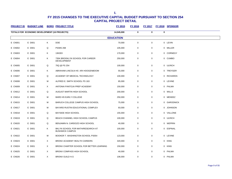| <b>PROJECT ID</b> | <b>BUDGET LINE</b>                            |          | <b>BORO PROJECT TITLE</b>                                   | FY 2015          | <b>FY 2016</b> | <b>FY 2017</b> |             | FY 2018 SPONSOR |
|-------------------|-----------------------------------------------|----------|-------------------------------------------------------------|------------------|----------------|----------------|-------------|-----------------|
|                   | TOTALS FOR ECONOMIC DEVELOPMENT (16 PROJECTS) |          |                                                             | 14,545,000       | 0              | $\bf{0}$       | $\mathbf 0$ |                 |
|                   |                                               |          |                                                             | <b>EDUCATION</b> |                |                |             |                 |
| E CN001           | E D001                                        | Κ        | <b>DOE</b>                                                  | 70,000           | 0              | 0              |             | 0 LEVIN         |
| E CN002           | E D001                                        | Q        | <b>PS/MS 268</b>                                            | 105,000          | 0              | 0              |             | 0 MILLER        |
| E CN003           | E D001                                        | Κ        | 13K003                                                      | 170,000          | 0              | 0              |             | 0 CORNEGY       |
| E CN004           | E D001                                        | Κ        | 735K BROOKLYN SCHOOL FOR CAREER<br><b>DEVELOPMENT</b>       | 250,000          | $\pmb{0}$      | 0              |             | 0 CUMBO         |
| E CN005           | E D001                                        | Q        | 75Q @ PS 254                                                | 100,000          | 0              | $\pmb{0}$      |             | 0 ULRICH        |
| E CN006           | E D001                                        | Κ        | ABRAHAM LINCOLN HS ARI HOOGENBOOM                           | 55,000           | 0              | 0              |             | 0 TREYGER       |
| E CN007           | E D001                                        | Q        | ACADEMY OF MEDICAL TECHNOLOGY                               | 100,000          | 0              | 0              |             | 0 RICHARDS      |
| E CN008           | E D001                                        | М        | ALFRED E. SMITH SCHOOL PS 163                               | 85,000           | $\mathbf 0$    | 0              |             | 0 LEVINE        |
| E CN009           | E D001                                        | X        | ANTONIA PANTOJA PREP ACADEMY                                | 150,000          | $\mathbf 0$    | $\mathbf 0$    |             | 0 PALMA         |
| E CN012           | E D001                                        | Q        | AUGUST MARTIN HIGH SCHOOL                                   | 200,000          | $\mathbf 0$    | 0              |             | 0 WILLS         |
| E CN014           | E D001                                        | M        | BARD HS EARLY COLLEGE                                       | 250,000          | 0              | 0              |             | 0 MENDEZ        |
| E CN015           | E D001                                        | M        | BARUCH COLLEGE CAMPUS HIGH SCHOOL                           | 75,000           | $\mathbf 0$    | 0              |             | 0 GARODNICK     |
| E CN017           | E D001                                        | M        | BAYARD RUSTIN EDUCATIONAL COMPLEX                           | 93,000           | 0              | 0              |             | 0 JOHNSON       |
| E CN018           | E D001                                        | Q        | <b>BAYSIDE HIGH SCHOOL</b>                                  | 155,000          | $\mathbf 0$    | 0              |             | 0 VALLONE       |
| E CN019           | E D001                                        | Q        | BEACH CHANNEL HIGH SCHOOL CAMPUS                            | 100,000          | 0              | 0              |             | 0 ULRICH        |
| E CN020           | E D001                                        | Q        | BENJAMIN N. CARDOZO HIGH SCHOOL                             | 40,000           | 0              | 0              |             | 0 WEPRIN        |
| E CN021           | E D001                                        | Κ        | BKLYN SCHOOL FOR MATH/RESEARCH AT<br><b>BUSHWICK CAMPUS</b> | 100,000          | 0              | 0              |             | 0 ESPINAL       |
| E CN022           | E D001                                        | M        | BOOKER T. WASHINGTON SCHOOL PS054                           | 123,000          | $\mathbf 0$    | 0              |             | 0 LEVINE        |
| E CN023           | E D001                                        | X        | BRONX ACADEMY HEALTH CAREERS                                | 320,000          | $\pmb{0}$      | $\mathbf 0$    |             | 0 KING          |
| E CN024           | E D001                                        | X        | BRONX CHARTER SCHOOL FOR BETTER LEARNING                    | 150,000          | 0              | 0              |             | 0 KING          |
| E CN025           | E D001                                        | Χ        | BRONX COMPASS HIGH SCHOOL                                   | 40,000           | $\mathbf 0$    | 0              |             | 0 PALMA         |
| <b>E CN026</b>    | E D001                                        | $\times$ | <b>BRONX GUILD H.S</b>                                      | 106,000          | $\Omega$       | $\Omega$       |             | 0 PALMA         |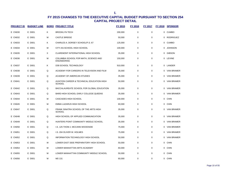| <b>PROJECT ID</b> | <b>BUDGET LINE</b> |   | <b>BORO PROJECT TITLE</b>                                   | <b>FY 2015</b> | <b>FY 2016</b> | <b>FY 2017</b> | <b>FY 2018</b> | <b>SPONSOR</b>    |
|-------------------|--------------------|---|-------------------------------------------------------------|----------------|----------------|----------------|----------------|-------------------|
| <b>E CN030</b>    | E D001             | K | <b>BROOKLYN TECH</b>                                        | 200,000        | $\mathbf 0$    | $\mathbf 0$    | 0              | <b>CUMBO</b>      |
| <b>E CN032</b>    | E D001             | M | <b>CASTLE BRIDGE</b>                                        | 50,000         | $\mathbf 0$    | $\mathbf 0$    | 0              | <b>RODRIGUEZ</b>  |
| E CN033           | E D001             | K | CHARLES A. DORSEY SCHOOL/P.S. 67                            | 125,000        | $\mathbf 0$    | $\Omega$       | 0              | <b>CUMBO</b>      |
| <b>E CN034</b>    | E D001             | M | CITY-AS-SCHOOL HIGH SCHOOL                                  | 100,000        | $\mathbf 0$    | $\mathbf 0$    | 0              | <b>JOHNSON</b>    |
| <b>E CN035</b>    | E D001             | X | CLAREMONT INTERNATIONAL HIGH SCHOOL                         | 35,000         | $\mathbf 0$    | $\mathbf 0$    | 0              | <b>GIBSON</b>     |
| <b>E CN036</b>    | E D001             | M | COLUMBIA SCHOOL FOR MATH, SCIENCE AND<br><b>ENGINEERING</b> | 150,000        | 0              | 0              | 0              | LEVINE            |
| <b>E CN037</b>    | E D001             | Κ | D39 SCHOOL TECHNOLOGY                                       | 910,000        | $\mathbf 0$    | $\Omega$       | 0              | LANDER            |
| <b>E CN038</b>    | E D001             | Q | ACADEMY FOR CAREERS IN TELEVISION AND FILM                  | 35,000         | $\mathbf 0$    | $\Omega$       |                | 0 VAN BRAMER      |
| <b>E CN039</b>    | E D001             | Q | ACADEMY OF AMERICAN STUDIES                                 | 35,000         | $\mathbf 0$    | $\mathbf 0$    | 0              | <b>VAN BRAMER</b> |
| E CN041           | E D001             | Q | AVIATION CAREER & TECHNICAL EDUCATION HIGH<br><b>SCHOOL</b> | 50,000         | 0              | $\Omega$       | $\mathbf{0}$   | VAN BRAMER        |
| <b>E CN042</b>    | E D001             | Q | BACCALAUREATE SCHOOL FOR GLOBAL EDUCATION                   | 35,000         | $\mathbf 0$    | $\Omega$       | 0              | <b>VAN BRAMER</b> |
| E CN043           | E D001             | Q | BARD HIGH SCHOOL EARLY COLLEGE QUEENS                       | 35,000         | 0              | $\Omega$       | $\Omega$       | <b>VAN BRAMER</b> |
| E CN044           | E D001             | M | CASCADES HIGH SCHOOL                                        | 100,000        | $\mathbf 0$    | $\mathbf 0$    | 0              | <b>CHIN</b>       |
| <b>E CN045</b>    | E D001             | м | EMMA LAZARUS HIGH SCHOOL                                    | 60,000         | $\mathbf 0$    | 0              | 0              | <b>CHIN</b>       |
| <b>E CN047</b>    | E D001             | Q | FRANK SINATRA SCHOOL OF THE ARTS HIGH<br><b>SCHOOL</b>      | 35,000         | $\mathbf 0$    | $\mathbf 0$    | $\mathbf{0}$   | <b>VAN BRAMER</b> |
| <b>E CN048</b>    | E D001             | Q | HIGH SCHOOL OF APPLIED COMMUNICATION                        | 35,000         | $\mathbf 0$    | $\mathbf 0$    | 0              | <b>VAN BRAMER</b> |
| <b>E CN049</b>    | E D001             | Q | HUNTERS POINT COMMUNITY MIDDLE SCHOOL                       | 35,000         | $\mathbf 0$    | $\mathbf 0$    |                | 0 VAN BRAMER      |
| <b>E CN050</b>    | E D001             | Q | I.S. 125 THOM J. MCCANN WOODSIDE                            | 75,000         | $\mathbf 0$    | $\Omega$       | $\Omega$       | <b>VAN BRAMER</b> |
| E CN051           | E D001             | Q | I.S. 204 OLIVER W. HOLMES                                   | 75,000         | $\mathbf 0$    | 0              | $\mathbf{0}$   | VAN BRAMER        |
| <b>E CN052</b>    | E D001             | Q | INFORMATION TECHNOLOGY HIGH SCHOOL                          | 50,000         | $\mathbf 0$    | $\mathbf 0$    | 0              | <b>VAN BRAMER</b> |
| E CN053           | E D001             | м | LOWER EAST SIDE PREPARATORY HIGH SCHOOL                     | 50,000         | $\mathbf 0$    | $\mathbf 0$    | 0              | <b>CHIN</b>       |
| <b>E CN054</b>    | E D001             | М | LOWER MANHATTAN ARTS ACADEMY                                | 60,000         | $\mathbf 0$    | $\mathbf 0$    | 0              | <b>CHIN</b>       |
| <b>E CN055</b>    | E D001             | М | LOWER MANHATTAN COMMUNITY MIDDLE SCHOOL                     | 50,000         | $\mathbf 0$    | $\Omega$       | $\Omega$       | <b>CHIN</b>       |
| <b>E CN056</b>    | E D001             | М | MS 131                                                      | 60,000         | 0              | 0              | 0              | <b>CHIN</b>       |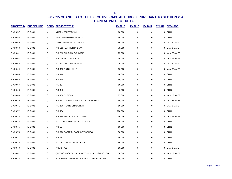| <b>PROJECT ID</b> | <b>BUDGET LINE</b> |   | <b>BORO PROJECT TITLE</b>                   | FY 2015 | <b>FY 2016</b>   | <b>FY 2017</b> | FY 2018 SPONSOR |
|-------------------|--------------------|---|---------------------------------------------|---------|------------------|----------------|-----------------|
| <b>E CN057</b>    | E D001             | M | <b>MURRY BERGTRAUM</b>                      | 60,000  | $\boldsymbol{0}$ | $\pmb{0}$      | 0 CHIN          |
| <b>E CN058</b>    | E D001             | M | NEW DESIGN HIGH SCHOOL                      | 60,000  | 0                | $\pmb{0}$      | 0 CHIN          |
| <b>E CN059</b>    | E D001             | Q | NEWCOMERS HIGH SCHOOL                       | 50,000  | 0                | 0              | 0 VAN BRAMER    |
| E CN060           | E D001             | Q | P.S. 011 KATHRYN PHELAN                     | 75,000  | 0                | 0              | 0 VAN BRAMER    |
| <b>E CN061</b>    | E D001             | Q | P.S. 012 JAMES B. COLGATE                   | 75,000  | 0                | 0              | 0 VAN BRAMER    |
| E CN062           | E D001             | Q | P.S. 076 WILLIAM HALLET                     | 50,000  | 0                | 0              | 0 VAN BRAMER    |
| E CN063           | E D001             | Q | P.S. 111 JACOB BLACKWELL                    | 75,000  | 0                | 0              | 0 VAN BRAMER    |
| E CN064           | E D001             | Q | P.S. 112 DUTCH KILLS                        | 50,000  | 0                | $\pmb{0}$      | 0 VAN BRAMER    |
| <b>E CN065</b>    | E D001             | M | P.S. 126                                    | 60,000  | 0                | 0              | 0 CHIN          |
| E CN066           | E D001             | M | P.S. 130                                    | 50,000  | 0                | 0              | 0 CHIN          |
| <b>E CN067</b>    | E D001             | M | P.S. 137                                    | 60,000  | $\mathbf 0$      | 0              | 0 CHIN          |
| E CN068           | E D001             | м | P.S. 142                                    | 40,000  | 0                | $\pmb{0}$      | 0 CHIN          |
| E CN069           | E D001             | Q | P.S. 150 QUEENS                             | 75,000  | 0                | 0              | 0 VAN BRAMER    |
| E CN070           | E D001             | Q | P.S. 152 GWENDOLINE N. ALLEYNE SCHOOL       | 55,000  | 0                | 0              | 0 VAN BRAMER    |
| E CN071           | E D001             | Q | P.S. 166 HENRY GRADSTEIN                    | 50,000  | 0                | 0              | 0 VAN BRAMER    |
| <b>E CN072</b>    | E D001             | M | P.S. 184                                    | 100,000 | 0                | 0              | 0 CHIN          |
| E CN073           | E D001             | Q | P.S. 199 MAURICE A. FITZGERALD              | 50,000  | 0                | 0              | 0 VAN BRAMER    |
| <b>E CN074</b>    | E D001             | М | P.S. 20 THE ANNA SILVER SCHOOL              | 60,000  | 0                | 0              | 0 CHIN          |
| <b>E CN075</b>    | E D001             | M | P.S. 234                                    | 60,000  | 0                | $\pmb{0}$      | 0 CHIN          |
| <b>E CN076</b>    | E D001             | M | P.S. 276 BATTERY PARK CITY SCHOOL           | 50,000  | 0                | 0              | 0 CHIN          |
| E CN077           | E D001             | M | P.S. 89                                     | 60,000  | 0                | $\pmb{0}$      | 0 CHIN          |
| E CN078           | E D001             | M | P.S. 94 AT 55 BATTERY PLACE                 | 50,000  | $\mathbf 0$      | 0              | 0 CHIN          |
| E CN079           | E D001             | Q | P.S./I.S. 78Q                               | 50,000  | 0                | 0              | 0 VAN BRAMER    |
| <b>E CN081</b>    | E D001             | Q | QUEENS VOCATIONAL AND TECHNICAL HIGH SCHOOL | 50,000  | 0                | 0              | 0 VAN BRAMER    |
| E CN082           | E D001             | M | RICHARD R. GREEN HIGH SCHOOL - TECHNOLOGY   | 60,000  | 0                | 0              | 0 CHIN          |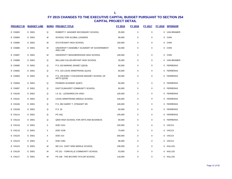| <b>PROJECT ID</b> | <b>BUDGET LINE</b> |   | <b>BORO PROJECT TITLE</b>                                | <b>FY 2015</b> | <b>FY 2016</b> | <b>FY 2017</b> | FY 2018      | <b>SPONSOR</b>    |
|-------------------|--------------------|---|----------------------------------------------------------|----------------|----------------|----------------|--------------|-------------------|
| <b>E CN083</b>    | E D001             | Q | ROBERT F. WAGNER SECONDARY SCHOOL                        | 35,000         | $\mathbf 0$    | $\mathbf 0$    | $\mathbf 0$  | <b>VAN BRAMER</b> |
| <b>E CN084</b>    | E D001             | м | <b>SCHOOL FOR GLOBAL LEADERS</b>                         | 90,000         | $\mathbf 0$    | $\mathbf 0$    | $\mathbf 0$  | <b>CHIN</b>       |
| <b>E CN085</b>    | E D001             | M | STUYVESANT HIGH SCHOOL                                   | 150,000        | 0              | $\mathbf 0$    | 0            | <b>CHIN</b>       |
| E CN086           | E D001             | M | UNIVERSITY ASSEMBLY ACADEMY OF GOVERNMENT<br>AND LAW     | 50,000         | 0              | $\mathbf 0$    | 0            | <b>CHIN</b>       |
| E CN087           | E D001             | M | UNIVERSITY NEIGHBORHOOD HIGH SCHOOL                      | 100,000        | $\mathbf 0$    | $\mathbf 0$    | 0            | <b>CHIN</b>       |
| <b>E CN088</b>    | E D001             | Q | WILLIAM CULLEN BRYANT HIGH SCHOOL                        | 35,000         | 0              | $\mathbf 0$    | 0            | <b>VAN BRAMER</b> |
| <b>E CN090</b>    | E D001             | Q | P.S. 019 MARINO JEANET (Q019)                            | 60,000         | 0              | 0              | $\mathbf 0$  | <b>FERRERAS</b>   |
| <b>E CN092</b>    | E D001             | Q | P.S. 143 LOUIS ARMSTRONG (Q143)                          | 60,000         | 0              | 0              | 0            | <b>FERRERAS</b>   |
| E CN093           | E D001             | Q | P.S. 228 EARLY CHILDHOOD MAGNET SCHOOL OF<br>ARTS (Q228) | 60,000         | 0              | $\mathbf 0$    | 0            | <b>FERRERAS</b>   |
| <b>E CN094</b>    | E D001             | Q | PIONEER ACADEMY (Q307)                                   | 60,000         | $\mathsf 0$    | $\mathbf 0$    | $\mathbf 0$  | <b>FERRERAS</b>   |
| <b>E CN097</b>    | E D001             | Q | EAST ELMHURST COMMUNITY SCHOOL                           | 60,000         | $\mathbf 0$    | 0              |              | 0 FERRERAS        |
| E CN100           | E D001             | Q | I.S. 61 - LEONARDO DA VINCI                              | 100,000        | $\mathbf 0$    | $\mathbf 0$    |              | 0 FERRERAS        |
| E CN101           | E D001             | Q | LOUIS ARMSTRONG MIDDLE SCHOOL                            | 100,000        | $\mathbf 0$    | $\Omega$       |              | 0 FERRERAS        |
| E CN106           | E D001             | Q | P.S. 092 HARRY T. STEWART SR.                            | 100,000        | $\mathbf 0$    | $\mathbf 0$    |              | 0 FERRERAS        |
| E CN109           | E D001             | Q | P.S. 16                                                  | 60,000         | $\mathbf 0$    | $\mathbf 0$    |              | 0 FERRERAS        |
| E CN114           | E D001             | Q | <b>PS 14Q</b>                                            | 105,000        | $\mathbf 0$    | $\mathbf 0$    |              | 0 FERRERAS        |
| E CN116           | E D001             | Q | Q550 HIGH SCHOOL FOR ARTS AND BUSINESS                   | 60,000         | $\mathbf 0$    | $\mathbf 0$    |              | 0 FERRERAS        |
| E CN118           | E D001             | X | <b>DOE X101</b>                                          | 150,000        | 0              | 0              | 0            | VACCA             |
| E CN119           | E D001             | X | <b>DOE X108</b>                                          | 74,000         | 0              | 0              | 0            | VACCA             |
| E CN120           | E D001             | X | DOE X14                                                  | 300,000        | $\mathbf 0$    | $\mathbf 0$    | 0            | VACCA             |
| E CN123           | E D001             | X | <b>DOE X392</b>                                          | 96,000         | 0              | $\mathbf 0$    | $\mathbf{0}$ | VACCA             |
| E CN124           | E D001             | м | MS 114 - EAST SIDE MIDDLE SCHOOL                         | 106,000        | 0              | 0              | 0            | <b>KALLOS</b>     |
| E CN126           | E D001             | м | PS 151 - YORKVILLE COMMUNITY SCHOOL                      | 53,000         | $\mathbf 0$    | $\Omega$       | $\Omega$     | KALLOS            |
| E CN127           | E D001             | M | PS 158 - THE BAYARD TAYLOR SCHOOL                        | 118,000        | $\Omega$       | $\Omega$       | 0            | KALLOS            |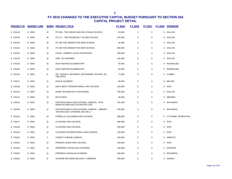| <b>PROJECT ID</b> | <b>BUDGET LINE</b> |   | <b>BORO PROJECT TITLE</b>                                                  | <b>FY 2015</b> | FY 2016     | FY 2017     | <b>FY 2018</b> | <b>SPONSOR</b>        |
|-------------------|--------------------|---|----------------------------------------------------------------------------|----------------|-------------|-------------|----------------|-----------------------|
| E CN128           | E D001             | м | PS 198 - THE ISIDOR AND IDA STRAUS SCHOOL                                  | 53,000         | 0           | $\mathbf 0$ |                | 0 KALLOS              |
| E CN129           | E D001             | м | PS 217 - THE ROOSEVELT ISLAND SCHOOL                                       | 225,000        | 0           | 0           |                | 0 KALLOS              |
| E CN130           | E D001             | м | PS 290-THE MANHATTAN NEW SCHOOL                                            | 40,000         | 0           | 0           |                | 0 KALLOS              |
| E CN131           | E D001             | м | PS 290-THE MANHATTAN NEW SCHOOL                                            | 500,000        | 0           | $\mathbf 0$ |                | 0 KALLOS              |
| E CN132           | E D001             | М | PS183 - ROBERT LOUIS STEVENSON                                             | 105,000        | 0           | 0           |                | 0 KALLOS              |
| E CN133           | E D001             | м | DOE-167 WAGNER                                                             | 150,000        | 0           | $\mathbf 0$ |                | 0 KALLOS              |
| E CN134           | E D001             | м | DOS PUENTES ELEMENTARY                                                     | 50,000         | $\mathbf 0$ | $\mathbf 0$ |                | 0 RODRIGUEZ           |
| E CN135           | E D001             | м | DOS PUENTES ELEMENTARY                                                     | 50,000         | 0           | 0           |                | 0 RODRIGUEZ           |
| E CN136           | E D001             | Κ | DR. SUSAN S. MCKINNEY SECONDARY SCHOOL OF<br>THE ARTS                      | 77,000         | 0           | $\mathbf 0$ |                | 0 CUMBO               |
| E CN137           | E D001             | Q | <b>EAGLE ACADEMY</b>                                                       | 80,000         | 0           | 0           |                | 0 MILLER              |
| E CN138           | E D001             | Q | EAST-WEST INTERNATIONAL HIGH SCHOOL                                        | 150,000        | 0           | 0           |                | 0 KOO                 |
| E CN140           | E D001             | М | ESMS TECHNOLOGY EXPANSION                                                  | 106,000        | 0           | $\mathbf 0$ |                | 0 KALLOS              |
| <b>E CN141</b>    | E D001             | М | EVCS M315                                                                  | 35,000         | $\mathbf 0$ | $\mathbf 0$ |                | 0 MENDEZ              |
| E CN143           | E D001             | Q | FAR ROCKAWAY EDUCATIONAL CAMPUS - GYM<br>RENOVATIONS (D31-03-FRGYM 1276)   | 125,000        | 0           | 0           |                | 0 RICHARDS            |
| E CN144           | E D001             | Q | FAR ROCKAWAY EDUCATIONAL CAMPUS - LIBRARY<br>TECHNOLOGY UPGRADE (D31-06-LI | 150,000        | $\mathsf 0$ | $\mathbf 0$ |                | 0 RICHARDS            |
| E CN146           | E D001             | М | FIORELLO LAGUARDIA HIGH SCHOOL                                             | 300,000        | $\mathbf 0$ | $\mathbf 0$ |                | 0 CITYWIDE, ROSENTHAL |
| E CN147           | E D001             | Q | <b>FLUSHING HIGH SCHOOL</b>                                                | 400,000        | $\mathbf 0$ | $\mathbf 0$ |                | 0 KOO                 |
| E CN148           | E D001             | Q | <b>FLUSHING HIGH SCHOOL</b>                                                | 100,000        | 0           | 0           |                | 0 KOO                 |
| E CN149           | E D001             | Q | FLUSHING INTERNATIONAL HIGH SCHOOL                                         | 125,000        | 0           | $\mathbf 0$ |                | 0 KOO                 |
| E CN150           | E D001             | X | <b>FOREST AVENUE CAMPUS</b>                                                | 100,000        | 0           | 0           |                | 0 ARROYO              |
| E CN154           | E D001             | Q | <b>FRANCIS LEWIS HIGH SCHOOL</b>                                           | 150,000        | 0           | $\mathbf 0$ |                | 0 KOO                 |
| E CN156           | E D001             | м | FREDERICK DOUGLASS ACADEMY                                                 | 100,000        | $\mathbf 0$ | 0           |                | 0 DICKENS             |
| E CN159           | E D001             | Q | <b>FREDRICK DOUGLAS ACADEMY</b>                                            | 100,000        | 0           | 0           |                | 0 RICHARDS            |
| E CN162           | E D001             | R | GAYNOR MCCOWN SECURITY CAMERAS                                             | 200,000        | 0           | $\mathbf 0$ |                | 0 IGNIZIO             |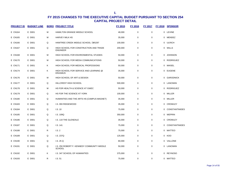| <b>PROJECT ID</b> | <b>BUDGET LINE</b> |   | <b>BORO PROJECT TITLE</b>                                    | FY 2015 | <b>FY 2016</b> | <b>FY 2017</b> | FY 2018 SPONSOR  |
|-------------------|--------------------|---|--------------------------------------------------------------|---------|----------------|----------------|------------------|
| <b>E CN164</b>    | E D001             | M | HAMILTON GRANGE MIDDLE SCHOOL                                | 48,000  | $\mathbf 0$    | $\mathbf 0$    | 0 LEVINE         |
| E CN165           | E D001             | M | <b>HARVEY MILK HS</b>                                        | 35,000  | $\mathbf 0$    | $\mathbf 0$    | 0 MENDEZ         |
| E CN166           | E D001             | Q | HAWTREE CREEK MIDDLE SCHOOL . MS297                          | 100,000 | 0              | $\mathbf 0$    | 0 ULRICH         |
| E CN167           | E D001             | Q | HIGH SCHOOL FOR CONSTRUCTION AND TRADE<br><b>ENGINEER</b>    | 200,000 | $\mathbf 0$    | $\mathbf 0$    | 0 WILLS          |
| <b>E CN168</b>    | E D001             | М | HIGH SCHOOL FOR ENVIRONMENTAL STUDIES                        | 50,000  | $\Omega$       | 0              | 0 JOHNSON        |
| E CN170           | E D001             | M | HIGH SCHOOL FOR MEDIA COMMUNICATIONS                         | 50,000  | $\mathbf 0$    | $\mathbf 0$    | 0 RODRIGUEZ      |
| E CN171           | E D001             | Κ | HIGH SCHOOL FOR MEDICAL PROFESSIONS                          | 50,000  | $\mathbf 0$    | $\Omega$       | 0 MAISEL         |
| E CN174           | E D001             | Κ | HIGH SCHOOL FOR SERVICE AND LEARNING @<br><b>ERASMUS</b>     | 35,000  | 0              | 0              | 0 EUGENE         |
| E CN176           | E D001             | M | HIGH SCHOOL OF ART & DESIGN                                  | 50,000  | 0              | 0              | 0 GARODNICK      |
| <b>E CN177</b>    | E D001             | Q | HILLCREST HIGH SCHOOL                                        | 500,000 | $\mathbf 0$    | $\mathbf 0$    | 0 LANCMAN        |
| E CN178           | E D001             | M | HS FOR HEALTH & SCIENCE AT GWEC                              | 50,000  | 0              | $\mathbf 0$    | 0 RODRIGUEZ      |
| E CN179           | E D001             | Q | HS FOR THE SCIENCE AT YORK                                   | 100,000 | 0              | 0              | 0 MILLER         |
| E CN180           | E D001             | Q | HUMANTIES AND THE ARTS HS (CAMPUS MAGNET)                    | 35,000  | $\mathbf 0$    | $\mathbf 0$    | 0 MILLER         |
| E CN183           | E D001             | Q | I.S. 093 RIDGEWOOD                                           | 35,000  | 0              | 0              | 0 CROWLEY        |
| <b>E CN184</b>    | E D001             | Q | I.S. 10                                                      | 75,000  | $\mathbf 0$    | $\mathbf 0$    | 0 CONSTANTINIDES |
| E CN185           | E D001             | Q | I.S. 109Q                                                    | 350,000 | $\mathbf 0$    | $\mathbf 0$    | 0 WEPRIN         |
| <b>E CN186</b>    | E D001             | Q | I.S. 119 THE GLENDALE                                        | 35,000  | 0              | 0              | 0 CROWLEY        |
| <b>E CN187</b>    | E D001             | Q | I.S. 141                                                     | 75,000  | $\mathbf 0$    | $\mathbf 0$    | 0 CONSTANTINIDES |
| <b>E CN188</b>    | E D001             | R | I.S.2                                                        | 75,000  | 0              | $\mathbf 0$    | 0 MATTEO         |
| E CN189           | E D001             | Q | I.S. 237Q                                                    | 125,000 | 0              | 0              | 0 KOO            |
| <b>E CN190</b>    | E D001             | Q | I.S.25Q                                                      | 80,000  | $\mathbf 0$    | $\mathbf 0$    | 0 VALLONE        |
| E CN191           | E D001             | Q | I.S. 250 ROBERT F. KENNEDY COMMUNITY MIDDLE<br><b>SCHOOL</b> | 50,000  | 0              | 0              | 0 LANCMAN        |
| E CN192           | E D001             | Κ | I.S. 347 SCHOOL OF HUMANITIES                                | 375,000 | $\mathbf 0$    | $\Omega$       | 0 REYNOSO        |
| E CN193           | E D001             | R | I.S.51                                                       | 75,000  | 0              | 0              | 0 MATTEO         |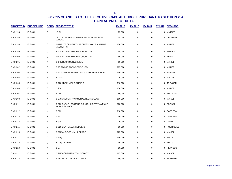| <b>PROJECT ID</b> | <b>BUDGET LINE</b> |   | <b>BORO PROJECT TITLE</b>                                      | FY 2015 | FY 2016     | FY 2017     | <b>FY 2018</b> | <b>SPONSOR</b> |
|-------------------|--------------------|---|----------------------------------------------------------------|---------|-------------|-------------|----------------|----------------|
| E CN194           | E D001             | R | I.S. 72                                                        | 75,000  | 0           | $\mathbf 0$ |                | 0 MATTEO       |
| E CN195           | E D001             | Q | I.S. 73 - THE FRANK SANSIVIERI INTERMEDIATE<br><b>SCHOOL</b>   | 35,000  | $\mathbf 0$ | $\mathbf 0$ |                | 0 CROWLEY      |
| <b>E CN196</b>    | E D001             | Q | INSTITUTE OF HEALTH PROFESSIONALS (CAMPUS<br><b>MAGNET HS)</b> | 150,000 | $\mathbf 0$ | 0           |                | 0 MILLER       |
| E CN199           | E D001             | Q | <b>IRWIN ALTMAN MIDDLE SCHOOL 172</b>                          | 45,000  | $\mathbf 0$ | $\mathbf 0$ |                | 0 WEPRIN       |
| E CN200           | E D001             | Q | IRWIN ALTMAN MIDDLE SCHOOL 172                                 | 55,000  | $\mathbf 0$ | $\pmb{0}$   |                | 0 WEPRIN       |
| E CN201           | E D001             | Κ | <b>IS 14K ROOM CONVERSION</b>                                  | 60,000  | $\mathbf 0$ | 0           |                | 0 MAISEL       |
| E CN202           | E D001             | Q | IS 15 JACKIE ROBINSON SCHOOL                                   | 105,000 | $\mathbf 0$ | $\mathbf 0$ |                | 0 MILLER       |
| E CN203           | E D001             | Κ | IS 171K ABRAHAM LINCOLN JUNIOR HIGH SCHOOL                     | 100,000 | $\mathbf 0$ | 0           |                | 0 ESPINAL      |
| <b>E CN204</b>    | E D001             | Κ | <b>IS 211K</b>                                                 | 75,000  | $\mathbf 0$ | $\mathbf 0$ |                | 0 MAISEL       |
| E CN205           | E D001             | K | IS 228 . DOMINICK D'ANGELO                                     | 110,000 | $\mathbf 0$ | $\mathbf 0$ |                | 0 TREYGER      |
| <b>E CN206</b>    | E D001             | Q | IS 238                                                         | 150,000 | 0           | 0           |                | 0 MILLER       |
| <b>E CN207</b>    | E D001             | Κ | IS 240                                                         | 80,000  | $\mathbf 0$ | 0           |                | 0 WILLIAMS     |
| <b>E CN208</b>    | E D001             | K | IS 278K SECURITY CAMERAS/TECHNOLOGY                            | 100,000 | $\mathbf 0$ | $\mathbf 0$ |                | 0 MAISEL       |
| E CN211           | E D001             | Κ | IS 302 RAFAEL CESTERO SCHOOL-LIBERTY AVENUE<br>MIDDLE SCHOOL   | 200,000 | $\mathbf 0$ | $\pmb{0}$   |                | 0 ESPINAL      |
| E CN212           | E D001             | X | IS 303                                                         | 110,000 | $\pmb{0}$   | $\mathbf 0$ |                | 0 CABRERA      |
| E CN213           | E D001             | X | IS 307                                                         | 50,000  | $\mathbf 0$ | $\mathbf 0$ |                | 0 CABRERA      |
| E CN214           | E D001             | Κ | <b>IS 318</b>                                                  | 70,000  | $\mathbf 0$ | 0           |                | 0 LEVIN        |
| E CN215           | E D001             | М | IS 528 BEA FULLER RODGERS                                      | 50,000  | $\mathbf 0$ | $\mathbf 0$ |                | 0 RODRIGUEZ    |
| E CN216           | E D001             | K | IS 68K AUDITORIUM UPGRADE                                      | 125,000 | $\mathbf 0$ | $\mathbf 0$ |                | 0 MAISEL       |
| E CN217           | E D001             | Q | <b>IS 72Q</b>                                                  | 100,000 | $\mathbf 0$ | $\mathbf 0$ |                | 0 WILLS        |
| E CN218           | E D001             | Q | IS 72Q LIBRARY                                                 | 200,000 | $\mathbf 0$ | $\Omega$    |                | 0 WILLS        |
| E CN220           | E D001             | Κ | <b>IS 77</b>                                                   | 50,000  | 0           | $\mathbf 0$ |                | 0 REYNOSO      |
| E CN221           | E D001             | Κ | IS 78K COMPUTER TECHNOLOGY                                     | 125,000 | $\mathbf 0$ | $\mathbf 0$ |                | 0 MAISEL       |
| E CN222           | E D001             | K | IS 96- SETH LOW . ERIN LYNCH                                   | 40,000  | $\mathbf 0$ | $\Omega$    |                | 0 TREYGER      |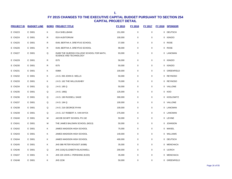| <b>PROJECT ID</b> | <b>BUDGET LINE</b> |   | <b>BORO PROJECT TITLE</b>                                           | FY 2015 | FY 2016 | <b>FY 2017</b> |             | <b>FY 2018 SPONSOR</b> |
|-------------------|--------------------|---|---------------------------------------------------------------------|---------|---------|----------------|-------------|------------------------|
| E CN223           | E D001             | Κ | <b>IS14 SHELLBANK</b>                                               | 151,000 | 0       | $\pmb{0}$      | 0           | <b>DEUTSCH</b>         |
| <b>E CN224</b>    | E D001             | R | <b>IS24 AUDITORIUM</b>                                              | 100,000 | 0       | $\mathsf 0$    | $\mathbf 0$ | <b>IGNIZIO</b>         |
| E CN225           | E D001             | R | IS49, BERTHA A. DREYFUS SCHOOL                                      | 37,000  | 0       | 0              | 0           | ROSE                   |
| E CN226           | E D001             | R | IS49, BERTHA A. DREYFUS SCHOOL                                      | 98,000  | 0       | 0              |             | 0 ROSE                 |
| E CN227           | E D001             | Q | IS499 THE QUEENS COLLEGE SCHOOL FOR MATH,<br>SCIENCE AND TECHNOLOGY | 93,000  | 0       | $\mathbf 0$    |             | 0 LANCMAN              |
| E CN229           | E D001             | R | <b>IS75</b>                                                         | 56,000  | 0       | $\mathbf 0$    | 0           | IGNIZIO                |
| E CN230           | E D001             | R | <b>IS75</b>                                                         | 50,000  | 0       | $\mathbf 0$    | 0           | <b>IGNIZIO</b>         |
| E CN231           | E D001             | Κ | IS96K                                                               | 100,000 | 0       | 0              | 0           | GREENFIELD             |
| E CN232           | E D001             | Κ | J.H.S. 050 JOHN D. WELLS                                            | 50,000  | 0       | 0              | 0           | <b>REYNOSO</b>         |
| E CN233           | E D001             | Κ | J.H.S. 162 THE WILLOUGHBY                                           | 70,000  | 0       | 0              | 0           | <b>REYNOSO</b>         |
| <b>E CN234</b>    | E D001             | Q | J.H.S. 185 Q                                                        | 50,000  | 0       | $\mathbf 0$    |             | 0 VALLONE              |
| E CN235           | E D001             | Q | J.H.S. 189Q                                                         | 125,000 | 0       | 0              |             | 0 KOO                  |
| E CN236           | E D001             | Q | J.H.S. 190 RUSSELL SAGE                                             | 300,000 | 0       | $\mathbf 0$    |             | 0 KOSLOWITZ            |
| E CN237           | E D001             | Q | J.H.S. 194 Q                                                        | 100,000 | 0       | 0              | 0           | VALLONE                |
| E CN238           | E D001             | Q | J.H.S. 216 GEORGE RYAN                                              | 100,000 | 0       | $\mathbf 0$    |             | 0 LANCMAN              |
| E CN239           | E D001             | Q | J.H.S. 217 ROBERT A. VAN WYCK                                       | 275,000 | 0       | $\mathbf 0$    | 0           | LANCMAN                |
| E CN240           | E D001             | M | JACOB SCHIFF SCHOOL PS 192                                          | 50,000  | 0       | $\mathbf 0$    |             | 0 LEVINE               |
| E CN241           | E D001             | M | THE JAMES BALDWIN SCHOOL (M313)                                     | 50,000  | 0       | $\mathbf 0$    | 0           | <b>JOHNSON</b>         |
| E CN242           | E D001             | Κ | <b>JAMES MADISON HIGH SCHOOL</b>                                    | 75,000  | 0       | 0              |             | 0 MAISEL               |
| E CN243           | E D001             | Κ | <b>JAMES MADISON HIGH SCHOOL</b>                                    | 140,000 | 0       | $\mathbf 0$    |             | 0 WILLIAMS             |
| E CN244           | E D001             | Κ | JAMES MADISON HIGH SCHOOL                                           | 400,000 | 0       | $\mathbf 0$    |             | 0 DEUTSCH              |
| E CN245           | E D001             | Κ | JHS 088 PETER ROUGET (K088)                                         | 35,000  | 0       | $\mathbf 0$    |             | 0 MENCHACA             |
| E CN246           | E D001             | Q | JHS 210Q ELIZABETH BLACKWELL                                        | 200,000 | 0       | $\mathbf 0$    | 0           | <b>ULRICH</b>          |
| E CN247           | E D001             | Κ | JHS 220 JOHN J. PERSHING (K220)                                     | 35,000  | 0       | $\mathbf 0$    | 0           | MENCHACA               |
| <b>E CN248</b>    | E D001             | ĸ | <b>JHS 223K</b>                                                     | 50,000  | 0       | 0              | 0           | <b>GREENFIELD</b>      |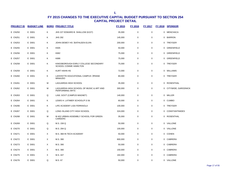| <b>PROJECT ID</b> | <b>BUDGET LINE</b> |   | <b>BORO PROJECT TITLE</b>                                      | FY 2015 | <b>FY 2016</b> | <b>FY 2017</b> | FY 2018 SPONSOR       |
|-------------------|--------------------|---|----------------------------------------------------------------|---------|----------------|----------------|-----------------------|
| E CN250           | E D001             | Κ | JHS 227 EDWARD B. SHALLOW (K227)                               | 35,000  | 0              | $\mathbf 0$    | 0 MENCHACA            |
| E CN251           | E D001             | K | <b>JHS 292</b>                                                 | 145,000 | 0              | $\mathbf 0$    | 0 BARRON              |
| E CN253           | E D001             | Κ | JOHN DEWEY HS . KATHLEEN ELVIN                                 | 200,000 | 0              | 0              | 0 TREYGER             |
| E CN255           | E D001             | Κ | K505                                                           | 50,000  | 0              | $\mathbf 0$    | 0 GREENFIELD          |
| E CN256           | E D001             | Κ | K682                                                           | 75,000  | $\mathbf 0$    | $\mathbf 0$    | 0 GREENFIELD          |
| E CN257           | E D001             | K | K686                                                           | 75,000  | 0              | 0              | 0 GREENFIELD          |
| E CN258           | E D001             | Κ | KINGSBOROUGH EARLY COLLEGE SECONDARY<br>SCHOOL CONNIE HAMILTON | 75,000  | 0              | 0              | 0 TREYGER             |
| E CN259           | E D001             | Κ | KURT HAHN HS                                                   | 72,000  | 0              | 0              | 0 WILLIAMS            |
| E CN260           | E D001             | Κ | LAFAYETTE EDUCATIONAL CAMPUS . FRANK<br><b>MINAUDO</b>         | 80,000  | 0              | $\mathbf 0$    | 0 TREYGER             |
| E CN261           | E D001             | M | LAGUARDIA HIGH SCHOOL                                          | 35,000  | 0              | $\mathbf 0$    | 0 ROSENTHAL           |
| E CN262           | E D001             | M | LAGUARDIA HIGH SCHOOL OF MUSIC & ART AND<br>PERFORMING ARTS    | 300,000 | $\mathbf 0$    | $\mathbf 0$    | 0 CITYWIDE, GARODNICK |
| E CN263           | E D001             | Q | LAW, GOVT (CAMPUS MAGNET)                                      | 140,000 | 0              | $\mathbf 0$    | 0 MILLER              |
| E CN264           | E D001             | K | LEWIS H. LATIMER SCHOOL/P.S 56                                 | 60,000  | $\mathbf 0$    | $\mathbf 0$    | 0 CUMBO               |
| E CN266           | E D001             | Κ | LIFE ACADEMY LISA FERRAIOLA                                    | 100,000 | 0              | $\mathbf 0$    | 0 TREYGER             |
| E CN267           | E D001             | Q | LONG ISLAND CITY HIGH SCHOOL                                   | 324,000 | 0              | $\mathbf 0$    | 0 CONSTANTINIDES      |
| E CN268           | E D001             | M | M 402 URBAN ASSEMBLY SCHOOL FOR GREEN<br>CAREERS               | 35,000  | 0              | 0              | 0 ROSENTHAL           |
| E CN269           | E D001             | Q | M.S. 158 Q                                                     | 50,000  | 0              | 0              | 0 VALLONE             |
| E CN270           | E D001             | Q | M.S. 294 Q                                                     | 100,000 | $\mathbf 0$    | 0              | 0 VALLONE             |
| E CN271           | E D001             | X | M.S. 368 IN TECH ACADEMY                                       | 50,000  | 0              | 0              | 0 COHEN               |
| E CN272           | E D001             | X | M.S. 390                                                       | 800,000 | 0              | $\mathbf 0$    | 0 CABRERA             |
| E CN273           | E D001             | X | M.S. 390                                                       | 50,000  | 0              | 0              | 0 CABRERA             |
| E CN274           | E D001             | X | M.S. 390                                                       | 150,000 | 0              | 0              | 0 CABRERA             |
| E CN275           | E D001             | X | M.S. 447                                                       | 182,000 | 0              | $\mathbf 0$    | 0 CABRERA             |
| E CN276           | E D001             | Q | M.S. 67                                                        | 50,000  | $\mathbf 0$    | 0              | 0 VALLONE             |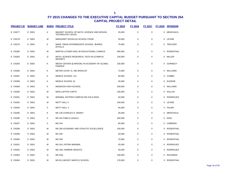| <b>PROJECT ID</b> | <b>BUDGET LINE</b> |   | <b>BORO PROJECT TITLE</b>                                      | <b>FY 2015</b> | <b>FY 2016</b> | <b>FY 2017</b> | <b>FY 2018</b> | <b>SPONSOR</b>   |
|-------------------|--------------------|---|----------------------------------------------------------------|----------------|----------------|----------------|----------------|------------------|
| E CN277           | E D001             | Κ | MAGNET SCHOOL OF MATH, SCIENCE AND DESIGN<br>TECHNOLOGY (K010) | 35,000         | 0              | $\mathbf 0$    | 0              | <b>MENCHACA</b>  |
| E CN278           | E D001             | M | MARGARET DOUGLAS SCHOOL PS036                                  | 50,000         | 0              | 0              |                | 0 LEVINE         |
| E CN279           | E D001             | K | MARK TWAIN INTERMEDIATE SCHOOL . KAREN<br><b>DITOLLA</b>       | 75,000         | $\mathbf 0$    | 0              | 0              | TREYGER          |
| E CN280           | E D001             | M | MARTIN LUTHER KING JR EDUCATIONAL CAMPUS                       | 660,000        | $\mathbf 0$    | 0              | $\Omega$       | ROSENTHAL        |
| E CN283           | E D001             | Q | MATH, SCIENCE RESEARCH, TECH HS (CAMPUS<br>MAGNET)             | 150,000        | 0              | 0              |                | 0 MILLER         |
| <b>E CN284</b>    | E D001             | κ | MEDIA CENTER @ BROOKLYN ACADEMY OF GLOBAL<br><b>FINANCE</b>    | 100,000        | 0              | 0              |                | 0 CORNEGY        |
| <b>E CN286</b>    | E D001             | Κ | MEYER LEVIN I.S. 285 WISHLIST                                  | 72,000         | 0              | 0              | 0              | WILLIAMS         |
| <b>E CN287</b>    | E D001             | Κ | MIDDLE SCHOOL 113                                              | 60,000         | 0              | 0              | 0              | <b>CUMBO</b>     |
| <b>E CN288</b>    | E D001             | K | MIDDLE SCHOOL 61                                               | 35,000         | 0              | 0              | 0              | <b>EUGENE</b>    |
| E CN289           | E D001             | Κ | MIDWOOD HIGH SCHOOL                                            | 200,000        | 0              | 0              | 0              | WILLIAMS         |
| E CN290           | E D001             | M | MIHS LAPTOP CARTS                                              | 165,000        | 0              | 0              |                | 0 KALLOS         |
| E CN291           | E D001             | М | MIRABAL SISTERS CAMPUS/ MS 319 & M324                          | 50,000         | 0              | 0              | 0              | RODRIGUEZ        |
| E CN292           | E D001             | M | <b>MOTT HALL II</b>                                            | 100,000        | 0              | 0              |                | 0 LEVINE         |
| E CN293           | E D001             | X | MOTT HALL V                                                    | 94,000         | 0              | 0              | 0              | PALMA            |
| E CN295           | E D001             | Κ | MS 136 CHARLES O. DEWEY                                        | 35,000         | 0              | 0              | 0              | <b>MENCHACA</b>  |
| E CN296           | E D001             | X | MS 181 PABLO CASALS                                            | 260,000        | $\mathbf 0$    | 0              | 0              | <b>KING</b>      |
| E CN297           | E D001             | X | MS 244                                                         | 80,000         | 0              | 0              | 0              | CABRERA          |
| E CN298           | E D001             | м | MS 256 ACADEMIC AND ATHLETIC EXCELLENCE                        | 100,000        | $\mathbf 0$    | 0              | $\Omega$       | ROSENTHAL        |
| E CN299           | E D001             | М | <b>MS 258</b>                                                  | 50,000         | 0              | 0              |                | 0 ROSENTHAL      |
| E CN300           | E D001             | M | <b>MS 258</b>                                                  | 70,000         | $\mathbf 0$    | 0              | 0              | ROSENTHAL        |
| E CN301           | E D001             | M | MS 324, PATRIA MIRABAL                                         | 50,000         | 0              | 0              | 0              | RODRIGUEZ        |
| E CN302           | E D001             | м | MS 349, HARBOR HEIGHTS                                         | 50,000         | $\mathbf 0$    | 0              | 0              | <b>RODRIGUEZ</b> |
| E CN303           | E D001             | Q | <b>MS 53Q</b>                                                  | 100,000        | 0              | 0              | 0              | <b>RICHARDS</b>  |
| <b>E CN304</b>    | E D001             | М | MS 811 MICKEY MANTLE SCHOOL                                    | 178,000        | 0              | 0              | 0              | ROSENTHAL        |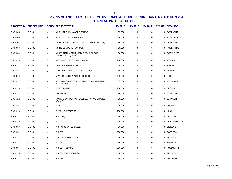| <b>PROJECT ID</b> | <b>BUDGET LINE</b> |   | <b>BORO PROJECT TITLE</b>                                       | FY 2015 | <b>FY 2016</b> | <b>FY 2017</b> | <b>FY 2018</b> | <b>SPONSOR</b>   |
|-------------------|--------------------|---|-----------------------------------------------------------------|---------|----------------|----------------|----------------|------------------|
| E CN305           | E D001             | м | MS 811 MICKEY MANTLE SCHOOL                                     | 35,000  | 0              | $\mathbf 0$    |                | 0 ROSENTHAL      |
| E CN306           | E D001             | Κ | MS 821 SUNSET PARK PREP                                         | 150,000 | 0              | $\pmb{0}$      |                | 0 MENCHACA       |
| E CN307           | E D001             | М | MS 859 SPECIAL MUSIC SCHOOL (MLK COMPLEX)                       | 50,000  | 0              | 0              |                | 0 ROSENTHAL      |
| <b>E CN308</b>    | E D001             | M | MS245 COMPUTER SCHOOL                                           | 35,000  | 0              | $\mathbf 0$    |                | 0 ROSENTHAL      |
| E CN309           | E D001             | М | MS328, MANHATTAN MIDDLE SCHOOL FOR<br><b>SCIENTIFIC INQUIRY</b> | 50,000  | 0              | 0              |                | 0 RODRIGUEZ      |
| E CN310           | E D001             | Q | NATHANIEL HAWTHORNE MS 74                                       | 250,000 | 0              | $\mathbf 0$    |                | 0 WEPRIN         |
| E CN314           | E D001             | R | NEW DORP HIGH SCHOOL                                            | 75,000  | 0              | 0              |                | 0 MATTEO         |
| E CN315           | E D001             | Q | NEW LAURELTON SCHOOL IN PS 156                                  | 45,000  | 0              | $\mathbf 0$    |                | 0 RICHARDS       |
| E CN316           | E D001             | Q | NEW PREPATORY MIDDLE SCHOOL - IS 8                              | 140,000 | 0              | 0              |                | 0 MILLER         |
| E CN317           | E D001             | κ | NEW VOICES SCHOOL OF ACADEMIC & CREATIVE<br><b>ARTS (K443)</b>  | 35,000  | 0              | $\mathbf 0$    |                | 0 MENCHACA       |
| E CN319           | E D001             | Q | <b>NEWTOWN HS</b>                                               | 250,000 | 0              | $\mathbf 0$    |                | 0 DROMM          |
| E CN321           | E D001             | М | NYC ISCHOOL                                                     | 50,000  | 0              | $\pmb{0}$      |                | 0 JOHNSON        |
| E CN322           | E D001             | М | NYC LAB SCHOOL FOR COLLABORATIVE STUDIES-<br>02M412             | 35,000  | 0              | 0              |                | 0 JOHNSON        |
| E CN325           | E D001             | Q | P 09                                                            | 35,000  | 0              | $\mathbf 0$    |                | 0 CROWLEY        |
| E CN326           | E D001             | X | P 723X - DISTRICT 75                                            | 200,000 | 0              | $\mathbf 0$    |                | 0 KING           |
| E CN328           | E D001             | Q | P.S 129 Q                                                       | 50,000  | $\Omega$       | $\Omega$       |                | 0 VALLONE        |
| E CN329           | E D001             | Q | P.S 17                                                          | 75,000  | 0              | 0              |                | 0 CONSTANTINIDES |
| E CN330           | E D001             | M | P.S 194 COUNTEE CULLEN                                          | 50,000  | 0              | 0              |                | 0 DICKENS        |
| E CN331           | E D001             | X | P.S. 015                                                        | 150,000 | 0              | $\mathbf 0$    |                | 0 CABRERA        |
| E CN332           | E D001             | κ | P.S. 018 EDWARD BUSH                                            | 300,000 | 0              | $\pmb{0}$      |                | 0 REYNOSO        |
| E CN333           | E D001             | Q | P.S. 051                                                        | 150,000 | 0              | 0              |                | 0 KOSLOWITZ      |
| E CN334           | E D001             | Q | P.S. 054 HILLSIDE                                               | 250,000 | 0              | 0              |                | 0 KOSLOWITZ      |
| E CN336           | E D001             | κ | P.S. 084 JOSE DE DIEGO                                          | 50,000  | 0              | 0              |                | 0 REYNOSO        |
| E CN337           | E D001             | Q | P.S. 088                                                        | 35,000  | 0              | 0              |                | 0 CROWLEY        |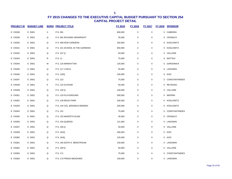| <b>PROJECT ID</b> | <b>BUDGET LINE</b> |   | <b>BORO PROJECT TITLE</b>      | FY 2015 | FY 2016          | <b>FY 2017</b>   | FY 2018 SPONSOR  |
|-------------------|--------------------|---|--------------------------------|---------|------------------|------------------|------------------|
| <b>E CN338</b>    | E D001             | X | P.S. 091                       | 600,000 | $\pmb{0}$        | $\pmb{0}$        | 0 CABRERA        |
| E CN339           | E D001             | Q | P.S. 091 RICHARD ARKWRIGHT     | 35,000  | 0                | 0                | 0 CROWLEY        |
| E CN340           | E D001             | Q | P.S. 099 KEW GARDENS           | 250,000 | $\mathbf 0$      | $\mathbf 0$      | 0 KOSLOWITZ      |
| E CN341           | E D001             | Q | P.S. 101 SCHOOL IN THE GARDENS | 650,000 | $\mathbf 0$      | $\pmb{0}$        | 0 KOSLOWITZ      |
| E CN342           | E D001             | Q | P.S. 107 Q                     | 50,000  | $\mathbf 0$      | 0                | 0 VALLONE        |
| E CN343           | E D001             | R | P.S. 11                        | 75,000  | $\boldsymbol{0}$ | $\pmb{0}$        | 0 MATTEO         |
| E CN344           | E D001             | М | P.S. 116 MANHATTAN             | 125,000 | $\mathbf 0$      | 0                | 0 GARODNICK      |
| E CN345           | E D001             | Q | P.S. 117 J.KELD                | 55,000  | $\mathbf 0$      | $\pmb{0}$        | 0 LANCMAN        |
| E CN346           | E D001             | Q | P.S. 120Q                      | 100,000 | $\mathbf 0$      | $\mathbf 0$      | 0 KOO            |
| E CN347           | E D001             | Q | P.S. 122                       | 75,000  | 0                | $\pmb{0}$        | 0 CONSTANTINIDES |
| E CN348           | E D001             | Κ | P.S. 123 SUYDAM                | 50,000  | 0                | 0                | 0 REYNOSO        |
| E CN349           | E D001             | Q | P.S. 130 Q                     | 100,000 | 0                | 0                | 0 VALLONE        |
| E CN351           | E D001             | Q | P.S. 133 PLAYGROUND            | 500,000 | 0                | 0                | 0 WEPRIN         |
| E CN352           | E D001             | Q | P.S. 139 REGO PARK             | 200,000 | $\mathbf 0$      | 0                | 0 KOSLOWITZ      |
| E CN353           | E D001             | Q | P.S. 144 COL JEROMUS REMSEN    | 200,000 | $\boldsymbol{0}$ | $\boldsymbol{0}$ | 0 KOSLOWITZ      |
| E CN354           | E D001             | Q | P.S. 151                       | 75,000  | $\mathbf 0$      | $\mathbf 0$      | 0 CONSTANTINIDES |
| E CN355           | E D001             | Q | P.S. 153 MASPETH ELEM          | 35,000  | $\boldsymbol{0}$ | 0                | 0 CROWLEY        |
| E CN356           | E D001             | Q | P.S. 154 QUEENS                | 121,000 | $\mathbf 0$      | $\mathbf 0$      | 0 LANCMAN        |
| E CN357           | E D001             | Q | P.S. 159 Q                     | 50,000  | $\boldsymbol{0}$ | $\pmb{0}$        | 0 VALLONE        |
| E CN359           | E D001             | Q | P.S. 162Q                      | 400,000 | 0                | 0                | 0 KOO            |
| E CN360           | E D001             | Q | P.S. 163Q                      | 125,000 | 0                | 0                | 0 KOO            |
| E CN361           | E D001             | Q | P.S. 165 EDITH K. BERGTRAUM    | 150,000 | 0                | 0                | 0 LANCMAN        |
| E CN362           | E D001             | Q | P.S. 169 Q                     | 50,000  | $\mathbf 0$      | 0                | 0 VALLONE        |
| E CN363           | E D001             | Q | P.S. 171                       | 75,000  | $\mathbf 0$      | 0                | 0 CONSTANTINIDES |
| E CN364           | E D001             | Q | P.S. 173 FRESH MEADOWS         | 150,000 | $\mathbf 0$      | 0                | 0 LANCMAN        |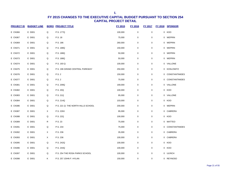| <b>PROJECT ID</b> | <b>BUDGET LINE</b> |   | <b>BORO PROJECT TITLE</b>          | FY 2015 | FY 2016     | <b>FY 2017</b> | <b>FY 2018</b> | <b>SPONSOR</b>   |
|-------------------|--------------------|---|------------------------------------|---------|-------------|----------------|----------------|------------------|
| <b>E CN366</b>    | E D001             | Q | P.S. 177Q                          | 100,000 | $\mathbf 0$ | $\pmb{0}$      |                | 0 KOO            |
| <b>E CN367</b>    | E D001             | Q | P.S. 18                            | 75,000  | $\mathbf 0$ | $\pmb{0}$      |                | 0 WEPRIN         |
| <b>E CN369</b>    | E D001             | Q | P.S. 186                           | 260,000 | $\pmb{0}$   | 0              |                | 0 WEPRIN         |
| E CN371           | E D001             | Q | P.S. 188Q                          | 150,000 | $\pmb{0}$   | $\pmb{0}$      |                | 0 WEPRIN         |
| E CN372           | E D001             | Q | P.S. 188Q                          | 50,000  | $\pmb{0}$   | $\pmb{0}$      |                | 0 WEPRIN         |
| E CN373           | E D001             | Q | P.S. 188Q                          | 50,000  | $\pmb{0}$   | $\pmb{0}$      |                | 0 WEPRIN         |
| <b>E CN374</b>    | E D001             | Q | P.S. 193 Q                         | 100,000 | 0           | $\pmb{0}$      |                | 0 VALLONE        |
| <b>E CN375</b>    | E D001             | Q | P.S. 196 GRAND CENTRAL PARKWAY     | 250,000 | $\pmb{0}$   | $\pmb{0}$      |                | 0 KOSLOWITZ      |
| E CN376           | E D001             | Q | P.S. 2                             | 150,000 | $\pmb{0}$   | $\pmb{0}$      |                | 0 CONSTANTINIDES |
| E CN377           | E D001             | Q | P.S. 2                             | 75,000  | $\mathbf 0$ | $\pmb{0}$      |                | 0 CONSTANTINIDES |
| E CN381           | E D001             | Q | P.S. 209Q                          | 169,000 | $\pmb{0}$   | $\pmb{0}$      |                | 0 VALLONE        |
| <b>E CN382</b>    | E D001             | Q | P.S. 20Q                           | 100,000 | 0           | 0              |                | 0 KOO            |
| E CN383           | E D001             | Q | P.S. 21Q                           | 95,000  | $\pmb{0}$   | $\pmb{0}$      |                | 0 VALLONE        |
| <b>E CN384</b>    | E D001             | Q | P.S. 214Q                          | 103,000 | 0           | 0              |                | 0 KOO            |
| <b>E CN386</b>    | E D001             | Q | P.S. 221 Q- THE NORTH HILLS SCHOOL | 200,000 | $\pmb{0}$   | $\pmb{0}$      |                | 0 WEPRIN         |
| <b>E CN387</b>    | E D001             | X | P.S. 226X                          | 95,000  | $\pmb{0}$   | $\pmb{0}$      |                | 0 CABRERA        |
| <b>E CN388</b>    | E D001             | Q | P.S. 22Q                           | 100,000 | $\pmb{0}$   | $\pmb{0}$      |                | 0 KOO            |
| <b>E CN389</b>    | E D001             | R | P.S. 23                            | 75,000  | $\mathbf 0$ | $\pmb{0}$      |                | 0 MATTEO         |
| E CN391           | E D001             | Q | P.S. 234                           | 75,000  | 0           | $\pmb{0}$      |                | 0 CONSTANTINIDES |
| E CN392           | E D001             | X | P.S. 236                           | 35,000  | $\pmb{0}$   | $\pmb{0}$      |                | 0 CABRERA        |
| E CN393           | E D001             | X | P.S. 236                           | 100,000 | 0           | $\pmb{0}$      |                | 0 CABRERA        |
| E CN395           | E D001             | Q | P.S. 242Q                          | 100,000 | $\pmb{0}$   | $\pmb{0}$      |                | 0 KOO            |
| E CN396           | E D001             | Q | P.S. 244Q                          | 100,000 | 0           | 0              |                | 0 KOO            |
| E CN397           | E D001             | Q | P.S. 254 THE ROSA PARKS SCHOOL     | 100,000 | $\pmb{0}$   | $\pmb{0}$      |                | 0 ULRICH         |
| <b>E CN398</b>    | E D001             | Κ | P.S. 257 JOHN F. HYLAN             | 150,000 | $\mathbf 0$ | 0              |                | 0 REYNOSO        |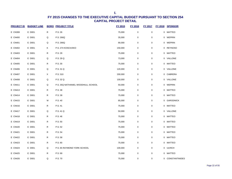| <b>PROJECT ID</b> | <b>BUDGET LINE</b> |              | <b>BORO PROJECT TITLE</b>          | FY 2015 | FY 2016     | <b>FY 2017</b> | FY 2018 SPONSOR  |
|-------------------|--------------------|--------------|------------------------------------|---------|-------------|----------------|------------------|
| E CN399           | E D001             | R            | P.S. 26                            | 75,000  | $\pmb{0}$   | $\pmb{0}$      | 0 MATTEO         |
| E CN400           | E D001             | Q            | P.S. 266Q                          | 35,000  | $\pmb{0}$   | $\pmb{0}$      | 0 WEPRIN         |
| E CN401           | E D001             | Q            | P.S. 266Q                          | 90,000  | $\pmb{0}$   | 0              | 0 WEPRIN         |
| E CN402           | E D001             | Κ            | P.S. 274 KOSCIUSKO                 | 150,000 | $\mathbf 0$ | 0              | 0 REYNOSO        |
| E CN403           | E D001             | R            | P.S. 29                            | 75,000  | $\pmb{0}$   | 0              | 0 MATTEO         |
| E CN404           | E D001             | Q            | P.S. 29 Q                          | 73,000  | $\pmb{0}$   | 0              | 0 VALLONE        |
| <b>E CN405</b>    | E D001             | R            | P.S. 30                            | 75,000  | $\pmb{0}$   | $\pmb{0}$      | 0 MATTEO         |
| E CN406           | E D001             | Q            | P.S. 31 Q                          | 120,000 | 0           | 0              | 0 VALLONE        |
| E CN407           | E D001             | X            | P.S. 310                           | 200,000 | $\pmb{0}$   | $\pmb{0}$      | 0 CABRERA        |
| <b>E CN408</b>    | E D001             | Q            | P.S. 32 Q                          | 100,000 | 0           | $\pmb{0}$      | 0 VALLONE        |
| E CN411           | E D001             | Q            | P.S. 35Q NATHANIEL WOODHULL SCHOOL | 50,000  | 0           | 0              | 0 WEPRIN         |
| E CN413           | E D001             | R            | P.S. 38                            | 75,000  | $\pmb{0}$   | $\pmb{0}$      | 0 MATTEO         |
| E CN414           | E D001             | R            | P.S. 39                            | 75,000  | $\pmb{0}$   | 0              | 0 MATTEO         |
| E CN415           | E D001             | М            | P.S. 40                            | 85,000  | $\pmb{0}$   | 0              | 0 GARODNICK      |
| E CN416           | E D001             | R            | P.S. 41                            | 75,000  | $\pmb{0}$   | 0              | 0 MATTEO         |
| E CN417           | E D001             | Q            | P.S. 41 Q                          | 50,000  | $\pmb{0}$   | 0              | 0 VALLONE        |
| <b>E CN418</b>    | E D001             | $\mathsf{R}$ | P.S. 46                            | 75,000  | $\pmb{0}$   | $\pmb{0}$      | 0 MATTEO         |
| E CN419           | E D001             | R            | P.S. 50                            | 75,000  | 0           | 0              | 0 MATTEO         |
| <b>E CN420</b>    | E D001             | ${\sf R}$    | P.S. 52                            | 75,000  | $\pmb{0}$   | $\pmb{0}$      | 0 MATTEO         |
| E CN421           | E D001             | R            | P.S. 54                            | 75,000  | 0           | $\pmb{0}$      | 0 MATTEO         |
| E CN422           | E D001             | R            | P.S. 58                            | 75,000  | 0           | 0              | 0 MATTEO         |
| <b>E CN423</b>    | E D001             | R            | P.S. 60                            | 75,000  | $\pmb{0}$   | $\pmb{0}$      | 0 MATTEO         |
| E CN424           | E D001             | Q            | P.S. 65 RAYMOND YORK SCHOOL        | 100,000 | $\pmb{0}$   | $\pmb{0}$      | 0 ULRICH         |
| E CN425           | E D001             | R            | P.S. 69                            | 75,000  | $\mathbf 0$ | 0              | 0 MATTEO         |
| E CN426           | E D001             | Q            | P.S. 70                            | 75,000  | 0           | 0              | 0 CONSTANTINIDES |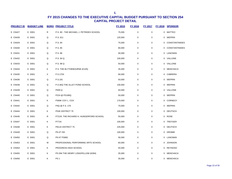| <b>PROJECT ID</b> | <b>BUDGET LINE</b> |   | <b>BORO PROJECT TITLE</b>                | FY 2015 | FY 2016     | <b>FY 2017</b> | <b>FY 2018</b> | <b>SPONSOR</b>   |
|-------------------|--------------------|---|------------------------------------------|---------|-------------|----------------|----------------|------------------|
| <b>E CN427</b>    | E D001             | R | P.S. 80 - THE MICHAEL J. PETRIDES SCHOOL | 75,000  | $\pmb{0}$   | $\pmb{0}$      |                | 0 MATTEO         |
| E CN428           | E D001             | Q | P.S. 811                                 | 120,000 | $\mathbf 0$ | $\mathbf 0$    |                | 0 WEPRIN         |
| E CN429           | E D001             | Q | P.S. 84                                  | 75,000  | $\mathbf 0$ | $\mathbf 0$    |                | 0 CONSTANTINIDES |
| E CN430           | E D001             | Q | P.S. 85                                  | 80,000  | $\mathbf 0$ | $\mathbf 0$    |                | 0 CONSTANTINIDES |
| E CN431           | E D001             | Q | P.S. 86                                  | 56,000  | $\mathbf 0$ | $\mathbf 0$    |                | 0 LANCMAN        |
| E CN432           | E D001             | Q | P.S. 94 Q                                | 100,000 | $\mathbf 0$ | $\mathbf 0$    |                | 0 VALLONE        |
| E CN433           | E D001             | Q | P.S. 98 Q                                | 50,000  | $\mathbf 0$ | $\mathbf 0$    |                | 0 VALLONE        |
| E CN434           | E D001             | Κ | P.S. THE BLYTHEBOURNE (K105)             | 35,000  | 0           | $\mathbf 0$    |                | 0 MENCHACA       |
| E CN435           | E D001             | X | P.S.170X                                 | 66,000  | $\pmb{0}$   | $\pmb{0}$      |                | 0 CABRERA        |
| E CN436           | E D001             | Q | P.S.191                                  | 50,000  | 0           | $\pmb{0}$      |                | 0 WEPRIN         |
| E CN438           | E D001             | Q | P.S.46Q THE ALLEY POND SCHOOL            | 100,000 | $\pmb{0}$   | $\pmb{0}$      |                | 0 WEPRIN         |
| E CN439           | E D001             | Q | P009 Q                                   | 50,000  | $\pmb{0}$   | $\pmb{0}$      |                | 0 VALLONE        |
| E CN440           | E D001             | Q | P224 @ PS186Q                            | 50,000  | $\mathbf 0$ | $\pmb{0}$      |                | 0 WEPRIN         |
| E CN441           | E D001             | K | P369K COY L. COX                         | 170,000 | $\mathbf 0$ | $\pmb{0}$      |                | 0 CORNEGY        |
| E CN442           | E D001             | Q | P4Q @ P.S. 179                           | 70,000  | $\mathbf 0$ | $\mathbf 0$    |                | 0 WEPRIN         |
| <b>E CN444</b>    | E D001             | Κ | P53K DISTRICT 75                         | 100,000 | $\mathbf 0$ | $\mathbf 0$    |                | 0 DEUTSCH        |
| E CN445           | E D001             | R | P721R, THE RICHARD H. HUNGERFORD SCHOOL  | 55,000  | $\mathbf 0$ | $\mathbf 0$    |                | 0 ROSE           |
| E CN447           | E D001             | Κ | P771K                                    | 100,000 | $\mathbf 0$ | $\mathbf 0$    |                | 0 TREYGER        |
| <b>E CN448</b>    | E D001             | Κ | P811K DISTRICT 75                        | 225,000 | $\mathbf 0$ | $\mathbf 0$    |                | 0 DEUTSCH        |
| E CN449           | E D001             | Q | <b>P9 AT IS5</b>                         | 100,000 | $\pmb{0}$   | $\mathbf 0$    |                | 0 DROMM          |
| E CN450           | E D001             | Q | P9 AT PS882                              | 56,000  | 0           | $\mathbf 0$    |                | 0 LANCMAN        |
| E CN453           | E D001             | М | PROFESSIONAL PERFORMING ARTS SCHOOL      | 60,000  | $\pmb{0}$   | $\mathbf 0$    |                | 0 JOHNSON        |
| E CN454           | E D001             | Κ | PROGRESS HIGH SCHOOL                     | 50,000  | $\mathbf 0$ | $\mathbf 0$    |                | 0 REYNOSO        |
| E CN455           | E D001             | Κ | PS 094 THE HENRY LONGFELLOW (K094)       | 35,000  | $\mathbf 0$ | $\pmb{0}$      |                | 0 MENCHACA       |
| E CN456           | E D001             | K | PS <sub>1</sub>                          | 35,000  | $\mathbf 0$ | $\pmb{0}$      |                | 0 MENCHACA       |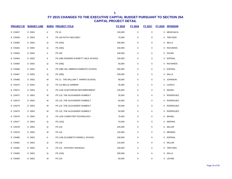| <b>PROJECT ID</b> | <b>BUDGET LINE</b> |   | <b>BORO PROJECT TITLE</b>            | FY 2015 | <b>FY 2016</b>   | <b>FY 2017</b> | <b>FY 2018</b> | <b>SPONSOR</b>   |
|-------------------|--------------------|---|--------------------------------------|---------|------------------|----------------|----------------|------------------|
| E CN457           | E D001             | Κ | <b>PS 10</b>                         | 150,000 | $\pmb{0}$        | 0              | $\mathbf 0$    | <b>MENCHACA</b>  |
| E CN458           | E D001             | Κ | PS 100 KATHY MOLONEY                 | 75,000  | $\mathbf 0$      | $\mathbf 0$    |                | 0 TREYGER        |
| E CN460           | E D001             | Q | <b>PS 100Q</b>                       | 200,000 | $\mathbf 0$      | 0              |                | 0 WILLS          |
| E CN462           | E D001             | Q | <b>PS 105Q</b>                       | 150,000 | $\mathbf 0$      | 0              |                | 0 RICHARDS       |
| E CN463           | E D001             | X | PS 106                               | 100,000 | $\mathbf 0$      | 0              | 0              | PALMA            |
| E CN464           | E D001             | Κ | PS 106K EDWARD EVERETT HALE SCHOOL   | 100,000 | $\mathbf 0$      | 0              |                | 0 ESPINAL        |
| E CN465           | E D001             | Q | <b>PS 106Q</b>                       | 50,000  | $\mathbf 0$      | 0              | 0              | <b>RICHARDS</b>  |
| E CN466           | E D001             | Κ | PS 108K SAL ABBRACCIAMENTO SCHOOL    | 500,000 | $\mathbf 0$      | 0              |                | 0 ESPINAL        |
| E CN467           | E D001             | Q | <b>PS 108Q</b>                       | 100,000 | $\mathbf 0$      | 0              |                | 0 WILLS          |
| <b>E CN468</b>    | E D001             | M | PS 11 - THE WILLIAM T. HARRIS SCHOOL | 68,000  | $\pmb{0}$        | 0              |                | 0 JOHNSON        |
| E CN470           | E D001             | Q | PS 114 BELLE HARBOR                  | 35,000  | $\mathbf 0$      | 0              |                | 0 ULRICH         |
| E CN471           | E D001             | Κ | PS 114K AUDITORIUM REFURBISHMENT     | 125,000 | $\pmb{0}$        | 0              | 0              | MAISEL           |
| E CN472           | E D001             | M | PS 115, THE ALEXANDER HUMBOLT        | 35,000  | $\mathbf 0$      | 0              | 0              | RODRIGUEZ        |
| E CN473           | E D001             | M | PS 115, THE ALEXANDER HUMBOLT        | 50,000  | $\boldsymbol{0}$ | 0              | 0              | RODRIGUEZ        |
| E CN474           | E D001             | м | PS 115, THE ALEXANDER HUMBOLT        | 50,000  | $\mathbf 0$      | 0              | 0              | RODRIGUEZ        |
| E CN475           | E D001             | M | PS 115, THE ALEXANDER HUMBOLT        | 50,000  | $\boldsymbol{0}$ | 0              | $\mathbf 0$    | <b>RODRIGUEZ</b> |
| E CN476           | E D001             | Κ | PS 115K COMPUTER TECHNOLOGY          | 75,000  | $\mathbf 0$      | 0              | 0              | MAISEL           |
| E CN477           | E D001             | Q | <b>PS 115Q</b>                       | 70,000  | $\boldsymbol{0}$ | 0              | 0              | WEPRIN           |
| <b>E CN478</b>    | E D001             | Q | PS 116                               | 155,000 | $\mathbf 0$      | 0              |                | 0 MILLER         |
| E CN479           | E D001             | M | PS 116                               | 125,000 | $\boldsymbol{0}$ | 0              |                | 0 MENDEZ         |
| E CN480           | E D001             | Κ | PS 116K ELIZABETH FARRELL SCHOOL     | 100,000 | $\mathbf 0$      | 0              |                | 0 ESPINAL        |
| E CN481           | E D001             | Q | PS 118                               | 116,000 | $\pmb{0}$        | 0              |                | 0 MILLER         |
| E CN482           | E D001             | Κ | PS 121 - ANTHONY MUNGIOLI            | 100,000 | $\mathbf 0$      | 0              |                | 0 TREYGER        |
| E CN483           | E D001             | Q | <b>PS 124Q</b>                       | 200,000 | $\boldsymbol{0}$ | 0              | 0              | WILLS            |
| E CN484           | E D001             | M | <b>PS 125</b>                        | 50,000  | $\mathbf 0$      | 0              |                | 0 LEVINE         |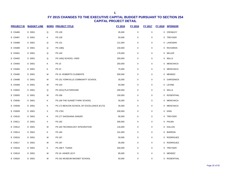| <b>PROJECT ID</b> | <b>BUDGET LINE</b> |   | <b>BORO PROJECT TITLE</b>                 | <b>FY 2015</b> | <b>FY 2016</b> | <b>FY 2017</b> | <b>FY 2018</b> | <b>SPONSOR</b>  |
|-------------------|--------------------|---|-------------------------------------------|----------------|----------------|----------------|----------------|-----------------|
| E CN486           | E D001             | Q | <b>PS 128</b>                             | 35,000         | 0              | 0              | 0              | CROWLEY         |
| <b>E CN487</b>    | E D001             | Κ | <b>PS 128</b>                             | 50,000         | 0              | 0              |                | 0 TREYGER       |
| <b>E CN488</b>    | E D001             | Q | PS 131                                    | 121,000        | 0              | 0              | 0              | LANCMAN         |
| E CN489           | E D001             | Q | <b>PS 138Q</b>                            | 150,000        | 0              | 0              | 0              | <b>RICHARDS</b> |
| E CN491           | E D001             | Q | PS 140                                    | 176,000        | 0              | 0              | 0              | MILLER          |
| E CN492           | E D001             | Q | PS 140Q SCHOOL YARD                       | 250,000        | 0              | 0              | 0              | WILLS           |
| E CN493           | E D001             | Κ | <b>PS 15</b>                              | 250,000        | 0              | 0              | 0              | <b>MENCHACA</b> |
| E CN494           | E D001             | Κ | <b>PS 15</b>                              | 75,000         | 0              | 0              |                | 0 MENCHACA      |
| E CN495           | E D001             | M | PS 15 - ROBERTO CLEMENTE                  | 500,000        | 0              | 0              |                | 0 MENDEZ        |
| E CN498           | E D001             | M | PS 151 YORKVILLE COMMUNITY SCHOOL         | 35,000         | 0              | 0              |                | 0 GARODNICK     |
| <b>E CN499</b>    | E D001             | M | PS 153                                    | 50,000         | 0              | $\mathbf 0$    |                | 0 LEVINE        |
| E CN502           | E D001             | Q | PS 161Q PLAYGROUND                        | 200,000        | 0              | 0              | 0              | WILLS           |
| <b>E CN505</b>    | E D001             | м | PS 166                                    | 150,000        | 0              | 0              |                | 0 ROSENTHAL     |
| <b>E CN506</b>    | E D001             | Κ | PS 169 THE SUNSET PARK SCHOOL             | 35,000         | 0              | 0              | 0              | <b>MENCHACA</b> |
| <b>E CN508</b>    | E D001             | Κ | PS 172 BEACON SCHOOL OF EXCELLENCE (K172) | 35,000         | 0              | 0              | 0              | MENCHACA        |
| <b>E CN509</b>    | E D001             | X | <b>PS 176X</b>                            | 200,000        | 0              | 0              | 0              | <b>KING</b>     |
| E CN510           | E D001             | Κ | PS 177 SHOSHANA SINGER                    | 95,000         | 0              | 0              | 0              | TREYGER         |
| E CN511           | E D001             | Χ | PS 182                                    | 300,000        | 0              | 0              |                | 0 PALMA         |
| E CN512           | E D001             | M | PS 183 TECHNOLOGY INTEGRATION             | 116,000        | 0              | 0              |                | 0 KALLOS        |
| E CN514           | E D001             | Κ | PS 184                                    | 101,000        | 0              | 0              | 0              | <b>BARRON</b>   |
| E CN516           | E D001             | M | PS 187                                    | 50,000         | 0              | 0              |                | 0 RODRIGUEZ     |
| E CN517           | E D001             | M | <b>PS 187</b>                             | 35,000         | 0              | 0              | 0              | RODRIGUEZ       |
| E CN518           | E D001             | Κ | PS 188 F. TUDDA                           | 250,000        | 0              | 0              | 0              | TREYGER         |
| E CN519           | E D001             | M | PS 19- ASHER LEVY                         | 85,000         | 0              | 0              | 0              | MENDEZ          |
| <b>E CN520</b>    | E D001             | M | PS 191 MUSEUM MAGNET SCHOOL               | 50,000         | 0              | 0              | 0              | ROSENTHAL       |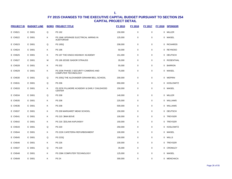| <b>PROJECT ID</b> | <b>BUDGET LINE</b> |   | <b>BORO PROJECT TITLE</b>                                          | FY 2015 | FY 2016     | FY 2017     | <b>FY 2018</b> | <b>SPONSOR</b>  |
|-------------------|--------------------|---|--------------------------------------------------------------------|---------|-------------|-------------|----------------|-----------------|
| E CN521           | E D001             | Q | PS 192                                                             | 150,000 | $\pmb{0}$   | $\pmb{0}$   | $\mathbf 0$    | <b>MILLER</b>   |
| E CN522           | E D001             | κ | PS 194K UPGRADE ELECTRICAL WIRING IN<br><b>AUDITORIUM</b>          | 125,000 | 0           | $\mathbf 0$ | 0              | MAISEL          |
| E CN523           | E D001             | Q | <b>PS 195Q</b>                                                     | 208,000 | 0           | 0           | $\Omega$       | <b>RICHARDS</b> |
| E CN524           | E D001             | Κ | <b>PS 196</b>                                                      | 50,000  | 0           | $\mathbf 0$ | 0              | REYNOSO         |
| <b>E CN525</b>    | E D001             | Κ | PS 197 THE KINGS HIGHWAY ACADEMY                                   | 151,000 | 0           | 0           | 0              | <b>DEUTSCH</b>  |
| E CN527           | E D001             | М | PS 199 JESSE ISADOR STRAUSS                                        | 35,000  | 0           | 0           | 0              | ROSENTHAL       |
| <b>E CN528</b>    | E D001             | Κ | PS 202                                                             | 55,000  | 0           | 0           | 0              | <b>BARRON</b>   |
| E CN529           | E D001             | Κ | PS 203K PHASE 2 SECURITY CAMERAS AND<br><b>COMPUTER TECHNOLOGY</b> | 75,000  | 0           | 0           | 0              | MAISEL          |
| E CN530           | E D001             | Q | PS 205Q THE ALEXANDER GRAHAM BELL SCHOOL                           | 200,000 | 0           | $\mathbf 0$ |                | 0 WEPRIN        |
| E CN531           | E D001             | Q | <b>PS 206</b>                                                      | 650,000 | $\mathbf 0$ | 0           | 0              | KOSLOWITZ       |
| E CN533           | E D001             | Κ | PS 207K FILLMORE ACADEMY & EARLY CHILDHOOD<br><b>CENTER</b>        | 150,000 | $\mathbf 0$ | 0           | 0              | MAISEL          |
| E CN534           | E D001             | Q | <b>PS 208</b>                                                      | 140,000 | 0           | $\mathbf 0$ | 0              | MILLER          |
| E CN535           | E D001             | κ | <b>PS 208</b>                                                      | 225,000 | 0           | 0           | 0              | WILLIAMS        |
| E CN536           | E D001             | Κ | <b>PS 208</b>                                                      | 500,000 | 0           | $\mathbf 0$ | $\Omega$       | WILLIAMS        |
| E CN537           | E D001             | Κ | PS 209 MARGARET MEAD SCHOOL                                        | 150,000 | 0           | 0           | 0              | <b>DEUTSCH</b>  |
| E CN541           | E D001             | Κ | PS 215 . ANN BOVE                                                  | 100,000 | 0           | $\mathbf 0$ | $\Omega$       | TREYGER         |
| E CN542           | E D001             | Κ | PS 216 . CELINA KAPLINSKY                                          | 150,000 | 0           | 0           | 0              | TREYGER         |
| E CN543           | E D001             | Q | <b>PS 220</b>                                                      | 250,000 | 0           | $\mathbf 0$ | 0              | KOSLOWITZ       |
| E CN544           | E D001             | Κ | PS 222K CAFETERIA REFURBISHMENT                                    | 100,000 | 0           | 0           | 0              | MAISEL          |
| E CN545           | E D001             | Q | <b>PS 223Q</b>                                                     | 150,000 | 0           | 0           |                | 0 WILLS         |
| E CN546           | E D001             | Κ | <b>PS 226</b>                                                      | 100,000 | $\mathbf 0$ | 0           |                | 0 TREYGER       |
| E CN547           | E D001             | Q | <b>PS 229</b>                                                      | 35,000  | 0           | 0           | 0              | CROWLEY         |
| <b>E CN548</b>    | E D001             | Κ | PS 236K COMPUTER TECHNOLOGY                                        | 125,000 | 0           | $\mathbf 0$ | 0              | MAISEL          |
| E CN549           | E D001             | K | <b>PS 24</b>                                                       | 300,000 | 0           | 0           | 0              | MENCHACA        |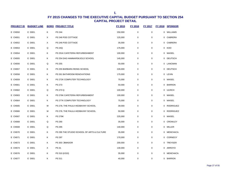| <b>PROJECT ID</b> | <b>BUDGET LINE</b> |   | <b>BORO PROJECT TITLE</b>                  | <b>FY 2015</b> | <b>FY 2016</b> | <b>FY 2017</b> | FY 2018 | <b>SPONSOR</b>   |
|-------------------|--------------------|---|--------------------------------------------|----------------|----------------|----------------|---------|------------------|
| E CN550           | E D001             | Κ | <b>PS 244</b>                              | 250,000        | $\pmb{0}$      | $\pmb{0}$      | 0       | WILLIAMS         |
| E CN551           | E D001             | X | PS 246 POE COTTAGE                         | 125,000        | $\pmb{0}$      | 0              |         | 0 CABRERA        |
| E CN552           | E D001             | Χ | PS 246 POE COTTAGE                         | 35,000         | $\mathbf 0$    | 0              | 0       | CABRERA          |
| E CN553           | E D001             | Q | <b>PS 24Q</b>                              | 175,000        | $\pmb{0}$      | 0              |         | 0 KOO            |
| <b>E CN554</b>    | E D001             | Κ | PS 251K CAFETERIA REFURBISHMENT            | 100,000        | $\mathbf 0$    | 0              | 0       | MAISEL           |
| E CN555           | E D001             | Κ | PS 254 DAG HAMMARSKJOLD SCHOOL             | 145,000        | $\pmb{0}$      | 0              | 0       | DEUTSCH          |
| E CN556           | E D001             | Q | PS 255                                     | 50,000         | $\pmb{0}$      | 0              | 0       | LANCMAN          |
| <b>E CN557</b>    | E D001             | Κ | PS 255 BARBARA REING SCHOOL                | 226,000        | $\mathbf 0$    | 0              |         | 0 DEUTSCH        |
| <b>E CN558</b>    | E D001             | Κ | PS 261 BATHROOM RENOVATIONS                | 175,000        | $\pmb{0}$      | $\pmb{0}$      |         | 0 LEVIN          |
| <b>E CN559</b>    | E D001             | Κ | PS 272K COMPUTER TECHNOLOGY                | 75,000         | $\pmb{0}$      | 0              |         | 0 MAISEL         |
| E CN561           | E D001             | Κ | PS 273                                     | 50,000         | $\pmb{0}$      | 0              |         | 0 BARRON         |
| E CN562           | E D001             | Q | PS 273 Q                                   | 100,000        | $\pmb{0}$      | 0              | 0       | <b>ULRICH</b>    |
| E CN563           | E D001             | Κ | PS 276K CAFETERIA REFURBISHMENT            | 100,000        | $\mathbf 0$    | 0              | 0       | MAISEL           |
| <b>E CN564</b>    | E D001             | Κ | PS 277K COMPUTER TECHNOLOGY                | 75,000         | $\pmb{0}$      | 0              | 0       | MAISEL           |
| E CN565           | E D001             | M | PS 278, THE PAULA HEDBAVNY SCHOOL          | 39,000         | $\mathbf 0$    | 0              | 0       | <b>RODRIGUEZ</b> |
| <b>E CN566</b>    | E D001             | M | PS 278, THE PAULA HEDBAVNY SCHOOL          | 50,000         | $\pmb{0}$      | 0              | 0       | <b>RODRIGUEZ</b> |
| <b>E CN567</b>    | E D001             | Κ | <b>PS 279K</b>                             | 225,000        | $\pmb{0}$      | 0              | 0       | MAISEL           |
| <b>E CN568</b>    | E D001             | Q | PS 290                                     | 35,000         | $\mathbf 0$    | 0              |         | 0 CROWLEY        |
| E CN569           | E D001             | Q | PS 295                                     | 140,000        | $\mathbf 0$    | 0              |         | 0 MILLER         |
| <b>E CN570</b>    | E D001             | Κ | PS 295 THE STUDIO SCHOOL OF ARTS & CULTURE | 35,000         | $\mathbf 0$    | 0              |         | 0 MENCHACA       |
| E CN571           | E D001             | Κ | PS 297                                     | 170,000        | $\pmb{0}$      | 0              |         | 0 CORNEGY        |
| E CN573           | E D001             | Κ | PS 303 . AMADOR                            | 200,000        | $\mathbf 0$    | 0              |         | 0 TREYGER        |
| <b>E CN574</b>    | E D001             | X | PS 31                                      | 130,000        | $\mathbf 0$    | 0              | 0       | ARROYO           |
| E CN576           | E D001             | Κ | PS 310 (K310)                              | 35,000         | $\pmb{0}$      | 0              | 0       | MENCHACA         |
| <b>E CN577</b>    | E D001             | Κ | PS 311                                     | 40,000         | $\mathbf 0$    | 0              |         | 0 BARRON         |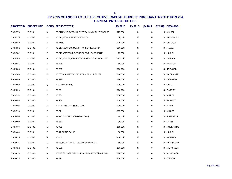| <b>PROJECT ID</b> | <b>BUDGET LINE</b> | <b>BORO</b> | <b>PROJECT TITLE</b>                           | <b>FY 2015</b> | <b>FY 2016</b> | <b>FY 2017</b> | <b>FY 2018</b> | <b>SPONSOR</b>   |
|-------------------|--------------------|-------------|------------------------------------------------|----------------|----------------|----------------|----------------|------------------|
| <b>E CN578</b>    | E D001             | Κ           | PS 312K AUDIO/VISUAL SYSTEM IN MULTI-USE SPACE | 225,000        | $\pmb{0}$      | $\mathbf 0$    | 0              | MAISEL           |
| E CN579           | E D001             | M           | PS 314, MUSCOTA NEW SCHOOL                     | 50,000         | 0              | 0              | 0              | <b>RODRIGUEZ</b> |
| <b>E CN580</b>    | E D001             | Κ           | <b>PS 315K</b>                                 | 100,000        | 0              | 0              | 0              | <b>WILLIAMS</b>  |
| <b>E CN581</b>    | E D001             | X           | PS 317 (NEW SCHOOL ON WHITE PLAINS RD)         | 300,000        | 0              | 0              | 0              | <b>PALMA</b>     |
| <b>E CN582</b>    | E D001             | Q           | PS 318 WATERSIDE SCHOOL FOR LEADERSHIP         | 75,000         | 0              | 0              | 0              | <b>ULRICH</b>    |
| E CN583           | E D001             | Κ           | PS 321, PS 130, AND PS 230 SCHOOL TECHNOLOGY   | 195,000        | 0              | 0              |                | 0 LANDER         |
| <b>E CN587</b>    | E D001             | ĸ           | PS 328                                         | 55,000         | 0              | 0              |                | 0 BARRON         |
| <b>E CN588</b>    | E D001             | ĸ           | PS 329                                         | 150,000        | 0              | 0              |                | 0 TREYGER        |
| E CN589           | E D001             | M           | PS 333 MANHATTAN SCHOOL FOR CHILDREN           | 170,000        | 0              | 0              | 0              | ROSENTHAL        |
| E CN590           | E D001             | Κ           | PS 335                                         | 156,000        | 0              | 0              | 0              | <b>CORNEGY</b>   |
| E CN592           | E D001             | Q           | PS 354Q LIBRARY                                | 150,000        | 0              | $\mathbf 0$    | 0              | <b>WILLS</b>     |
| E CN593           | E D001             | Κ           | PS 36                                          | 100,000        | 0              | 0              | 0              | <b>BARRON</b>    |
| E CN594           | E D001             | Q           | <b>PS 36</b>                                   | 150,000        | 0              | 0              | 0              | MILLER           |
| <b>E CN596</b>    | E D001             | ĸ           | PS 364                                         | 100,000        | 0              | 0              | 0              | <b>BARRON</b>    |
| <b>E CN597</b>    | E D001             | M           | PS 364 - THE EARTH SCHOOL                      | 105,000        | 0              | 0              | 0              | MENDEZ           |
| <b>E CN598</b>    | E D001             | Q           | <b>PS 37</b>                                   | 135,000        | 0              | 0              | 0              | MILLER           |
| <b>E CN599</b>    | E D001             | Κ           | PS 371 LILLIAN L. RASHKIS (K371)               | 35,000         | 0              | $\mathbf 0$    |                | 0 MENCHACA       |
| <b>E CN600</b>    | E D001             | ĸ           | PS 380                                         | 70,000         | 0              | 0              | 0              | LEVIN            |
| <b>E CN606</b>    | E D001             | M           | PS 452                                         | 105,000        | 0              | 0              | 0              | ROSENTHAL        |
| <b>E CN609</b>    | E D001             | Q           | PS 47 CHRIS GALAS                              | 50,000         | 0              | 0              | 0              | <b>ULRICH</b>    |
| E CN610           | E D001             | X           | <b>PS 48</b>                                   | 200,000        | 0              | 0              | 0              | ARROYO           |
| E CN611           | E D001             | M           | PS 48, PO MICHAEL J. BUCZECK SCHOOL            | 50,000         | 0              | 0              | 0              | <b>RODRIGUEZ</b> |
| E CN612           | E D001             | Κ           | PS 503                                         | 150,000        | 0              | 0              | 0              | MENCHACA         |
| E CN613           | E D001             | Κ           | PS 506 SCHOOL OF JOURNALISM AND TECHNOLOGY     | 120,000        | 0              | 0              | 0              | <b>MENCHACA</b>  |
| E CN615           | E D001             | X           | PS 53                                          | 300,000        | $\mathbf 0$    | 0              | 0              | <b>GIBSON</b>    |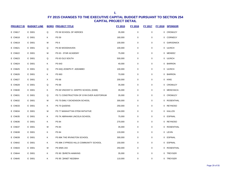| <b>PROJECT ID</b> | <b>BUDGET LINE</b> |   | <b>BORO PROJECT TITLE</b>                 | <b>FY 2015</b> | <b>FY 2016</b> | <b>FY 2017</b> | <b>FY 2018</b> | <b>SPONSOR</b>   |
|-------------------|--------------------|---|-------------------------------------------|----------------|----------------|----------------|----------------|------------------|
| E CN617           | E D001             | Q | PS 58 SCHOOL OF HEROES                    | 35,000         | $\mathbf 0$    | $\mathbf 0$    | 0              | <b>CROWLEY</b>   |
| E CN618           | E D001             | Κ | PS 59                                     | 160,000        | 0              | $\pmb{0}$      | 0              | <b>CORNEGY</b>   |
| E CN619           | E D001             | M | PS <sub>6</sub>                           | 100,000        | 0              | 0              | 0              | <b>GARODNICK</b> |
| E CN621           | E D001             | Q | PS 60 WOODHAVEN                           | 100,000        | 0              | 0              | 0              | <b>ULRICH</b>    |
| E CN622           | E D001             | M | PS 63 - STAR ACADEMY                      | 75,000         | 0              | 0              | 0              | MENDEZ           |
| E CN623           | E D001             | Q | PS 63 OLD SOUTH                           | 500,000        | 0              | 0              | 0              | <b>ULRICH</b>    |
| <b>E CN624</b>    | E D001             | Κ | PS 643                                    | 40,000         | 0              | 0              |                | 0 BARRON         |
| <b>E CN625</b>    | E D001             | Q | PS 64Q JOSEPH P. ADDABBO                  | 100,000        | 0              | 0              |                | 0 ULRICH         |
| E CN626           | E D001             | Κ | PS 663                                    | 70,000         | 0              | 0              |                | 0 BARRON         |
| <b>E CN627</b>    | E D001             | X | PS 68                                     | 200,000        | 0              | 0              | 0              | <b>KING</b>      |
| <b>E CN628</b>    | E D001             | Q | PS 68                                     | 35,000         | 0              | $\pmb{0}$      | 0              | <b>CROWLEY</b>   |
| E CN630           | E D001             | Κ | PS 69 VINCENT D. GRIPPO SCHOOL (K069)     | 35,000         | 0              | 0              | 0              | <b>MENCHACA</b>  |
| E CN631           | E D001             | Q | PS 71 CONSTRUCTION OF GYM OVER AUDITORIUM | 35,000         | 0              | 0              | 0              | <b>CROWLEY</b>   |
| E CN632           | E D001             | M | PS 75 EMILY DICKENSON SCHOOL              | 300,000        | 0              | $\pmb{0}$      | 0              | <b>ROSENTHAL</b> |
| E CN633           | E D001             | Κ | PS 75 QUEENS                              | 250,000        | 0              | 0              | 0              | <b>REYNOSO</b>   |
| E CN634           | E D001             | M | PS 77 MANHATTAN STEM INITIATIVE           | 104,000        | 0              | 0              | 0              | KALLOS           |
| <b>E CN635</b>    | E D001             | Κ | PS 7K ABRAHAM LINCOLN SCHOOL              | 75,000         | 0              | 0              | 0              | <b>ESPINAL</b>   |
| <b>E CN636</b>    | E D001             | Κ | <b>PS 84</b>                              | 270,000        | 0              | 0              | $\mathbf{0}$   | <b>REYNOSO</b>   |
| <b>E CN637</b>    | E D001             | M | PS 84                                     | 35,000         | $\mathbf 0$    | 0              | 0              | ROSENTHAL        |
| <b>E CN638</b>    | E D001             | Κ | PS 84                                     | 133,000        | 0              | $\mathbf 0$    |                | 0 LEVIN          |
| E CN639           | E D001             | Κ | PS 86K THE IRVINGTON SCHOOL               | 300,000        | 0              | $\pmb{0}$      | 0              | <b>ESPINAL</b>   |
| E CN642           | E D001             | Κ | PS 89K CYPRESS HILLS COMMUNITY SCHOOL     | 150,000        | 0              | 0              | 0              | <b>ESPINAL</b>   |
| E CN643           | E D001             | M | PS 9/MS 243                               | 250,000        | 0              | 0              | 0              | <b>ROSENTHAL</b> |
| E CN644           | E D001             | Κ | PS 90 . GIRETA HAWKINS                    | 35,000         | 0              | 0              | 0              | <b>TREYGER</b>   |
| <b>E CN645</b>    | E D001             | Κ | PS 95 . JANET NDZIBAH                     | 110,000        | 0              | 0              | 0              | TREYGER          |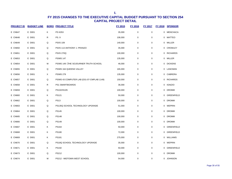| <b>PROJECT ID</b> | <b>BUDGET LINE</b> |   | <b>BORO PROJECT TITLE</b>                  | <b>FY 2015</b> | FY 2016     | <b>FY 2017</b> | <b>FY 2018</b> | <b>SPONSOR</b>  |
|-------------------|--------------------|---|--------------------------------------------|----------------|-------------|----------------|----------------|-----------------|
| <b>E CN647</b>    | E D001             | Κ | <b>PS K053</b>                             | 35,000         | $\mathbf 0$ | $\mathbf 0$    | 0              | MENCHACA        |
| <b>E CN648</b>    | E D001             | R | <b>PS. 9</b>                               | 106,000        | 0           | 0              | 0              | MATTEO          |
| <b>E CN649</b>    | E D001             | Q | <b>PS/IS 109</b>                           | 140,000        | 0           | 0              | 0              | MILLER          |
| <b>E CN650</b>    | E D001             | Q | PS/IS 113 ANTHONY J. PRANZO                | 35,000         | 0           | 0              | 0              | CROWLEY         |
| <b>E CN651</b>    | E D001             | Q | <b>PS/IS 270Q</b>                          | 100,000        | 0           | 0              | 0              | <b>RICHARDS</b> |
| E CN653           | E D001             | Q | <b>PS/MS 147</b>                           | 135,000        | 0           | 0              | 0              | MILLER          |
| <b>E CN654</b>    | E D001             | M | PS/MS 149 . THE SOJOURNER TRUTH SCHOOL     | 46,000         | 0           | 0              |                | 0 DICKENS       |
| <b>E CN655</b>    | E D001             | Q | PS/MS 164 QUEENS VALLEY                    | 165,000        | 0           | 0              |                | 0 LANCMAN       |
| <b>E CN656</b>    | E D001             | X | <b>PS/MS 279</b>                           | 135,000        | 0           | 0              |                | 0 CABRERA       |
| <b>E CN657</b>    | E D001             | Q | PS/MS 43 COMPUTER LAB (D31-07-CMPLAB 1149) | 150,000        | 0           | 0              |                | 0 RICHARDS      |
| <b>E CN658</b>    | E D001             | R | PS1 SMARTBOARDS                            | 36,000         | 0           | 0              | 0              | <b>IGNIZIO</b>  |
| <b>E CN659</b>    | E D001             | Q | PS102/IS105                                | 100,000        | 0           | 0              | 0              | <b>DROMM</b>    |
| <b>E CN660</b>    | E D001             | Κ | PS121                                      | 50,000         | 0           | 0              | 0              | GREENFIELD      |
| <b>E CN662</b>    | E D001             | Q | <b>PS13</b>                                | 100,000        | 0           | 0              | 0              | <b>DROMM</b>    |
| E CN663           | E D001             | Q | PS135Q SCHOOL TECHNOLOGY UPGRADE           | 51,000         | 0           | 0              | 0              | WEPRIN          |
| <b>E CN664</b>    | E D001             | Q | PS145                                      | 100,000        | 0           | 0              | 0              | <b>DROMM</b>    |
| <b>E CN665</b>    | E D001             | Q | <b>PS148</b>                               | 100,000        | 0           | 0              | 0              | <b>DROMM</b>    |
| <b>E CN666</b>    | E D001             | Q | PS149                                      | 100,000        | 0           | 0              |                | 0 DROMM         |
| <b>E CN667</b>    | E D001             | Κ | PS164                                      | 50,000         | 0           | 0              |                | 0 GREENFIELD    |
| <b>E CN668</b>    | E D001             | Κ | <b>PS180</b>                               | 72,000         | 0           | 0              |                | 0 GREENFIELD    |
| <b>E CN669</b>    | E D001             | Κ | PS181                                      | 275,000        | 0           | 0              |                | 0 WILLIAMS      |
| <b>E CN670</b>    | E D001             | Q | PS18Q SCHOOL TECHNOLOGY UPGRADE            | 35,000         | 0           | 0              | 0              | WEPRIN          |
| E CN671           | E D001             | Κ | PS192                                      | 50,000         | 0           | 0              | 0              | GREENFIELD      |
| E CN673           | E D001             | Q | PS212                                      | 100,000        | 0           | 0              | 0              | <b>DROMM</b>    |
| <b>E CN674</b>    | E D001             | М | PS212 - MIDTOWN WEST SCHOOL                | 54,000         | 0           | 0              | 0              | JOHNSON         |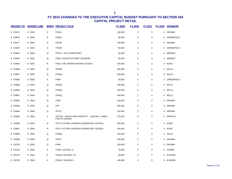| <b>PROJECT ID</b> | <b>BUDGET LINE</b> |              | <b>BORO PROJECT TITLE</b>                                       | FY 2015 | FY 2016     | <b>FY 2017</b> | <b>FY 2018</b> | <b>SPONSOR</b>    |
|-------------------|--------------------|--------------|-----------------------------------------------------------------|---------|-------------|----------------|----------------|-------------------|
| <b>E CN675</b>    | E D001             | Q            | <b>PS222</b>                                                    | 100,000 | $\mathsf 0$ | $\mathbf 0$    | 0              | <b>DROMM</b>      |
| <b>E CN676</b>    | E D001             | Κ            | <b>PS226</b>                                                    | 35,000  | 0           | 0              |                | 0 GREENFIELD      |
| <b>E CN677</b>    | E D001             | Q            | PS230                                                           | 100,000 | $\pmb{0}$   | $\mathbf 0$    | 0              | <b>DROMM</b>      |
| <b>E CN679</b>    | E D001             | Κ            | <b>PS238</b>                                                    | 50,000  | 0           | 0              | 0              | <b>GREENFIELD</b> |
| <b>E CN681</b>    | E D001             | M            | PS347 - ASL ELEMENTARY                                          | 35,000  | 0           | 0              |                | 0 MENDEZ          |
| <b>E CN683</b>    | E D001             | M            | PS40- AUGUSTUS SAINT GAUDENS                                    | 85,000  | $\pmb{0}$   | $\pmb{0}$      |                | 0 MENDEZ          |
| <b>E CN685</b>    | E D001             | $\mathsf R$  | PS44, THE THOMAS BROWN SCHOOL                                   | 250,000 | $\pmb{0}$   | $\mathbf 0$    |                | 0 ROSE            |
| <b>E CN686</b>    | E D001             | Q            | <b>PS45Q</b>                                                    | 200,000 | 0           | 0              | 0              | <b>WILLS</b>      |
| <b>E CN687</b>    | E D001             | Q            | <b>PS45Q</b>                                                    | 300,000 | 0           | 0              |                | 0 WILLS           |
| <b>E CN688</b>    | E D001             | Κ            | <b>PS48</b>                                                     | 50,000  | 0           | $\mathbf 0$    | 0              | GREENFIELD        |
| <b>E CN689</b>    | E D001             | Q            | <b>PS50Q</b>                                                    | 100,000 | 0           | 0              | 0              | WILLS             |
| <b>E CN690</b>    | E D001             | Q            | <b>PS55Q</b>                                                    | 150,000 | 0           | 0              |                | 0 WILLS           |
| <b>E CN691</b>    | E D001             | Q            | <b>PS62Q</b>                                                    | 200,000 | $\pmb{0}$   | $\mathbf 0$    |                | 0 WILLS           |
| <b>E CN692</b>    | E D001             | Q            | <b>PS69</b>                                                     | 100,000 | $\pmb{0}$   | $\mathbf 0$    |                | 0 DROMM           |
| E CN693           | E D001             | Q            | PS7                                                             | 200,000 | 0           | 0              | 0              | <b>DROMM</b>      |
| <b>E CN694</b>    | E D001             | Q            | PS721                                                           | 155,000 | 0           | 0              | 0              | <b>DROMM</b>      |
| <b>E CN695</b>    | E D001             | X            | PS723X - PEACE AND DIVERSITY - 1180 REV. JAMES<br>POLITE AVENUE | 175,000 | 0           | 0              | 0              | ARROYO            |
| <b>E CN696</b>    | E D001             | $\mathsf R$  | PS74, FUTURE LEADERS ELEMENTARY SCHOOL                          | 260,000 | $\mathbf 0$ | 0              | 0              | <b>ROSE</b>       |
| <b>E CN697</b>    | E D001             | $\mathsf{R}$ | PS74, FUTURE LEADERS ELEMENTARY SCHOOL                          | 220,000 | $\mathsf 0$ | $\mathbf 0$    |                | 0 ROSE            |
| <b>E CN698</b>    | E D001             | Q            | <b>PS80Q</b>                                                    | 150,000 | $\pmb{0}$   | $\pmb{0}$      |                | 0 WILLS           |
| <b>E CN699</b>    | E D001             | Q            | <b>PS877</b>                                                    | 100,000 | $\pmb{0}$   | $\pmb{0}$      | $\mathbf 0$    | <b>DROMM</b>      |
| <b>E CN700</b>    | E D001             | Q            | <b>PS89</b>                                                     | 100,000 | $\pmb{0}$   | $\mathbf 0$    | 0              | <b>DROMM</b>      |
| <b>E CN701</b>    | E D001             | Κ            | PUBLC SCHOOL 9                                                  | 75,000  | 0           | $\mathbf 0$    | 0              | <b>CUMBO</b>      |
| E CN702           | E D001             | Κ            | PUBLIC SCHOOL 217                                               | 35,000  | $\pmb{0}$   | 0              | 0              | <b>EUGENE</b>     |
| <b>E CN705</b>    | E D001             | Κ            | PUBLIC SCHOOL 6                                                 | 140,000 | 0           | $\mathbf 0$    |                | 0 EUGENE          |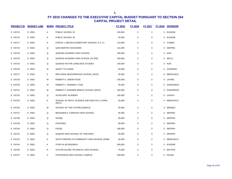| <b>PROJECT ID</b> | <b>BUDGET LINE</b> |   | <b>BORO PROJECT TITLE</b>                             | <b>FY 2015</b> | FY 2016          | <b>FY 2017</b> | <b>FY 2018</b> | <b>SPONSOR</b>   |
|-------------------|--------------------|---|-------------------------------------------------------|----------------|------------------|----------------|----------------|------------------|
| E CN713           | E D001             | Κ | PUBLIC SCHOOL 91                                      | 100,000        | $\mathbf 0$      | 0              | 0              | <b>EUGENE</b>    |
| E CN715           | E D001             | Κ | PUBLIC SCHOOL 92                                      | 55,000         | $\mathbf 0$      | 0              |                | 0 EUGENE         |
| E CN717           | E D001             | κ | PURVIS J. BEHAN ELEMENTARY SCHOOL/ P.S. 11            | 110,000        | $\mathbf 0$      | 0              | 0              | CUMBO            |
| E CN718           | E D001             | Q | Q435 MARTIN VAN BUREN                                 | 141,000        | $\mathbf 0$      | $\mathbf 0$    |                | 0 WEPRIN         |
| E CN719           | E D001             | Q | QUEENS ACADEMY HIGH SCHOOL                            | 100,000        | $\pmb{0}$        | 0              | 0              | KOO              |
| E CN720           | E D001             | Q | QUEENS ACADEMY HIGH SCHOOL (IS 42Q)                   | 150,000        | $\mathbf 0$      | $\mathbf 0$    |                | 0 WILLS          |
| <b>E CN724</b>    | E D001             | Q | QUEENS HS FOR LANGUAGE STUDIES                        | 100,000        | $\boldsymbol{0}$ | 0              | 0              | KOO              |
| E CN726           | E D001             | M | <b>QUEST TO LEARN</b>                                 | 45,000         | $\mathbf 0$      | 0              | 0              | <b>JOHNSON</b>   |
| <b>E CN727</b>    | E D001             | Κ | RED HOOK NEIGHORHOOD SCHOOL (K676)                    | 35,000         | $\mathbf 0$      | $\mathbf 0$    | 0              | MENCHACA         |
| E CN729           | E D001             | M | ROBERT E. SIMON PS165                                 | 200,000        | 0                | 0              |                | 0 LEVINE         |
| E CN730           | E D001             | M | ROBERT F. KENNEDY; P169                               | 35,000         | $\mathbf 0$      | 0              | 0              | <b>GARODNICK</b> |
| E CN731           | E D001             | M | ROBERT F. WAGNER MIDDLE SCHOOL (M167)                 | 250,000        | $\mathbf 0$      | 0              |                | 0 GARODNICK      |
| E CN733           | E D001             | Q | SCHOLARS' ACADEMY                                     | 160,000        | $\mathbf 0$      | $\mathbf 0$    |                | 0 ULRICH         |
| E CN735           | E D001             | Κ | SCHOOL OF MATH, SCIENCE AND HEALTHLY LIVING<br>(K971) | 35,000         | $\mathbf 0$      | $\mathbf 0$    |                | 0 MENCHACA       |
| E CN736           | E D001             | M | SCHOOL OF THE FUTURE (02M413)                         | 35,000         | $\mathbf 0$      | 0              | 0              | MENDEZ           |
| E CN737           | E D001             | Q | BENJAMIN N. CARDOZO HIGH SCHOOL                       | 35,000         | $\mathbf 0$      | $\mathbf 0$    | 0              | WEPRIN           |
| E CN738           | E D001             | Q | <b>IS109Q</b>                                         | 90,000         | $\mathbf 0$      | 0              | 0              | WEPRIN           |
| E CN739           | E D001             | Q | <b>PS/IS266Q</b>                                      | 68,000         | $\mathbf 0$      | 0              | 0              | WEPRIN           |
| E CN740           | E D001             | Q | <b>PS33Q</b>                                          | 180,000        | $\mathbf 0$      | 0              | $\Omega$       | WEPRIN           |
| E CN741           | E D001             | Q | QUEENS HIGH SCHOOL OF TEACHING                        | 90,000         | $\mathbf 0$      | 0              | 0              | WEPRIN           |
| E CN743           | E D001             | Κ | SOUTH BROOKLYN COMMUNITY HIGH SCHOOL (K698)           | 35,000         | $\mathbf 0$      | $\mathbf 0$    | 0              | MENCHACA         |
| <b>E CN744</b>    | E D001             | Κ | STAR HS @ ERASMUS                                     | 350,000        | $\mathbf 0$      | 0              | 0              | <b>EUGENE</b>    |
| E CN745           | E D001             | R | STATEN ISLAND TECHNICAL HIGH SCHOOL                   | 75,000         | $\mathbf 0$      | 0              | 0              | MATTEO           |
| E CN747           | E D001             | X | STEVENSON HIGH SCHOOL CAMPUS                          | 500,000        | $\mathbf 0$      | 0              |                | 0 PALMA          |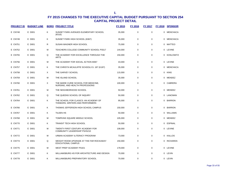| <b>PROJECT ID</b> | <b>BUDGET LINE</b> |   | <b>BORO PROJECT TITLE</b>                                                 | <b>FY 2015</b> | <b>FY 2016</b> | FY 2017     | <b>FY 2018</b> | <b>SPONSOR</b> |
|-------------------|--------------------|---|---------------------------------------------------------------------------|----------------|----------------|-------------|----------------|----------------|
| <b>E CN748</b>    | E D001             | K | SUNSET PARK AVENUES ELEMENTARY SCHOOL<br>(K516)                           | 35,000         | $\mathbf 0$    | $\mathbf 0$ |                | 0 MENCHACA     |
| E CN749           | E D001             | Κ | SUNSET PARK HIGH SCHOOL (K667)                                            | 35,000         | $\mathbf 0$    | $\mathbf 0$ |                | 0 MENCHACA     |
| <b>E CN751</b>    | E D001             | R | SUSAN WAGNER HIGH SCHOOL                                                  | 75,000         | 0              | $\mathbf 0$ |                | 0 MATTEO       |
| <b>E CN752</b>    | E D001             | М | TEACHERS COLLEGE COMMUNITY SCHOOL PS517                                   | 144,000        | 0              | $\mathbf 0$ |                | 0 LEVINE       |
| <b>E CN755</b>    | E D001             | Q | THE ACADEMY FOR EXCELLENCE THROUGH THE<br><b>ARTS</b>                     | 150,000        | 0              | $\mathbf 0$ |                | 0 KOSLOWITZ    |
| E CN756           | E D001             | M | THE ACADEMY FOR SOCIAL ACTION M367                                        | 43.000         | $\mathbf 0$    | $\mathbf 0$ |                | 0 LEVINE       |
| <b>E CN757</b>    | E D001             | Κ | THE CHRISTA MCAULIFFE SCHOOL/I.S. 187 (K187)                              | 35,000         | $\mathbf 0$    | $\mathbf 0$ |                | 0 MENCHACA     |
| <b>E CN758</b>    | E D001             | X | THE GARVEY SCHOOL                                                         | 115,000        | 0              | $\mathbf 0$ |                | 0 KING         |
| E CN759           | E D001             | м | THE ISLAND SCHOOL                                                         | 35,000         | 0              | $\mathbf 0$ |                | 0 MENDEZ       |
| <b>E CN760</b>    | E D001             | X | THE MARIE CURIE SCHOOL FOR MEDICINE,<br>NURSING, AND HEALTH PROFESSIONS   | 100,000        | 0              | $\mathbf 0$ |                | 0 CABRERA      |
| <b>E CN761</b>    | E D001             | M | THE NEIGHBORHOOD SCHOOL                                                   | 50,000         | 0              | $\mathbf 0$ |                | 0 MENDEZ       |
| <b>E CN762</b>    | E D001             | Q | THE QUEENS SCHOOL OF INQUIRY                                              | 50,000         | 0              | $\mathbf 0$ |                | 0 LANCMAN      |
| <b>E CN764</b>    | E D001             | K | THE SCHOOL FOR CLASICS: AN ACADEMY OF<br>THINKERS, WRITERS AND PERFORMERS | 95,000         | 0              | $\mathbf 0$ |                | 0 BARRON       |
| <b>E CN766</b>    | E D001             | K | THOMAS JEFFERSON HIGH SCHOOL CAMPUS                                       | 150,000        | $\mathbf 0$    | $\mathbf 0$ |                | 0 BARRON       |
| <b>E CN767</b>    | E D001             | K | <b>TILDEN HS</b>                                                          | 50.000         | 0              | $\mathbf 0$ |                | 0 WILLIAMS     |
| <b>E CN768</b>    | E D001             | М | TOMPKINS SQUARE MIDDLE SCHOOL                                             | 105,000        | $\mathbf 0$    | $\mathbf 0$ |                | 0 MENDEZ       |
| <b>E CN770</b>    | E D001             | Κ | <b>TRANSIT TECH HIGH SCHOOL</b>                                           | 50,000         | $\mathbf 0$    | $\mathbf 0$ |                | 0 ESPINAL      |
| <b>E CN771</b>    | E D001             | M | TWENTY-FIRST CENTURY ACADEMY FOR<br>COMMUNITY LEADERSHIP PS/IS210         | 108,000        | 0              | $\mathbf 0$ |                | 0 LEVINE       |
| E CN772           | E D001             | M | URBAN ACADEMY ILITERACY PROGRAM                                           | 73,000         | 0              | $\mathbf 0$ |                | 0 KALLOS       |
| <b>E CN774</b>    | E D001             | Q | WEIGHT ROOM UPGRADE AT THE FAR ROCKAWAY<br><b>EDUCATIONAL CAMPUS</b>      | 150,000        | 0              | $\mathbf 0$ |                | 0 RICHARDS     |
| <b>E CN775</b>    | E D001             | M | WEST PREP ACADEMY PS421                                                   | 179,000        | 0              | $\mathbf 0$ |                | 0 LEVINE       |
| <b>E CN777</b>    | E D001             | Κ | WILLIAMSBURG HS FOR ARCHITECTURE AND DESIGN                               | 70,000         | 0              | $\Omega$    |                | 0 LEVIN        |
| <b>E CN778</b>    | E D001             | Κ | WILLIAMSBURG PREPARATORY SCHOOL                                           | 70,000         | 0              | $\mathbf 0$ |                | 0 LEVIN        |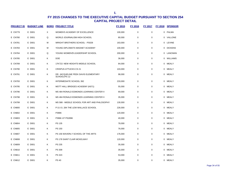| <b>PROJECT ID</b> | <b>BUDGET LINE</b> |          | <b>BORO PROJECT TITLE</b>                            | <u>FY 2015</u> | FY 2016     | <b>FY 2017</b> | <u>FY 2018</u> | <b>SPONSOR</b> |
|-------------------|--------------------|----------|------------------------------------------------------|----------------|-------------|----------------|----------------|----------------|
| <b>E CN779</b>    | E D001             | $\times$ | WOMEN'S ACADEMY OF EXCELLENCE                        | 100,000        | $\mathbf 0$ | $\pmb{0}$      |                | 0 PALMA        |
| <b>E CN780</b>    | E D001             | Q        | WORLD JOURNALISM HIGH SCHOOL                         | 80,000         | $\mathbf 0$ | $\mathbf 0$    |                | 0 VALLONE      |
| <b>E CN781</b>    | E D001             | M        | WRIGHT BROTHERS SCHOOL - PS028                       | 163,000        | 0           | $\mathbf 0$    |                | 0 LEVINE       |
| <b>E CN783</b>    | E D001             | M        | YOUNG DIPLOMATS MAGNET ACADEMY                       | 100,000        | $\mathbf 0$ | $\mathbf 0$    |                | 0 DICKENS      |
| <b>E CN784</b>    | E D001             | Q        | YOUNG WOMEN <sup>S</sup> LEADERSHIP SCHOOL           | 200,000        | 0           | $\mathbf 0$    |                | 0 LANCMAN      |
| <b>E CN785</b>    | E D001             | Κ        | <b>DOE</b>                                           | 36,000         | 0           | $\mathbf 0$    |                | 0 WILLIAMS     |
| <b>E CN789</b>    | E D001             | Κ        | 17K722: NEW HEIGHTS MIDDLE SCHOOL                    | 84,000         | $\mathbf 0$ | $\mathbf 0$    |                | 0 MEALY        |
| <b>E CN790</b>    | E D001             | Κ        | <b>CRISPUS ATTUCKS CS 21</b>                         | 103,000        | $\mathbf 0$ | $\mathbf 0$    | $\mathbf{0}$   | MEALY          |
| E CN791           | E D001             | Κ        | DR. JACQUELINE PEEK DAVIS ELEMENTARY<br>SCHOOL/PS 12 | 98,000         | 0           | 0              |                | 0 MEALY        |
| E CN793           | E D001             | Κ        | INTERMEDIATE SCHOOL 392                              | 233,000        | $\mathbf 0$ | $\mathbf 0$    |                | 0 MEALY        |
| <b>E CN795</b>    | E D001             | Κ        | MOTT HALL BRIDGES ACADEMY (K671)                     | 55,000         | 0           | $\mathbf 0$    |                | 0 MEALY        |
| <b>E CN796</b>    | E D001             | Κ        | MS 484 RONALD EDMONDS LEARNING CENTER II             | 69,000         | 0           | 0              |                | 0 MEALY        |
| <b>E CN798</b>    | E D001             | K        | MS 484 RONALD EDMONDS LEARNING CENTER II             | 35,000         | 0           | $\mathbf 0$    |                | 0 MEALY        |
| <b>E CN799</b>    | E D001             | Κ        | MS 588 - MIDDLE SCHOOL FOR ART AND PHILOSOPHY        | 130,000        | 0           | $\mathbf 0$    |                | 0 MEALY        |
| <b>E CN800</b>    | E D001             | Κ        | P.S./I.S. 284 THE LEW WALLACE SCHOOL                 | 226,000        | 0           | $\Omega$       |                | 0 MEALY        |
| <b>E CN802</b>    | E D001             | Κ        | P396K                                                | 120,000        | 0           | 0              | 0              | MEALY          |
| <b>E CN803</b>    | E D001             | Κ        | P396K AT PS289K                                      | 40,000         | 0           | $\mathbf 0$    |                | 0 MEALY        |
| <b>E CN804</b>    | E D001             | Κ        | PS 135                                               | 78,000         | 0           | 0              | 0              | MEALY          |
| <b>E CN805</b>    | E D001             | Κ        | PS 150                                               | 76,000         | 0           | 0              |                | 0 MEALY        |
| <b>E CN807</b>    | E D001             | Κ        | PS 156 WAVERLY SCHOOL OF THE ARTS                    | 176,000        | 0           | $\mathbf 0$    |                | 0 MEALY        |
| <b>E CN808</b>    | E D001             | Κ        | PS 178 SAINT CLAIR MCKELWAY                          | 120,000        | 0           | $\mathbf 0$    |                | 0 MEALY        |
| <b>E CN809</b>    | E D001             | Κ        | PS 235                                               | 35,000         | 0           | $\mathbf 0$    |                | 0 MEALY        |
| E CN810           | E D001             | Κ        | PS 309                                               | 35,000         | $\mathbf 0$ | $\mathbf 0$    | 0              | MEALY          |
| E CN811           | E D001             | Κ        | PS 323                                               | 53,000         | $\mathbf 0$ | $\mathbf 0$    | $\mathbf{0}$   | MEALY          |
| <b>E CN812</b>    | E D001             | K        | <b>PS 40</b>                                         | 35,000         | $\mathbf 0$ | $\mathbf 0$    |                | 0 MEALY        |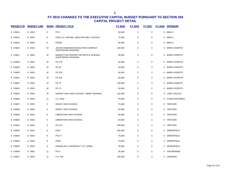| <b>PROJECT ID</b> | <b>BUDGET LINE</b> |   | <b>BORO PROJECT TITLE</b>                                 | <b>FY 2015</b> | <b>FY 2016</b> | <b>FY 2017</b> | FY 2018 SPONSOR  |
|-------------------|--------------------|---|-----------------------------------------------------------|----------------|----------------|----------------|------------------|
| E CN813           | E D001             | Κ | PS <sub>5</sub>                                           | 63,000         | $\mathbf 0$    | $\mathbf 0$    | 0 MEALY          |
| E CN814           | E D001             | Κ | PS/IS 137 RACHEL JEAN MITCHELL SCHOOL                     | 75,000         | 0              | 0              | 0 MEALY          |
| E CN815           | E D001             | Κ | <b>PS398</b>                                              | 35,000         | 0              | 0              | 0 MEALY          |
| <b>E CN816</b>    | E D001             | M | JACKIE ROBINSON EDUCATION COMPLEX<br>AUDITORIUM UPGRADE   | 100,000        | 0              | 0              | 0 MARK-VIVERITO  |
| E CN817           | E D001             | M | MANHATTAN CENTER FOR MATH & SCIENCE<br>AUDITORIUM UPGRADE | 40,000         | 0              | $\mathbf 0$    | 0 MARK-VIVERITO  |
| <b>E CN818</b>    | E D001             | M | <b>PS 179</b>                                             | 50,000         | $\mathbf 0$    | 0              | 0 MARK-VIVERITO  |
| E CN819           | E D001             | M | <b>PS 18</b>                                              | 50,000         | $\mathbf 0$    | $\pmb{0}$      | 0 MARK-VIVERITO  |
| <b>E CN820</b>    | E D001             | M | <b>PS 223</b>                                             | 50,000         | $\mathbf 0$    | 0              | 0 MARK-VIVERITO  |
| <b>E CN821</b>    | E D001             | M | PS 352                                                    | 50,000         | $\mathbf 0$    | $\pmb{0}$      | 0 MARK-VIVERITO  |
| <b>E CN822</b>    | E D001             | M | <b>PS 72</b>                                              | 145,000        | $\mathbf 0$    | $\mathbf 0$    | 0 MARK-VIVERITO  |
| E CN823           | E D001             | M | <b>PS 73</b>                                              | 50,000         | $\mathbf 0$    | 0              | 0 MARK-VIVERITO  |
| <b>E CN824</b>    | E D001             | M | HARVEY MILK HIGH SCHOOL- SMART BOARDS                     | 210,000        | $\mathbf 0$    | $\pmb{0}$      | 0 LGBT CAUCUS    |
| <b>E CN826</b>    | E D001             | Q | I.S. 126Q                                                 | 75,000         | $\mathbf 0$    | $\pmb{0}$      | 0 CONSTANTINIDES |
| <b>E CN827</b>    | E D001             | Κ | <b>GRADY HIGH SCHOOL</b>                                  | 75,000         | $\mathbf 0$    | $\mathbf 0$    | 0 TREYGER        |
| <b>E CN828</b>    | E D001             | Κ | <b>GRADY HIGH SCHOOL</b>                                  | 50,000         | $\mathbf 0$    | $\mathbf 0$    | 0 TREYGER        |
| <b>E CN829</b>    | E D001             | Κ | <b>LIBERATION HIGH SCHOOL</b>                             | 90,000         | $\mathbf 0$    | $\mathbf 0$    | 0 TREYGER        |
| E CN830           | E D001             | Κ | <b>LIBERATION HIGH SCHOOL</b>                             | 40,000         | 0              | $\mathbf 0$    | 0 TREYGER        |
| E CN831           | E D001             | Κ | PS 212                                                    | 180,000        | 0              | 0              | 0 TREYGER        |
| E CN832           | E D001             | Κ | K525                                                      | 100,000        | 0              | $\mathbf 0$    | 0 GREENFIELD     |
| E CN833           | E D001             | Κ | <b>PS177</b>                                              | 75,000         | $\mathbf 0$    | $\mathbf 0$    | 0 GREENFIELD     |
| E CN834           | E D001             | Κ | <b>PS99</b>                                               | 75,000         | 0              | 0              | 0 GREENFIELD     |
| <b>E CN835</b>    | E D001             | Κ | FRANKLIN D. ROOSEVELT H.S. (505K)                         | 35,000         | 0              | 0              | 0 GREENFIELD     |
| <b>E CN836</b>    | E D001             | Q | PS <sub>9</sub>                                           | 35,000         | 0              | 0              | 0 VAN BRAMER     |
| <b>E CN837</b>    | E D001             | Q | P.S. 200                                                  | 100,000        | $\mathbf 0$    | $\mathbf 0$    | 0 LANCMAN        |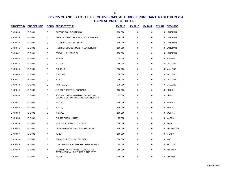| <b>PROJECT ID</b> | <b>BUDGET LINE</b> |             | <b>BORO PROJECT TITLE</b>                                             | FY 2015 | <b>FY 2016</b> | <b>FY 2017</b> | FY 2018 | <b>SPONSOR</b>   |
|-------------------|--------------------|-------------|-----------------------------------------------------------------------|---------|----------------|----------------|---------|------------------|
| <b>E CN838</b>    | E D001             | Q           | QUEENS COLLEGIATE HIGH                                                | 100,000 | $\mathbf 0$    | $\pmb{0}$      |         | 0 LANCMAN        |
| <b>E CN839</b>    | E D001             | Q           | JAMAICA GATEWAY TO MATH & SCIENCES                                    | 100,000 | 0              | $\mathbf 0$    |         | 0 LANCMAN        |
| <b>E CN840</b>    | E D001             | Q           | HILLSIDE ARTS & LETTERS                                               | 100,000 | $\mathbf 0$    | $\pmb{0}$      |         | 0 LANCMAN        |
| E CN841           | E D001             | Q           | HIGH SCHOOL COMMUNITY LEADERSHIP                                      | 100,000 | $\mathbf 0$    | $\pmb{0}$      |         | 0 LANCMAN        |
| E CN842           | E D001             | Q           | EDISON HIGH SCHOOL                                                    | 250,000 | $\mathbf 0$    | $\mathbf 0$    | 0       | LANCMAN          |
| E CN843           | E D001             | M           | <b>PS 15M</b>                                                         | 35,000  | $\mathbf 0$    | $\mathbf 0$    |         | 0 MENDEZ         |
| <b>E CN844</b>    | E D001             | Q           | P.S. 079 Q                                                            | 50,000  | $\mathbf 0$    | $\mathbf 0$    |         | 0 VALLONE        |
| <b>E CN845</b>    | E D001             | Q           | P.S. 184 Q                                                            | 300,000 | $\mathbf 0$    | $\mathbf 0$    |         | 0 VALLONE        |
| <b>E CN846</b>    | E D001             | Q           | P.S 129 Q                                                             | 50,000  | $\mathbf 0$    | $\mathbf 0$    |         | 0 VALLONE        |
| E CN847           | E D001             | Q           | P009 Q                                                                | 50,000  | $\mathbf 0$    | $\mathbf 0$    |         | 0 VALLONE        |
| <b>E CN848</b>    | E D001             | Q           | J.H.S. 185 Q                                                          | 170,000 | 0              | $\mathbf 0$    |         | 0 VALLONE        |
| <b>E CN849</b>    | E D001             | Q           | JHS 202 ROBERT H. GODDARD                                             | 100,000 | 0              | $\mathbf 0$    |         | 0 ULRICH         |
| <b>E CN850</b>    | E D001             | Q           | ROBERT H. GODDARD HIGH SCHOOL OF<br>COMMUNICATION ARTS AND TECHNOLOGY | 75,000  | $\pmb{0}$      | $\pmb{0}$      |         | 0 ULRICH         |
| E CN851           | E D001             | Q           | <b>PS213Q</b>                                                         | 100,000 | $\mathbf 0$    | $\mathbf 0$    |         | 0 WEPRIN         |
| E CN852           | E D001             | Q           | P.S.26Q                                                               | 500,000 | 0              | $\mathbf 0$    |         | 0 WEPRIN         |
| E CN853           | E D001             | Q           | P.S.191Q                                                              | 100,000 | $\mathbf 0$    | $\mathbf 0$    |         | 0 WEPRIN         |
| <b>E CN854</b>    | E D001             | X           | P.S. 175 BRONX (X175)                                                 | 75,000  | $\pmb{0}$      | $\pmb{0}$      |         | 0 VACCA          |
| <b>E CN855</b>    | E D001             | $\mathsf R$ | NEW: PS18, JOHN G. WHITTIER                                           | 300,000 | $\pmb{0}$      | $\pmb{0}$      |         | 0 ROSE           |
| <b>E CN856</b>    | E D001             | M           | MS 052 INWOOD JUNIOR HIGH SCHOOL                                      | 500,000 | $\mathbf 0$    | $\mathbf 0$    | 0       | <b>RODRIGUEZ</b> |
| <b>E CN857</b>    | E D001             | Κ           | PS 184                                                                | 180,000 | $\mathbf 0$    | $\mathbf 0$    |         | 0 MEALY          |
| <b>E CN858</b>    | E D001             | Q           | <b>FRANCIS LEWIS HIGH SCHOOL</b>                                      | 500,000 | $\mathbf 0$    | $\mathbf 0$    |         | 0 KOO            |
| E CN859           | E D001             | M           | DOE - ELEANOR ROOSEVELT HIGH SCHOOL                                   | 94,000  | $\mathbf 0$    | $\mathbf 0$    |         | 0 KALLOS         |
| <b>E CN860</b>    | E D001             | X           | SOUTH BRONX CHARTER SCHOOL FOR<br>INTERNATIONAL CULTURES & THE ARTS   | 250,000 | $\mathbf 0$    | $\mathbf 0$    | 0       | ARROYO           |
| <b>E CN861</b>    | E D001             | Q           | <b>PS280</b>                                                          | 100,000 | 0              | $\mathbf 0$    |         | 0 DROMM          |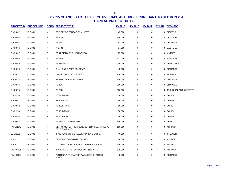| <b>PROJECT ID</b> | <b>BUDGET LINE</b> |   | <b>BORO PROJECT TITLE</b>                                       | <b>FY 2015</b> | <b>FY 2016</b> | <b>FY 2017</b> | <b>FY 2018</b> | <b>SPONSOR</b>          |
|-------------------|--------------------|---|-----------------------------------------------------------------|----------------|----------------|----------------|----------------|-------------------------|
| <b>E CN862</b>    | E D001             | M | SOCIETY OF EDUCATIONAL ARTS                                     | 45,000         | 0              | 0              |                | 0 DICKENS               |
| <b>E CN864</b>    | E D001             | Κ | <b>PS 206K</b>                                                  | 150,000        | 0              | $\mathbf 0$    |                | 0 DEUTSCH               |
| <b>E CN865</b>    | E D001             | K | <b>PS 44K</b>                                                   | 284,000        | 0              | $\mathbf 0$    |                | 0 CORNEGY               |
| <b>E CN866</b>    | E D001             | X | P. S. 33                                                        | 87,000         | 0              | 0              |                | 0 CABRERA               |
| <b>E CN867</b>    | E D001             | R | PORT RICHMOND HIGH SCHOOL                                       | 75,000         | 0              | 0              |                | 0 MATTEO                |
| <b>E CN868</b>    | E D001             | M | <b>PS 41M</b>                                                   | 123,000        | 0              | 0              |                | 0 JOHNSON               |
| <b>E CN869</b>    | E D001             | M | PS 166 YARD                                                     | 300,000        | 0              | 0              |                | 0 ROSENTHAL             |
| <b>E CN870</b>    | E D001             | Q | CHALLENGE PREP ACADEMY                                          | 45,000         | $\mathbf 0$    | 0              |                | 0 RICHARDS              |
| <b>E CN872</b>    | E D001             | M | HARVEY MILK HIGH SCHOOL                                         | 210,000        | 0              | 0              |                | 0 ARROYO                |
| E CN873           | E D001             | M | PS 7M EDIBLE SCHOOLYARD                                         | 1,100,000      | 0              | 0              |                | 0 CITYWIDE              |
| <b>E CN874</b>    | E D001             | X | <b>PS 18X</b>                                                   | 500,000        | $\mathbf 0$    | $\mathbf 0$    |                | 0 CITYWIDE              |
| <b>E CN875</b>    | E D001             | Q | <b>PS 32Q</b>                                                   | 500,000        | $\mathbf 0$    | $\mathbf 0$    |                | 0 TECHNICAL ADJUSTMENTS |
| E CN950           | E D001             | X | PS 24, BRONX                                                    | 50,000         | 0              | $\mathbf 0$    |                | 0 COHEN                 |
| E CN951           | E D001             | X | PS 8, BRONX                                                     | 50,000         | 0              | $\mathbf 0$    |                | 0 COHEN                 |
| E CN952           | E D001             | X | PS 19, BRONX                                                    | 50,000         | 0              | $\mathbf 0$    |                | 0 COHEN                 |
| E CN953           | E D001             | X | PS 16, BRONX                                                    | 50,000         | 0              | $\mathbf 0$    |                | 0 COHEN                 |
| <b>E CN954</b>    | E D001             | X | PS 94, BRONX                                                    | 50,000         | 0              | $\mathbf 0$    |                | 0 COHEN                 |
| E CN955           | E D001             | R | PS 35R, STATEN ISLAND                                           | 500,000        | 0              | 0              |                | 0 ROSE                  |
| HW CN047          | E D001             | X | METROPOLITIAN HIGH SCHOOL - 1180 REV. JAMES A.<br>POLITE AVENUE | 180,000        | 0              | 0              |                | 0 ARROYO                |
| LB CN008          | E D001             | Κ | BROOKLYN STUDIO (K690) ANDREA CILIOTTA                          | 40,000         | 0              | $\mathbf 0$    |                | 0 TREYGER               |
| P CN111           | E D001             | M | EAST SIDE COMMUNITY SCHOOL                                      | 50,000         | $\mathbf 0$    | $\mathbf 0$    |                | 0 MENDEZ                |
| P CN211           | E D001             | R | TOTTENVILLE HIGH SCHOOL SOFTBALL FIELD                          | 500,000        | 0              | 0              |                | 0 IGNIZIO               |
| <b>PW NC001</b>   | E D001             | X | BRONX CHARTER SCHOOL FOR THE ARTS                               | 175,000        | $\mathbf 0$    | 0              |                | 0 ARROYO                |
| <b>PW NC032</b>   | E D001             | Q | PENINSULA PREPARTORY ACADEMY CHARTER<br><b>SCHOOL</b>           | 45,000         | 0              | 0              |                | 0 RICHARDS              |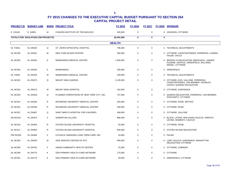| <b>PROJECT ID</b> | <b>BUDGET LINE</b>                         |              | <b>BORO PROJECT TITLE</b>                 | FY 2015       | FY 2016          | FY 2017     |   | FY 2018 SPONSOR                                                                                          |
|-------------------|--------------------------------------------|--------------|-------------------------------------------|---------------|------------------|-------------|---|----------------------------------------------------------------------------------------------------------|
| E CN145           | E D4001                                    | M            | <b>FASHION INSTITUTE OF TECHNOLOGY</b>    | 300,000       | $\mathbf 0$      | $\mathbf 0$ |   | 0 JOHNSON, CITYWIDE                                                                                      |
|                   | <b>TOTALS FOR EDUCATION (708 PROJECTS)</b> |              |                                           | 84,491,000    | $\bf{0}$         | $\bf{0}$    | 0 |                                                                                                          |
|                   |                                            |              |                                           | <b>HEALTH</b> |                  |             |   |                                                                                                          |
| HL TA001          | HL DN025                                   | Q            | ST. JOHN'S EPISCOPAL HOSPITAL             | 796,000       | $\boldsymbol{0}$ | $\mathbf 0$ |   | 0 TECHNICAL ADJUSTMENTS                                                                                  |
| HL NC026          | HL DN201                                   | м            | NEW YORK BLOOD CENTER                     | 360,000       | 0                | 0           |   | 0 CITYWIDE, CONSTANTINIDES, FERRERAS, LANDER,<br>PALMA, VACCA                                            |
| HL NC005          | <b>HL DN254</b>                            | K            | MAIMONIDES MEDICAL CENTER                 | 1,500,000     | $\mathbf 0$      | $\mathbf 0$ |   | 0 BROOKLYN DELEGATION, MENCHACA, LANDER,<br>EUGENE, GENTILE, GREENFIELD, WILLIAMS,<br>MAISEL, CITYWIDE   |
| HL NC053          | <b>HL DN254</b>                            | Κ            | <b>MAIMONIDES</b>                         | 200,000       | $\mathbf 0$      | $\mathbf 0$ |   | 0 GREENFIELD                                                                                             |
| HL TA002          | <b>HL DN254</b>                            | M            | MAIMONIDES MEDICAL CENTER                 | 200,000       | $\mathbf 0$      | $\mathbf 0$ |   | 0 TECHNICAL ADJUSTMENTS                                                                                  |
| HL NC022          | <b>HL DN273</b>                            | Q            | <b>MOUNT SINAI QUEENS</b>                 | 2,135,000     | $\mathbf 0$      | $\pmb{0}$   |   | 0 CITYWIDE, KOO, VALLONE, FERRERAS,<br>CONSTANTINIDES, VAN BRAMER, CROWLEY,<br>ULRICH, QUEENS DELEGATION |
| HL NC024          | HL DN273                                   | M            | <b>MOUNT SINAI HOSPITAL</b>               | 422,000       | $\mathbf 0$      | $\mathbf 0$ |   | 0 CITYWIDE, GARODNICK                                                                                    |
| HL NC029          | HL DN328                                   | Q            | PLANNED PARENTHOOD OF NEW YORK CITY, INC. | 737,000       | 0                | $\mathbf 0$ |   | 0 QUEENS DELEGATION, FERRERAS, VAN BRAMER,<br>KOSLOWITZ, CITYWIDE                                        |
| HL NC041          | HL DN346                                   | R            | RICHMOND UNIVERSITY MEDICAL CENTER        | 264,000       | $\mathbf 0$      | $\mathbf 0$ |   | 0 CITYWIDE, ROSE, MATTEO                                                                                 |
| HL NC042          | HL DN346                                   | R            | RICHMOND UNIVERSITY MEDICAL CENTER        | 500,000       | $\mathbf 0$      | $\mathbf 0$ |   | 0 CITYWIDE, ROSE                                                                                         |
| HL NC007          | HL DN367                                   | Q            | SAINT MARY'S HOSPITAL FOR CHILDREN        | 469,000       | 0                | 0           |   | 0 CITYWIDE, VALLONE                                                                                      |
| <b>HD NC010</b>   | HL DN370                                   | X            | SAMARITAN VILLAGE                         | 886,000       | $\mathbf 0$      | $\mathbf 0$ |   | 0 BLACK, LATINO, AND ASIAN CAUCUS, ARROYO,<br>LEVINE, WOMEN'S CAUCUS                                     |
| HL NC016          | HL DN404                                   | $\mathsf{R}$ | STATEN ISLAND UNIVERSITY HOSPITAL         | 52,000        | $\mathbf 0$      | 0           |   | 0 CITYWIDE, ROSE                                                                                         |
| HL NC017          | HL DN404                                   | $\mathsf{R}$ | STATEN ISLAND UNIVERSITY HOSPITAL         | 600,000       | $\mathbf 0$      | $\mathbf 0$ |   | 0 STATEN ISLAND DELEGATION                                                                               |
| <b>PW NC028</b>   | <b>HL DN406</b>                            | X            | CATHOLIC MANAGED LONG TERM CARE, INC.     | 43,000        | $\mathbf 0$      | 0           |   | 0 PALMA                                                                                                  |
| HL NC035          | <b>HL DN530</b>                            | M            | AIDS SERVICE CENTER OF NYC                | 905,000       | $\mathbf 0$      | 0           |   | 0 LGBT CAUCUS, GARODNICK, MANHATTAN<br>DELEGATION, CITYWIDE                                              |
| HL NC040          | HL DN762                                   | X            | UNION COMMUNITY HEALTH CENTER             | 75.000        | $\mathbf 0$      | 0           |   | 0 CITYWIDE, CABRERA                                                                                      |
| HL NC009          | HL DN775                                   | Κ            | ODA PRIMARY HEALTH CARE NETWORK           | 175,000       | 0                | 0           |   | 0 CITYWIDE                                                                                               |
| HL NC051          | HL DN775                                   | K            | ODA PRIMARY HEALTH CARE NETWORK           | 49,000        | $\Omega$         | $\mathbf 0$ |   | 0 GREENFIELD, CITYWIDE                                                                                   |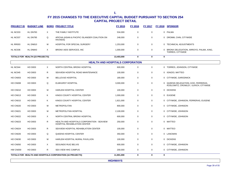| <b>PROJECT ID</b>                       | <b>BUDGET LINE</b>              |   | <b>BORO PROJECT TITLE</b>                                                  | FY 2015         | <b>FY 2016</b> | FY 2017     |             | FY 2018 SPONSOR                                                             |  |  |
|-----------------------------------------|---------------------------------|---|----------------------------------------------------------------------------|-----------------|----------------|-------------|-------------|-----------------------------------------------------------------------------|--|--|
| HL NC033                                | HL DN783                        | X | THE FAMILY INSTITUTE                                                       | 534,000         | 0              | 0           |             | 0 PALMA                                                                     |  |  |
| HL NC037                                | HL DN795                        | Q | APICHA (ASIAN & PACIFIC ISLANDER COALITION ON<br>HIV/AIDS)                 | 248,000         | 0              | 0           |             | 0 DROMM, CHIN, CITYWIDE                                                     |  |  |
| <b>HL RR003</b>                         | HL DN810                        | М | HOSPITAL FOR SPECIAL SURGERY                                               | 1,253,000       | 0              | 0           |             | 0 TECHNICAL ADJUSTMENTS                                                     |  |  |
| HL NC036                                | HL DN843                        | X | BRONX AIDS SERVICES, INC.                                                  | 1,000,000       | 0              | 0           |             | 0 BRONX DELEGATION, ARROYO, PALMA, KING,<br>TORRES, CITYWIDE                |  |  |
|                                         | TOTALS FOR HEALTH (23 PROJECTS) |   |                                                                            | 13,403,000      | 0              | $\bf{0}$    | $\mathbf 0$ |                                                                             |  |  |
| <b>HEALTH AND HOSPITALS CORPORATION</b> |                                 |   |                                                                            |                 |                |             |             |                                                                             |  |  |
| HL NC044                                | <b>HO D003</b>                  | X | NORTH CENTRAL BRONX HOSPITAL                                               | 600,000         | 0              | 0           |             | 0 TORRES, JOHNSON, CITYWIDE                                                 |  |  |
| HL NC045                                | <b>HO D003</b>                  | R | SEAVIEW HOSPITAL ROAD MAINTENANCE                                          | 100,000         | 0              | 0           |             | 0 IGNIZIO, MATTEO                                                           |  |  |
| HO CN003                                | <b>HO D003</b>                  | м | <b>BELLEVUE HOSPITAL</b>                                                   | 180,000         | $\mathbf 0$    | $\mathbf 0$ |             | 0 CITYWIDE, GARODNICK                                                       |  |  |
| HO CN008                                | <b>HO D003</b>                  | Q | <b>ELMHURST HOSPITAL</b>                                                   | 3,000,000       | $\mathsf 0$    | 0           |             | 0 QUEENS DELEGATION, KOO, FERRERAS,<br>KOSLOWITZ, CROWLEY, ULRICH, CITYWIDE |  |  |
| HO CN010                                | <b>HO D003</b>                  | М | HARLEM HOSPITAL CENTER                                                     | 100,000         | 0              | 0           |             | 0 DICKENS                                                                   |  |  |
| HO CN013                                | <b>HO D003</b>                  | K | KINGS COUNTY HOSPITAL CENTER                                               | 1,000,000       | 0              | 0           |             | 0 EUGENE                                                                    |  |  |
| HO CN015                                | <b>HO D003</b>                  | Κ | KINGS COUNTY HOSPITAL CENTER                                               | 1,821,000       | 0              | 0           |             | 0 CITYWIDE, JOHNSON, FERRERAS, EUGENE                                       |  |  |
| <b>HO CN020</b>                         | <b>HO D003</b>                  | М | <b>METROPOLITAN</b>                                                        | 800,000         | $\mathbf 0$    | 0           |             | 0 CITYWIDE, JOHNSON                                                         |  |  |
| <b>HO CN021</b>                         | <b>HO D003</b>                  | М | METROPOLITAN HOSPITAL                                                      | 2,100,000       | 0              | 0           |             | 0 CITYWIDE, JOHNSON                                                         |  |  |
| <b>HO CN022</b>                         | <b>HO D003</b>                  | X | NORTH CENTRAL BRONX HOSPITAL                                               | 600,000         | 0              | 0           |             | 0 CITYWIDE, JOHNSON                                                         |  |  |
| <b>HO CN023</b>                         | <b>HO D003</b>                  | R | HEALTH AND HOSPITALS CORPORATION - SEAVIEW<br>HOSPITAL REHABILATION CENTER | 250,000         | $\pmb{0}$      | 0           |             | 0 MATTEO                                                                    |  |  |
| HO CN024                                | <b>HO D003</b>                  | R | SEAVIEW HOSPITAL REHABILATION CENTER                                       | 100,000         | 0              | 0           |             | 0 MATTEO                                                                    |  |  |
| HO CN026                                | <b>HO D003</b>                  | Q | <b>QUEENS HOSPITAL CENTER</b>                                              | 350,000         | $\mathbf 0$    | 0           |             | 0 LANCMAN                                                                   |  |  |
| HO CN030                                | <b>HO D003</b>                  | М | HARLEM HOSPITAL MURAL PAVILLION                                            | 100,000         | 0              | 0           |             | 0 DICKENS                                                                   |  |  |
| <b>HO CN050</b>                         | <b>HO D003</b>                  | X | SEGUNDO RUIZ BELVIS                                                        | 600,000         | 0              | 0           |             | 0 CITYWIDE, JOHNSON                                                         |  |  |
| <b>HW CN059</b>                         | <b>HO D003</b>                  | R | SEA VIEW HHC CAMPUS                                                        | 200,000         | $\mathsf 0$    | 0           |             | 0 CITYWIDE, JOHNSON                                                         |  |  |
|                                         |                                 |   | TOTALS FOR HEALTH AND HOSPITALS CORPORATION (16 PROJECTS)                  | 11,901,000      | 0              | 0           | 0           |                                                                             |  |  |
|                                         |                                 |   |                                                                            | <b>HIGHWAYS</b> |                |             |             |                                                                             |  |  |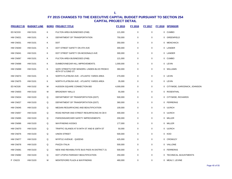| <b>PROJECT ID</b> | <b>BUDGET LINE</b> |   | <b>BORO PROJECT TITLE</b>                                          | FY 2015   | FY 2016     | <b>FY 2017</b> | FY 2018 SPONSOR                |
|-------------------|--------------------|---|--------------------------------------------------------------------|-----------|-------------|----------------|--------------------------------|
| ED NC033          | <b>HW D101</b>     | K | FULTON AREA BUSINESSES (FAB)                                       | 121,000   | $\mathbf 0$ | 0              | 0 CUMBO                        |
| HW CN021          | <b>HW D101</b>     | K | DEPARTMENT OF TRANSPORTATION                                       | 750,000   | 0           | 0              | 0 GREENFIELD                   |
| HW CN031          | <b>HW D101</b>     | Κ | <b>DOT</b>                                                         | 350,000   | 0           | 0              | 0 MENCHACA                     |
| HW CN040          | <b>HW D101</b>     | Κ | DOT STREET SAFETY ON 4TH AVE                                       | 300,000   | 0           | 0              | 0 LANDER                       |
| HW CN041          | <b>HW D101</b>     | Κ | DOT STREET SAFETY ON MCDONALD AVE                                  | 300,000   | $\mathbf 0$ | 0              | 0 LANDER                       |
| HW CN067          | <b>HW D101</b>     | Κ | FULTON AREA BUSINESSES (FAB)                                       | 121,000   | $\mathbf 0$ | 0              | 0 CUMBO                        |
| HW CN068          | <b>HW D101</b>     | Κ | DUMBO/VINEGAR HILL IMPROVEMENTS.                                   | 1,000,000 | $\mathbf 0$ | 0              | 0 LEVIN                        |
| HW CN069          | <b>HW D101</b>     | Κ | SAFE STREETS FOR SENIORS- LINDEN BLVD FROM E<br>45TH ST & 53ND ST. | 360,000   | $\mathbf 0$ | 0              | 0 WILLIAMS                     |
| HW CN074          | <b>HW D101</b>     | Κ | NORTH FLATBUSH AVE - ATLANTIC YARDS AREA                           | 270,000   | 0           | 0              | 0 LEVIN                        |
| HW CN075          | <b>HW D101</b>     | Κ | NORTH FLATBUSH AVE - ATLANTIC YARDS AREA                           | 35,000    | 0           | 0              | 0 LEVIN                        |
| ED NC026          | <b>HW D102</b>     | м | HUDSON SQUARE CONNECTION BID                                       | 4,000,000 | 0           | 0              | 0 CITYWIDE, GARODNICK, JOHNSON |
| HW CN003          | <b>HW D102</b>     | М | <b>BROADWAY MALLS</b>                                              | 55,000    | $\mathbf 0$ | 0              | 0 ROSENTHAL                    |
| HW CN024          | <b>HW D103</b>     | Q | DEPARTMENT OF TRANSPORTATION (DOT)                                 | 500,000   | $\mathbf 0$ | 0              | 0 CITYWIDE, RICHARDS           |
| HW CN027          | <b>HW D103</b>     | Q | DEPARTMENT OF TRANSPORTATION (DOT)                                 | 360,000   | $\mathbf 0$ | 0              | 0 FERRERAS                     |
| HW CN045          | <b>HW D103</b>     | Q | MEDIAN RESURFACING AND BEAUTIFICATION                              | 100,000   | 0           | 0              | 0 ULRICH                       |
| HW CN057          | <b>HW D103</b>     | Q | ROAD REPAIR AND STREET RESURFACING IN CB 9                         | 400,000   | 0           | 0              | 0 ULRICH                       |
| HW CN065          | <b>HW D103</b>     | Q | PARSONS/ARCHER SAFETY IMPROVEMENTS                                 | 200,000   | $\mathbf 0$ | 0              | 0 MILLER                       |
| HW CN066          | <b>HW D103</b>     | Q | <b>WAYFINDING KIOSKS</b>                                           | 177,000   | 0           | 0              | 0 MILLER                       |
| HW CN070          | <b>HW D103</b>     | Q | TRAFFIC ISLANDS AT B 94TH ST AND B 108TH ST                        | 50,000    | $\mathbf 0$ | 0              | 0 ULRICH                       |
| HW CN076          | <b>HW D103</b>     | Q | UNION STREET                                                       | 500,000   | 0           | 0              | 0 KOO                          |
| HW CN077          | <b>HW D103</b>     | Q | MYRTLE AVENUE - QUEENS                                             | 425,000   | $\mathbf 0$ | 0              | 0 CROWLEY                      |
| HW CN078          | <b>HW D103</b>     | Q | PIAZZA ITALIA                                                      | 500,000   | 0           | 0              | 0 VALLONE                      |
| HW CN081          | <b>HW D103</b>     | Q | NEW AND REHABILITATE BUS PADS IN DISTRICT 21                       | 500,000   | $\mathbf 0$ | 0              | 0 FERRERAS                     |
| HW CN082          | <b>HW D103</b>     | Q | DOT UTOPIA PARKWAY BEAUTIFICATION                                  | 250,000   | $\mathbf 0$ | 0              | 0 TECHNICAL ADJUSTMENTS        |
| P CN223           | <b>HW D103</b>     | М | MONTEFIORE PLAZA & WAYFINDING                                      | 460,000   | 0           | 0              | 0 MEALY, LEVINE                |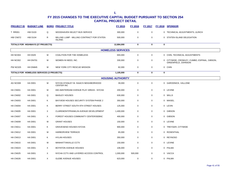| <b>PROJECT ID</b> | <b>BUDGET LINE</b>                        |              | <b>BORO PROJECT TITLE</b>                                    | <b>FY 2015</b>           | <b>FY 2016</b> | <b>FY 2017</b> |             | FY 2018 SPONSOR                                                     |
|-------------------|-------------------------------------------|--------------|--------------------------------------------------------------|--------------------------|----------------|----------------|-------------|---------------------------------------------------------------------|
| <b>T RR001</b>    | <b>HW D103</b>                            | Q            | WOODHAVEN SELECT BUS SERVICE                                 | 300,000                  | $\mathsf 0$    | $\mathsf{O}$   |             | 0 TECHNICAL ADJUSTMENTS, ULRICH                                     |
| HW CN072          | <b>HW D104</b>                            | $\mathsf{R}$ | MILLING LUMP - MILLING CONTRACT FOR STATEN<br><b>ISLAND.</b> | 500,000                  | $\mathbf 0$    | $\mathbf 0$    |             | 0 STATEN ISLAND DELEGATION                                          |
|                   | TOTALS FOR HIGHWAYS (27 PROJECTS)         |              |                                                              | 12,884,000               | $\bf{0}$       | $\bf{0}$       | $\mathbf 0$ |                                                                     |
|                   |                                           |              |                                                              | <b>HOMELESS SERVICES</b> |                |                |             |                                                                     |
| HH NC004          | <b>HH D025</b>                            | M            | COALITION FOR THE HOMELESS                                   | 693,000                  | $\mathsf 0$    | $\mathbf 0$    |             | 0 CHIN, TECHNICAL ADJUSTMENTS                                       |
| HH NC002          | HH DN701                                  | M            | WOMEN IN NEED, INC.                                          | 330,000                  | $\mathbf 0$    | $\mathbf 0$    |             | 0 CITYWIDE, CROWLEY, CUMBO, ESPINAL, GIBSON,<br>GREENFIELD, JOHNSON |
| <b>PW NC025</b>   | HH DN845                                  | М            | NEW YORK CITY RESCUE MISSION                                 | 82,000                   | $\mathsf 0$    | 0              |             | 0 CHIN                                                              |
|                   | TOTALS FOR HOMELESS SERVICES (3 PROJECTS) |              |                                                              | 1,105,000                | $\mathbf 0$    | $\mathbf 0$    | $\mathbf 0$ |                                                                     |
|                   |                                           |              |                                                              | <b>HOUSING AUTHORITY</b> |                |                |             |                                                                     |
| AG NC008          | <b>HA D001</b>                            | М            | NYCHA-STANLEY M. ISAACS NEIGHBORHOOD<br><b>CENTER INC</b>    | 39,000                   | $\mathbf 0$    | $\mathbf 0$    |             | 0 GARODNICK, VALLONE                                                |
| HA CN001          | <b>HA D001</b>                            | М            | 830 AMSTERDAM AVENUE PLAY AREAS - NYCHA                      | 200,000                  | $\mathbf 0$    | 0              |             | 0 LEVINE                                                            |
| HA CN002          | <b>HA D001</b>                            | Q            | <b>BAISLEY HOUSES</b>                                        | 630,000                  | $\mathbf 0$    | $\mathbf 0$    |             | 0 WILLS                                                             |
| HA CN003          | <b>HA D001</b>                            | K            | BAYVIEW HOUSES SECURITY SYSTEM PHASE 2                       | 350,000                  | $\mathbf 0$    | 0              |             | 0 MAISEL                                                            |
| HA CN004          | <b>HA D001</b>                            | Κ            | BERRY STREET-SOUTH 9TH STREET HOUSES                         | 125,000                  | $\mathbf 0$    | $\mathbf 0$    |             | 0 LEVIN                                                             |
| HA CN005          | <b>HA D001</b>                            | X            | CLAREMONT/FRANKLIN AVENUE DEVELOPMENT                        | 1,400,000                | $\mathbf 0$    | $\mathbf 0$    |             | 0 GIBSON                                                            |
| HA CN007          | <b>HA D001</b>                            | X            | FOREST HOUSES COMMUNITY CENTER/SEBNC                         | 400,000                  | $\mathbf 0$    | $\mathbf 0$    |             | 0 GIBSON                                                            |
| HA CN009          | <b>HA D001</b>                            | M            | <b>GRANT HOUSES</b>                                          | 150,000                  | $\mathbf 0$    | $\mathbf 0$    |             | 0 LEVINE                                                            |
| HA CN011          | <b>HA D001</b>                            | Κ            | <b>GRAVESEND HOUSES NYCHA</b>                                | 900,000                  | $\mathbf 0$    | $\mathbf 0$    |             | 0 TREYGER, CITYWIDE                                                 |
| HA CN012          | <b>HA D001</b>                            | M            | <b>HARBORVIEW TERRACE</b>                                    | 65,000                   | $\mathbf 0$    | $\mathsf{O}$   |             | 0 ROSENTHAL                                                         |
| HA CN013          | <b>HA D001</b>                            | Κ            | <b>HYLAN HOUSES</b>                                          | 350,000                  | $\mathbf 0$    | $\mathbf 0$    |             | 0 REYNOSO                                                           |
| HA CN015          | <b>HA D001</b>                            | M            | MANHATTANVILLE CCTV                                          | 150,000                  | $\mathbf 0$    | 0              |             | 0 LEVINE                                                            |
| HA CN023          | <b>HA D001</b>                            | X            | BOYNTON AVENUE HOUSES                                        | 106,000                  | $\mathbf 0$    | $\mathbf 0$    |             | 0 PALMA                                                             |
| HA CN025          | <b>HA D001</b>                            | X            | NYCHA CCTV AND LAYERED ACCESS CONTROL                        | 1,000,000                | 500,000        | 0              |             | 0 VACCA                                                             |
| HA CN026          | <b>HA D001</b>                            | $\times$     | <b>GLEBE AVENUE HOUSES</b>                                   | 623,000                  | $\mathbf 0$    | $\mathsf{O}$   |             | 0 PALMA                                                             |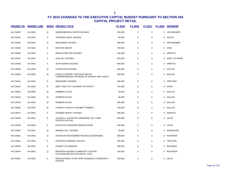| <b>PROJECT ID</b> | <b>BUDGET LINE</b> |   | <b>BORO PROJECT TITLE</b>                                                         | <b>FY 2015</b> | <b>FY 2016</b> | <b>FY 2017</b> | <b>FY 2018</b> | <b>SPONSOR</b>   |
|-------------------|--------------------|---|-----------------------------------------------------------------------------------|----------------|----------------|----------------|----------------|------------------|
| HA CN029          | <b>HA D001</b>     | Q | QUEENSBRIDGE NORTH HOUSES                                                         | 450,000        | 0              | 0              |                | 0 VAN BRAMER     |
| HA CN031          | <b>HA D001</b>     | X | THROGGS NECK HOUSES                                                               | 50,000         | 0              | 0              |                | 0 VACCA          |
| HA CN032          | <b>HA D001</b>     | Q | WOODSIDE HOUSES                                                                   | 200,000        | 0              | 0              |                | 0 VAN BRAMER     |
| HA CN035          | <b>HA D001</b>     | X | <b>BOSTON SECOR</b>                                                               | 700,000        | 0              | 0              |                | 0 KING           |
| HA CN036          | <b>HA D001</b>     | X | <b>BRONXCHESTER HOUSES</b>                                                        | 205,000        | 0              | 0              |                | 0 ARROYO         |
| HA CN037          | <b>HA D001</b>     | X | <b>GUN HILL HOUSES</b>                                                            | 925,000        | 0              | 0              |                | 0 KING, CITYWIDE |
| HA CN038          | <b>HA D001</b>     | X | <b>JOHN ADAMS HOUSES</b>                                                          | 608,000        | 0              | 0              |                | 0 ARROYO         |
| HA CN039          | <b>HA D001</b>     | M | <b>LEXINGTON HOUSES</b>                                                           | 430,000        | 0              | 0              |                | 0 KALLOS         |
| HA CN040          | <b>HA D001</b>     | M | <b>LSAACS CENTER CONTINUATION OF</b><br>COMPREHENSIVE UPGRADE OF SENIOR AND YOUTH | 680,000        | 0              | 0              |                | 0 KALLOS         |
| HA CN041          | <b>HA D001</b>     | Κ | <b>MARLBORO HOUSES</b>                                                            | 200,000        | 0              | 0              |                | 0 TREYGER        |
| HA CN042          | <b>HA D001</b>     | R | NEW YORK CITY HOUSING AUTHORITY                                                   | 704,000        | 0              | 0              | $\overline{0}$ | <b>ROSE</b>      |
| HA CN043          | <b>HA D001</b>     | М | ROBBINS PLAZA                                                                     | 45,000         | 0              | 0              |                | 0 KALLOS         |
| HA CN044          | <b>HA D001</b>     | М | ROBBINS PLAZA                                                                     | 45,000         | 0              | 0              |                | 0 KALLOS         |
| HA CN045          | <b>HA D001</b>     | M | ROBBINS PLAZA                                                                     | 250,000        | 0              | 0              |                | 0 KALLOS         |
| HA CN046          | <b>HA D001</b>     | M | STANLEY ISAACS & HOLMES TOWERS                                                    | 150,000        | 0              | 0              |                | 0 KALLOS         |
| HA CN047          | <b>HA D001</b>     | X | STEBBIN HEWITT HOUSES                                                             | 280,000        | 0              | 0              |                | 0 ARROYO         |
| HA CN048          | <b>HA D001</b>     | Κ | ALONZO A. DAUGHTRY MEMORIAL DAY CARE<br>CENTER (NYCHA)                            | 200,000        | 0              | 0              |                | 0 LEVIN          |
| HA CN049          | <b>HA D001</b>     | Κ | NYCHA PLAYGROUND RENOVATIONS                                                      | 400,000        | 0              | 0              |                | 0 LEVIN          |
| HA CN050          | <b>HA D001</b>     | M | <b>MARBLE HILL HOUSES</b>                                                         | 39,000         | 0              | 0              | 0              | <b>RODRIGUEZ</b> |
| HA CN051          | <b>HA D001</b>     | Q | OCEAN BAY/EDGEMERE HOUSES (OCEANSIDE)                                             | 500,000        | 0              | 0              |                | 0 RICHARDS       |
| HA CN052          | <b>HA D001</b>     | Κ | O'DWYER GARDENS . NYCHA                                                           | 100,000        | 0              | 0              |                | 0 TREYGER        |
| HA CN053          | <b>HA D001</b>     | Κ | PALMETTO GARDENS                                                                  | 500,000        | 0              | 0              |                | 0 REYNOSO        |
| HA CN054          | <b>HA D001</b>     | Q | REDFERN HOUSES COMMUNITY CENTER<br>PLAYGROUND (D31-05-FRPLAY 1031)                | 150,000        | 0              | $\Omega$       |                | 0 RICHARDS       |
| HA CN055          | <b>HA D001</b>     | Κ | <b>RENOVATIONS TO RE-OPEN GOWANUS COMMUNITY</b><br><b>CENTER</b>                  | 325,000        | $\Omega$       | $\Omega$       |                | 0 LEVIN          |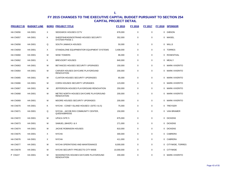| <b>PROJECT ID</b> | <b>BUDGET LINE</b> |   | <b>BORO PROJECT TITLE</b>                                    | FY 2015    | FY 2016 | <b>FY 2017</b> | <b>FY 2018</b> | <b>SPONSOR</b>       |
|-------------------|--------------------|---|--------------------------------------------------------------|------------|---------|----------------|----------------|----------------------|
| HA CN056          | <b>HA D001</b>     | X | SEDGWICK HOUSES CCTV                                         | 878,000    | 0       | $\mathbf 0$    | 0              | <b>GIBSON</b>        |
| HA CN057          | <b>HA D001</b>     | Κ | SHEEPSHEAD/NOSTRAND HOUSES SECURITY<br><b>SYSTEM PHASE 1</b> | 352,000    | 0       | $\mathbf 0$    | 0              | MAISEL               |
| HA CN058          | <b>HA D001</b>     | Q | SOUTH JAMAICA HOUSES                                         | 50,000     | 0       | $\mathbf 0$    |                | 0 WILLS              |
| HA CN059          | <b>HA D001</b>     | X | STANDALONE EQUIPMENT/OR EQUIPMENT SYSTEMS                    | 3,408,000  | 0       | $\mathbf 0$    | 0              | <b>TORRES</b>        |
| HA CN060          | <b>HA D001</b>     | М | <b>WISE TOWERS</b>                                           | 86,000     | 0       | 0              | $\Omega$       | ROSENTHAL            |
| HA CN062          | <b>HA D001</b>     | ĸ | <b>BREVOORT HOUSES</b>                                       | 840,000    | 0       | $\mathbf 0$    | 0              | MEALY                |
| HA CN063          | <b>HA D001</b>     | м | BETANCES HOUSES SECURITY UPGRADES                            | 150,000    | 0       | $\mathbf 0$    | 0              | MARK-VIVERITO        |
| HA CN064          | <b>HA D001</b>     | М | CARVER HOUSES DAYCARE PLAYGROUND<br><b>RENOVATION</b>        | 200,000    | 0       | $\mathbf 0$    | 0              | MARK-VIVERITO        |
| HA CN065          | <b>HA D001</b>     | М | <b>CLINTON HOUSES SECURITY UPGRADES</b>                      | 65,000     | 0       | $\mathbf 0$    | 0              | MARK-VIVERITO        |
| HA CN066          | <b>HA D001</b>     | м | <b>CORSI HOUSES SECURITY UPGRADES</b>                        | 123,000    | 0       | $\mathbf 0$    | 0              | MARK-VIVERITO        |
| HA CN067          | <b>HA D001</b>     | м | JEFFERSON HOUSES PLAYGROUND RENOVATION                       | 250,000    | 0       | $\mathbf 0$    | 0              | MARK-VIVERITO        |
| HA CN068          | <b>HA D001</b>     | М | METRO NORTH HOUSES DAYCARE PLAYGROUND<br><b>RENOVATION</b>   | 200,000    | 0       | $\mathbf 0$    | 0              | <b>MARK-VIVERITO</b> |
| HA CN069          | <b>HA D001</b>     | М | MOORE HOUSES SECURITY UPGRADES                               | 200,000    | 0       | $\mathbf 0$    | $\Omega$       | <b>MARK-VIVERITO</b> |
| HA CN070          | <b>HA D001</b>     | Κ | NYCHA - CONEY ISLAND HOUSES I (SITE 4 & 5)                   | 75,000     | 0       | $\mathbf 0$    | $\Omega$       | TREYGER              |
| HA CN071          | <b>HA D001</b>     | Q | NYCHA - JACOB RIIS COMMUNITY CENTER,<br>QUEENSBRIDGE         | 150,000    | 0       | $\mathbf 0$    | $\Omega$       | VAN BRAMER           |
| HA CN072          | <b>HA D001</b>     | M | <b>UPACA SITE 5</b>                                          | 875,000    | 0       | $\mathbf 0$    | 0              | <b>DICKENS</b>       |
| HA CN073          | <b>HA D001</b>     | M | SAMUEL (MHOP) I & II                                         | 271,000    | 0       | $\mathbf 0$    | 0              | <b>DICKENS</b>       |
| HA CN074          | <b>HA D001</b>     | M | <b>JACKIE ROBINSON HOUSES</b>                                | 810,000    | 0       | $\mathbf 0$    | 0              | <b>DICKENS</b>       |
| HA CN075          | <b>HA D001</b>     | X | <b>NYCHA</b>                                                 | 300,000    | 0       | $\mathbf 0$    | $\Omega$       | CABRERA              |
| HA CN076          | <b>HA D001</b>     | X | <b>NYCHA</b>                                                 | 411,000    | 0       | $\mathbf 0$    | 0              | CABRERA              |
| HA CN077          | <b>HA D001</b>     | м | NYCHA OPERATIONS AND MAINTENANCE                             | 8,000,000  | 0       | 0              | 0              | CITYWIDE, TORRES     |
| HA CN078          | <b>HA D001</b>     | М | NYCHA SECURITY PROJECTS CITY-WIDE                            | 10,000,000 | 0       | $\mathbf 0$    | 0              | <b>CITYWIDE</b>      |
| <b>P CN227</b>    | <b>HA D001</b>     | м | WASHINGTON HOUSES DAYCARE PLAYGROUND<br><b>RENOVATION</b>    | 200,000    | 0       | 0              | $\Omega$       | MARK-VIVERITO        |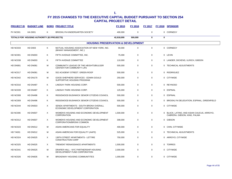| <b>PROJECT ID</b> | <b>BUDGET LINE</b>                         |   | <b>BORO PROJECT TITLE</b>                                                  | FY 2015    | FY 2016     | FY 2017     |   | FY 2018 SPONSOR                                                            |
|-------------------|--------------------------------------------|---|----------------------------------------------------------------------------|------------|-------------|-------------|---|----------------------------------------------------------------------------|
| <b>PV NC001</b>   | <b>HA D001</b>                             | Κ | BROOKLYN KINDERGARTEN SOCIETY                                              | 400,000    | $\mathbf 0$ | $\mathbf 0$ |   | 0 CORNEGY                                                                  |
|                   | TOTALS FOR HOUSING AUTHORITY (63 PROJECTS) |   |                                                                            | 42,918,000 | 500,000     | 0           | 0 |                                                                            |
|                   |                                            |   | <b>HOUSING PRESERVATION &amp; DEVELOPMENT</b>                              |            |             |             |   |                                                                            |
| <b>HD NC033</b>   | <b>HD D003</b>                             | Κ | MUTUAL HOUSING ASSOCIATION OF NEW YORK, INC.<br>(MHANY MANAGEMENT, INC.)   | 90,000     | 0           | $\mathbf 0$ |   | 0 CORNEGY                                                                  |
| <b>HD NC001</b>   | HD DN003                                   | Κ | FIFTH AVENUE COMMITTEE, INC.                                               | 75,000     | $\mathbf 0$ | $\mathbf 0$ |   | 0 LEVIN                                                                    |
| <b>HD NC038</b>   | HD DN003                                   | Κ | FIFTH AVENUE COMMITTEE                                                     | 110,000    | $\mathbf 0$ | 0           |   | 0 LANDER, DICKENS, ULRICH, GIBSON                                          |
| HD DN081          | HD DN081                                   | м | COMMUNITY LEAGUE OF THE HEIGHTS/BULGER<br>CENTER FOR COMMUNITY LIFE        | 500,000    | 0           | 0           |   | 0 TECHNICAL ADJUSTMENTS                                                    |
| HD NC017          | HD DN081                                   | M | 552 ACADEMY STREET: GREEN ROOF                                             | 500,000    | 0           | $\mathbf 0$ |   | 0 RODRIGUEZ                                                                |
| HD NC042          | <b>HD DN170</b>                            | M | GOOD SHEPHERD SERVICES - EDWIN GOULD<br>SUPPORTIVE HOUSING PROGRAM         | 250,000    | 0           | 0           |   | 0 CITYWIDE                                                                 |
| HD NC016          | <b>HD DN487</b>                            | Κ | LINDSAY PARK HOUSING CORP.                                                 | 500,000    | $\mathbf 0$ | 0           |   | 0 REYNOSO                                                                  |
| HD NC039          | <b>HD DN487</b>                            | Κ | LINDSAY PARK HOUSING CORP.                                                 | 125,000    | $\mathbf 0$ | $\mathbf 0$ |   | 0 ESPINAL                                                                  |
| HD NC008          | <b>HD DN496</b>                            | K | RIDGEWOOD BUSHWICK SENIOR CITIZENS COUNCIL                                 | 500,000    | $\Omega$    | $\mathbf 0$ |   | 0 ESPINAL                                                                  |
| HD NC009          | <b>HD DN496</b>                            | Κ | RIDGEWOOD BUSHWICK SENIOR CITIZENS COUNCIL                                 | 500,000    | $\mathbf 0$ | 0           |   | 0 BROOKLYN DELEGATION, ESPINAL, GREENFIELD                                 |
| HD NC044          | <b>HD DN503</b>                            | X | SENDA APARTMENTS - SOUTH BRONX OVERALL<br>ECONOMIC DEVELOPMENT CORPORATION | 500,000    | $\mathbf 0$ | 0           |   | 0 CITYWIDE                                                                 |
| <b>ED NC006</b>   | <b>HD DN507</b>                            | X | WOMEN'S HOUSING AND ECONOMIC DEVELOPMENT<br><b>CORPORATION</b>             | 1,500,000  | $\pmb{0}$   | $\pmb{0}$   |   | 0 BLACK, LATINO, AND ASIAN CAUCUS, ARROYO,<br>CABRERA, GIBSON, KING, PALMA |
| HD NC012          | <b>HD DN507</b>                            | X | WOMEN'S HOUSING AND ECONOMIC DEVELOPMENT<br>CORPORATION/BRONX COMMON       | 308,000    | 0           | $\mathbf 0$ |   | 0 GIBSON                                                                   |
| HD NC023          | <b>HD DN512</b>                            | м | ASIAN AMERICANS FOR EQUALITY                                               | 400,000    | $\mathbf 0$ | $\mathbf 0$ |   | 0 CHIN, CITYWIDE                                                           |
| HD TA001          | <b>HD DN512</b>                            | M | ASIAN AMERICAN FOR EQUALITY (AAFE)                                         | 525,000    | $\Omega$    | $\mathbf 0$ |   | 0 TECHNICAL ADJUSTMENTS                                                    |
| HD NC024          | <b>HD DN525</b>                            | X | 138TH STREET APARTMENTS - LETTIRE<br><b>CONSTRUCTION CORP</b>              | 750,000    | $\mathbf 0$ | 0           |   | 0 ARROYO, CITYWIDE                                                         |
| <b>HD NC025</b>   | <b>HD DN525</b>                            | X | TREMONT RENAISSANCE APARTMENTS                                             | 1,500,000  | $\mathbf 0$ | 0           |   | 0 TORRES                                                                   |
| HD NC041          | <b>HD DN525</b>                            | M | DRAPER HALL - NYC PARTNERSHIP HOUSING<br>DEVELOPMENT FUND CORPORATION      | 2,000,000  | 0           | $\mathbf 0$ |   | 0 CITYWIDE                                                                 |
| HD NC026          | HD DN635                                   | м | BROADWAY HOUSING COMMUNITITES                                              | 1,000,000  | $\Omega$    | $\mathbf 0$ |   | 0 CITYWIDE                                                                 |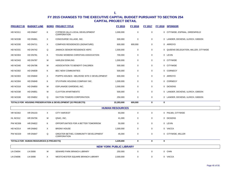| <b>PROJECT ID</b> | <b>BUDGET LINE</b>                      |   | <b>BORO PROJECT TITLE</b>                                   | <b>FY 2015</b>                 | <b>FY 2016</b> | <b>FY 2017</b> |             | FY 2018 SPONSOR                       |
|-------------------|-----------------------------------------|---|-------------------------------------------------------------|--------------------------------|----------------|----------------|-------------|---------------------------------------|
| <b>HD NC011</b>   | HD DN647                                | Κ | CYPRESS HILLS LOCAL DEVELOPMENT<br><b>CORPORATION</b>       | 1,000,000                      | $\mathbf 0$    | 0              |             | 0 CITYWIDE, ESPINAL, GREENFIELD       |
| HD NC038          | HD DN661                                | X | CONCOURSE VILLAGE, INC.                                     | 500,000                        | 0              | 0              |             | 0 LANDER, DICKENS, ULRICH, GIBSON     |
| <b>HD NC030</b>   | <b>HD DN711</b>                         | X | COMPASS RESIDENCES (SIGNATURE)                              | 600,000                        | 600,000        | 0              |             | 0 ARROYO                              |
| <b>HD NC031</b>   | <b>HD DN742</b>                         | Q | JAMAICA SENIOR RESIDENCE HDFC                               | 1,500,000                      | 0              | 0              |             | 0 QUEENS DELEGATION, MILLER, CITYWIDE |
| HD NC004          | <b>HD DN781</b>                         | Κ | YOUNG WOMENS CHRISTIAN ASSOCIATION                          | 700,000                        | 0              | 0              |             | 0 LEVIN                               |
| HD NC043          | HD DN787                                | М | <b>HARLEM DOWLING</b>                                       | 1,500,000                      | 0              | 0              |             | 0 CITYWIDE                            |
| HD NC040          | HD DN796                                | м | ASSOCIATION TO BENEFIT CHILDREN                             | 500,000                        | 0              | 0              |             | 0 CITYWIDE                            |
| <b>HD NC002</b>   | HD DN839                                | Κ | BEC NEW COMMUNITIES                                         | 500,000                        | 0              | 0              |             | 0 CORNEGY                             |
| HD NC003          | <b>HD DN840</b>                         | X | PHIPPS HOUSES - MELROSE SITE C DEVELOPMENT                  | 600,000                        | 0              | $\mathbf 0$    |             | 0 ARROYO                              |
| AG NC004          | <b>HD DN849</b>                         | Κ | STUYPARK HOUSING COMPANY INC.                               | 1,500,000                      | 0              | 0              |             | 0 CORNEGY                             |
| HD NC018          | <b>HD DN850</b>                         | М | ESPLANADE GARDENS, INC.                                     | 1,000,000                      | 0              | 0              |             | 0 DICKENS                             |
| HD NC038          | <b>HD DN851</b>                         | М | <b>CLAYTON APARTMENTS</b>                                   | 500,000                        | 0              | 0              |             | 0 LANDER, DICKENS, ULRICH, GIBSON     |
| HD NC038          | <b>HD DN852</b>                         | Q | DAYTON TOWERS CORPORATION                                   | 250,000                        | $\mathbf 0$    | 0              |             | 0 LANDER, DICKENS, ULRICH, GIBSON     |
|                   |                                         |   | TOTALS FOR HOUSING PRESERVATION & DEVELOPMENT (32 PROJECTS) | 22,283,000                     | 600,000        | 0              | $\mathbf 0$ |                                       |
|                   |                                         |   |                                                             | <b>HUMAN RESOURCES</b>         |                |                |             |                                       |
| <b>HR NC002</b>   | <b>HR DN103</b>                         | X | <b>CITY HARVEST</b>                                         | 93,000                         | $\mathbf 0$    | 0              |             | 0 PALMA, CITYWIDE                     |
| HL NC012          | <b>HR DN756</b>                         | M | QSAC, INC.                                                  | 41,000                         | $\mathsf 0$    | 0              |             | 0 DICKENS                             |
| <b>PW NC006</b>   | <b>HR DN822</b>                         | K | OPPORTUNITIES FOR A BETTER TOMORROW                         | 50,000                         | $\mathbf 0$    | $\mathbf 0$    |             | 0 LEVIN                               |
| HD NC014          | <b>HR DN842</b>                         | X | <b>BRONX HOUSE</b>                                          | 1,000,000                      | $\mathbf 0$    | $\mathbf 0$    |             | 0 VACCA                               |
| <b>PW NC029</b>   | HR DN847                                | Q | GREATER BETHEL COMMUNITY DEVELOPMENT<br><b>CORPORATION</b>  | 45,000                         | 0              | 0              |             | 0 CITYWIDE, MILLER                    |
|                   | TOTALS FOR HUMAN RESOURCES (5 PROJECTS) |   |                                                             | 1,229,000                      | 0              | 0              | $\mathbf 0$ |                                       |
|                   |                                         |   |                                                             | <b>NEW YORK PUBLIC LIBRARY</b> |                |                |             |                                       |
| LN CN004          | <b>LN D008</b>                          | М | SEWARD PARK BRANCH LIBRARY                                  | 250,000                        | 0              | 0              |             | 0 CHIN                                |
| LN CN006          | <b>LN D008</b>                          | X | WESTCHESTER SQUARE BRANCH LIBRARY                           | 2,000,000                      | $\Omega$       | $\mathbf 0$    |             | 0 VACCA                               |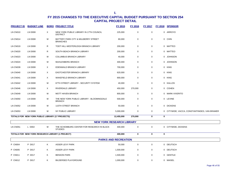|                 | <b>PROJECT ID BUDGET LINE</b>                    |          | <b>BORO PROJECT TITLE</b>                                    | FY 2015                     | FY 2016     | <u>FY 2017</u> |             | <b>FY 2018 SPONSOR</b>                        |
|-----------------|--------------------------------------------------|----------|--------------------------------------------------------------|-----------------------------|-------------|----------------|-------------|-----------------------------------------------|
| LN CN010        | <b>LN D008</b>                                   | X        | NEW YORK PUBLIC LIBRARY IN 17TH COUNCIL<br><b>DISTRICT</b>   | 225,000                     | $\mathbf 0$ | $\mathsf 0$    |             | 0 ARROYO                                      |
| LN CN014        | <b>LN D008</b>                                   | M        | BATTERY PARK CITY & MULBERRY STREET<br><b>BRANCHES</b>       | 80,000                      | $\mathbf 0$ | $\mathbf 0$    |             | 0 CHIN                                        |
| <b>LN CN019</b> | <b>LN D008</b>                                   | R        | TODT HILL-WESTERLEIGH BRANCH LIBRARY                         | 200,000                     | $\mathsf 0$ | $\mathbf 0$    |             | 0 MATTEO                                      |
| <b>LN CN020</b> | <b>LN D008</b>                                   | R        | SOUTH BEACH BRANCH LIBRARY                                   | 200,000                     | $\mathbf 0$ | $\mathbf 0$    |             | 0 MATTEO                                      |
| <b>LN CN023</b> | <b>LN D008</b>                                   | M        | <b>COLUMBUS BRANCH LIBRARY</b>                               | 40,000                      | $\mathbf 0$ | $\mathbf 0$    |             | 0 JOHNSON                                     |
| LN CN024        | <b>LN D008</b>                                   | М        | MUHLENBERG BRANCH                                            | 400,000                     | $\mathbf 0$ | 0              |             | 0 JOHNSON                                     |
| LN CN039        | <b>LN D008</b>                                   | X        | EDENWALD BRANCH LIBRARY                                      | 700,000                     | $\mathbf 0$ | 0              |             | 0 KING                                        |
| LN CN040        | <b>LN D008</b>                                   | X        | EASTCHESTER BRANCH LIBRARY                                   | 620,000                     | $\mathbf 0$ | $\mathbf 0$    |             | 0 KING                                        |
| LN CN041        | <b>LN D008</b>                                   | X        | WAKEFIELD BRANCH LIBRARY                                     | 900,000                     | $\mathbf 0$ | $\mathbf 0$    |             | 0 KING                                        |
| LN CN042        | <b>LN D008</b>                                   | M        | 67TH STREET LIBRARY - SECURITY SYSTEM                        | 40,000                      | $\mathbf 0$ | $\mathbf 0$    |             | 0 KALLOS                                      |
| LN CN046        | <b>LN D008</b>                                   | $\times$ | RIVERDALE LIBRARY                                            | 450,000                     | 270,000     | 0              |             | 0 COHEN                                       |
| LN CN049        | <b>LN D008</b>                                   | М        | <b>MOTT HAVEN BRANCH</b>                                     | 800,000                     | $\mathbf 0$ | $\mathbf 0$    |             | 0 MARK-VIVERITO                               |
| <b>LN CN050</b> | <b>LN D008</b>                                   | M        | THE NEW YORK PUBLIC LIBRARY - BLOOMINGDALE<br><b>BRANCH</b>  | 500,000                     | $\mathbf 0$ | $\mathbf 0$    |             | 0 LEVINE                                      |
| <b>LN CN052</b> | <b>LN D008</b>                                   | M        | 115TH STREET BRANCH                                          | 50,000                      | $\mathbf 0$ | $\mathbf 0$    |             | 0 DICKENS                                     |
| <b>LN CN053</b> | <b>LN D008</b>                                   | М        | NY PUBLIC LIBRARY                                            | 5,000,000                   | $\mathbf 0$ | $\mathbf 0$    |             | 0 CITYWIDE, VACCA, CONSTANTINIDES, VAN BRAMER |
|                 | TOTALS FOR NEW YORK PUBLIC LIBRARY (17 PROJECTS) |          |                                                              | 12,455,000                  | 270,000     | $\mathbf 0$    | $\bf{0}$    |                                               |
|                 |                                                  |          | <b>NEW YORK RESEARCH LIBRARY</b>                             |                             |             |                |             |                                               |
| <b>LN CN051</b> | L D002                                           | м        | THE SCHOMBURG CENTER FOR RESEARCH IN BLACK<br><b>STUDIES</b> | 400,000                     | $\mathbf 0$ | $\mathbf 0$    |             | 0 CITYWIDE, DICKENS                           |
|                 | TOTALS FOR NEW YORK RESEARCH LIBRARY (1 PROJECT) |          |                                                              | 400,000                     | $\mathbf 0$ | $\mathbf 0$    | $\mathbf 0$ |                                               |
|                 |                                                  |          |                                                              | <b>PARKS AND RECREATION</b> |             |                |             |                                               |
| P CN004         | P D017                                           | K        | ASSER LEVY PARK                                              | 50,000                      | $\mathbf 0$ | $\mathbf 0$    |             | 0 DEUTSCH                                     |
| <b>P CN005</b>  | P D017                                           | K        | ASSER LEVY PARK                                              | 1,500,000                   | $\mathbf 0$ | $\mathbf 0$    |             | 0 DEUTSCH                                     |
| P CN011         | P D017                                           | K        | <b>BENSON PARK</b>                                           | 1,500,000                   | $\mathbf 0$ | $\mathbf 0$    |             | 0 GENTILE                                     |
| <b>P CN012</b>  | P D017                                           | K        | <b>BILDERSEE PLAYGROUND</b>                                  | 1,000,000                   | $\mathbf 0$ | $\mathbf 0$    |             | 0 MAISEL                                      |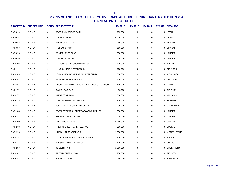| <b>PROJECT ID</b> | <b>BUDGET LINE</b> |   | <b>BORO PROJECT TITLE</b>                | FY 2015   | FY 2016     | <b>FY 2017</b> | <b>FY 2018</b> | <b>SPONSOR</b>    |
|-------------------|--------------------|---|------------------------------------------|-----------|-------------|----------------|----------------|-------------------|
| P CN019           | P D017             | Κ | <b>BROOKLYN BRIDGE PARK</b>              | 163,000   | $\pmb{0}$   | $\mathbf 0$    |                | 0 LEVIN           |
| P CN031           | P D017             | Κ | <b>CYPRESS PARK</b>                      | 4,000,000 | $\pmb{0}$   | $\mathbf 0$    | $\mathbf{0}$   | <b>BARRON</b>     |
| <b>P CN088</b>    | P D017             | Κ | <b>HECKSCHER PARK</b>                    | 1,250,000 | $\pmb{0}$   | $\mathbf 0$    |                | 0 ESPINAL         |
| P CN089           | P D017             | Κ | <b>HIGHLAND PARK</b>                     | 600,000   | $\pmb{0}$   | 0              |                | 0 ESPINAL         |
| <b>P CN098</b>    | P D017             | Κ | DOME PLAYGROUND                          | 1,000,000 | $\mathbf 0$ | $\mathbf 0$    |                | 0 LANDER          |
| P CN099           | P D017             | Κ | <b>ENNIS PLAYGROND</b>                   | 500,000   | $\pmb{0}$   | $\mathbf 0$    |                | 0 LANDER          |
| P CN108           | P D017             | Κ | DR. JOHN'S PLAYGROUND PHASE II           | 1,100,000 | $\mathbf 0$ | $\mathbf 0$    |                | 0 MAISEL          |
| P CN141           | P D017             | Κ | JAIME CAMPIZ PLAYGROUND                  | 108,000   | $\pmb{0}$   | $\mathbf 0$    |                | 0 REYNOSO         |
| P CN143           | P D017             | Κ | JOHN ALLEN PAYNE PARK PLAYGROUND         | 1,500,000 | $\pmb{0}$   | $\mathbf 0$    |                | 0 MENCHACA        |
| P CN151           | P D017             | Κ | MANHATTAN BEACH PARK                     | 1,500,000 | $\pmb{0}$   | $\mathbf 0$    | 0              | <b>DEUTSCH</b>    |
| P CN155           | P D017             | Κ | MCGOLRICK PARK PLAYGROUND RECONSTRUCTION | 450,000   | $\pmb{0}$   | 0              |                | 0 LEVIN           |
| P CN171           | P D017             | Κ | <b>OWL'S HEAD PARK</b>                   | 50,000    | $\pmb{0}$   | $\mathbf 0$    | 0              | <b>GENTILE</b>    |
| <b>P CN172</b>    | P D017             | Κ | PAERDEGAT PARK                           | 2,500,000 | $\pmb{0}$   | $\mathbf 0$    |                | 0 WILLIAMS        |
| P CN175           | P D017             | Κ | WEST PLAYGROUND PHASE II                 | 1,800,000 | $\mathbf 0$ | $\mathbf 0$    |                | 0 TREYGER         |
| P CN176           | P D017             | M | ASSER LEVY RECREATION CENTER             | 50,000    | $\pmb{0}$   | $\mathbf 0$    | 0              | <b>GARODNICK</b>  |
| P CN186           | P D017             | Κ | PROSPECT PARK LONGMEADOW BALLFIELDS      | 500,000   | 0           | $\mathbf 0$    |                | 0 LANDER          |
| P CN187           | P D017             | Κ | PROSPECT PARK PATHS                      | 215,000   | $\pmb{0}$   | $\mathbf 0$    |                | 0 LANDER          |
| P CN200           | P D017             | Κ | SHORE ROAD PARK                          | 5,250,000 | $\mathbf 0$ | $\mathbf 0$    |                | 0 GENTILE         |
| <b>P CN208</b>    | P D017             | Κ | THE PROSPECT PARK ALLIANCE               | 250,000   | $\pmb{0}$   | $\mathbf 0$    |                | 0 EUGENE          |
| P CN223           | P D017             | Κ | LINCOLN TERRACE PARK                     | 2,000,000 | $\pmb{0}$   | 0              |                | 0 MEALY, LEVINE   |
| P CN232           | P D017             | Κ | WYCKOFF HOUSE VISITORS' CENTER           | 250,000   | $\mathbf 0$ | $\mathbf 0$    |                | 0 MAISEL          |
| P CN237           | P D017             | Κ | PROSPECT PARK ALLIANCE                   | 400,000   | $\mathbf 0$ | $\mathbf 0$    | $\mathbf{0}$   | <b>CUMBO</b>      |
| P CN239           | P D017             | Κ | KOLBERT PARK                             | 1,500,000 | $\mathbf 0$ | $\mathbf 0$    | 0              | <b>GREENFIELD</b> |
| <b>P CN242</b>    | P D017             | Κ | <b>GREEN CENTRAL KNOLL</b>               | 750,000   | $\pmb{0}$   | $\mathbf 0$    |                | 0 REYNOSO         |
| P CN243           | P D017             | Κ | <b>VALENTINO PIER</b>                    | 250,000   | 0           | 0              |                | 0 MENCHACA        |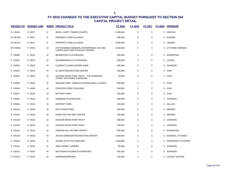| <b>PROJECT ID</b> | <b>BUDGET LINE</b> |   | <b>BORO PROJECT TITLE</b>                                                  | <b>FY 2015</b> | <b>FY 2016</b> | <b>FY 2017</b> | FY 2018 SPONSOR       |
|-------------------|--------------------|---|----------------------------------------------------------------------------|----------------|----------------|----------------|-----------------------|
| <b>P CN244</b>    | P D017             | Κ | JOHN J CARTY TENNIS COURTS                                                 | 1,000,000      | $\mathbf 0$    | 0              | 0 GENTILE             |
| <b>PV NC146</b>   | P D017             | Κ | PROSPECT PARK ALLIANCE                                                     | 500,000        | 0              | 0              | 0 EUGENE              |
| <b>PV NC147</b>   | P D017             | Κ | PROSPECT PARK ALLIANCE                                                     | 2,000,000      | $\mathbf 0$    | 0              | 0 LANDER              |
| EP CN002          | P D018             | M | OUTSTANDING RENEWAL ENTERPRISES, INC DBA<br>LOWER EAST SIDE ECOLOGY CENTER | 1,000,000      | $\mathbf 0$    | 0              | 0 CITYWIDE, MENDEZ    |
| P CN009           | P D018             | M | BENNERSON PLAYGROUND                                                       | 350,000        | $\mathbf 0$    | 0              | 0 ROSENTHAL           |
| <b>P CN014</b>    | P D018             | M | BLOOMINGDALE PLAYGROUND                                                    | 600,000        | $\mathbf 0$    | 0              | 0 LEVINE              |
| <b>P CN026</b>    | P D018             | M | <b>CLEMENT CLARKE MOORE PARK</b>                                           | 400,000        | $\mathbf 0$    | 0              | 0 JOHNSON             |
| <b>P CN032</b>    | P D018             | M | AL SMITH RECREATION CENTER                                                 | 100,000        | $\mathbf 0$    | 0              | 0 CHIN                |
| <b>P CN033</b>    | P D018             | M | HUDSON RIVER PARK TRUST - THE HARRISON<br>STREET ENTRANCE OVERLOOK         | 76,000         | $\mathbf 0$    | 0              | 0 CHIN                |
| <b>P CN035</b>    | P D018             | M | SEWARD PARK - RENOVATE BASKETBALL COURTS                                   | 600,000        | $\mathbf 0$    | 0              | 0 CHIN                |
| <b>P CN036</b>    | P D018             | M | STANTON STREET BUILDING                                                    | 250,000        | $\mathbf 0$    | 0              | 0 CHIN                |
| <b>P CN037</b>    | P D018             | M | <b>BATTERY PARK</b>                                                        | 250,000        | $\mathbf 0$    | 0              | 0 CHIN                |
| P CN092           | P D018             | м | DOWNING PLAYGROUND                                                         | 400,000        | $\mathbf 0$    | 0              | 0 JOHNSON             |
| P CN096           | P D018             | м | <b>RUPPERT PARK</b>                                                        | 100,000        | $\mathbf 0$    | 0              | 0 KALLOS              |
| P CN110           | P D018             | M | <b>EAST RIVER PARK</b>                                                     | 500,000        | $\mathbf 0$    | 0              | 0 MENDEZ              |
| P CN123           | P D018             | M | HAMILTON FISH REC CENTER                                                   | 300,000        | $\mathbf 0$    | 0              | 0 MENDEZ              |
| P CN129           | P D018             | M | HUDSON RIVER PARK TRUST                                                    | 180,000        | 0              | 0              | 0 JOHNSON             |
| P CN130           | P D018             | M | <b>HUDSON RIVER PARK TRUST</b>                                             | 100,000        | 0              | 0              | 0 JOHNSON             |
| P CN132           | P D018             | M | INWOOD HILL NATURE CENTER                                                  | 500,000        | 0              | 0              | 0 RODRIGUEZ           |
| P CN139           | P D018             | M | JACKIE ROBINSON RECREATION CENTER                                          | 1,500,000      | $\mathbf 0$    | 0              | 0 DICKENS, CITYWIDE   |
| P CN140           | P D018             | M | JACOB JAVITZ PLAYGROUND                                                    | 1,500,000      | $\mathbf 0$    | 0              | 0 RODRIGUEZ, CITYWIDE |
| P CN142           | P D018             | M | JANE STREET GARDEN                                                         | 85,000         | $\mathbf 0$    | 0              | 0 JOHNSON             |
| P CN153           | P D018             | м | MATTHEWS-PALMER PLAYGROUND                                                 | 400,000        | $\mathbf 0$    | 0              | 0 JOHNSON             |
| P CN159           | P D018             | M | <b>MORNINGSIDEPARK</b>                                                     | 725,000        | $\mathbf 0$    | 0              | 0 LEVINE, DICKENS     |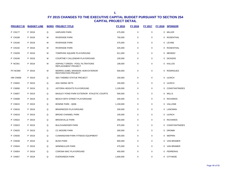| <b>PROJECT ID</b> | <b>BUDGET LINE</b> |   | <b>BORO PROJECT TITLE</b>                                        | <b>FY 2015</b> | <b>FY 2016</b> | <b>FY 2017</b> | <b>FY 2018</b> | <b>SPONSOR</b>   |
|-------------------|--------------------|---|------------------------------------------------------------------|----------------|----------------|----------------|----------------|------------------|
| <b>P CN177</b>    | P D018             | Q | <b>HARVARD PARK</b>                                              | 475,000        | 0              | $\mathbf 0$    |                | 0 MILLER         |
| P CN189           | P D018             | M | <b>RIVERSIDE PARK</b>                                            | 750,000        | 0              | $\mathbf 0$    |                | 0 ROSENTHAL      |
| P CN190           | P D018             | M | <b>RIVERSIDE PARK</b>                                            | 375,000        | $\mathbf 0$    | $\mathbf 0$    |                | 0 LEVINE         |
| P CN192           | P D018             | M | <b>RIVERSIDE PARK</b>                                            | 325,000        | $\mathbf 0$    | $\Omega$       |                | 0 ROSENTHAL      |
| P CN209           | P D018             | M | TOMPKINS SQUARE PLAYGROUND                                       | 611,000        | $\mathbf 0$    | $\mathbf 0$    |                | 0 MENDEZ         |
| <b>P CN246</b>    | P D018             | М | COURTNEY CALLENDAR PLAYGROUND                                    | 100,000        | $\mathbf 0$    | $\mathbf 0$    |                | 0 DICKENS        |
| <b>P NC001</b>    | P D018             | М | ASPHALT GREEN - POOL FILTRATIONS<br>REPLACEMENT PROJECT          | 108,000        | 0              | $\mathbf 0$    |                | 0 KALLOS         |
| <b>PV NC060</b>   | P D018             | M | MORRIS-JUMEL MANSION: MJM EXTERIOR<br><b>RESTORATION PROJECT</b> | 500,000        | $\mathbf 0$    | $\mathbf 0$    |                | 0 RODRIGUEZ      |
| <b>HW CN058</b>   | P D019             | Q | <b>SEA THEMED STATUE PROJECT</b>                                 | 150,000        | $\mathbf 0$    | $\mathbf 0$    |                | 0 ULRICH         |
| <b>P CN002</b>    | P D019             | Q | ADA SWING SETS                                                   | 150,000        | $\mathbf 0$    | $\mathbf 0$    |                | 0 ULRICH         |
| P CN006           | P D019             | Q | ASTORIA HEIGHTS PLAYGROUND                                       | 1,100,000      | $\mathbf 0$    | $\mathbf 0$    |                | 0 CONSTANTINIDES |
| P CN007           | P D019             | Q | BAISLEY POND PARK EXTERIOR ATHLETIC COURTS                       | 500,000        | $\mathbf 0$    | $\mathbf 0$    |                | 0 WILLS          |
| P CN008           | P D019             | Q | <b>BEACH 59TH STREET PLAYGROUND</b>                              | 200,000        | $\mathbf 0$    | $\mathbf 0$    |                | 0 RICHARDS       |
| <b>P CN015</b>    | P D019             | Q | <b>BOWNE PARK - Q006</b>                                         | 1,150,000      | $\mathbf 0$    | $\mathbf 0$    |                | 0 VALLONE        |
| <b>P CN016</b>    | P D019             | Q | BRIARWOOD PLAYGROUND                                             | 200,000        | $\mathbf 0$    | $\mathbf 0$    |                | 0 LANCMAN        |
| <b>P CN018</b>    | P D019             | Q | <b>BROAD CHANNEL PARK</b>                                        | 100,000        | $\mathbf 0$    | $\mathbf 0$    |                | 0 ULRICH         |
| <b>P CN022</b>    | P D019             | Q | <b>BROOKVILLE PARK</b>                                           | 350,000        | $\mathbf 0$    | $\mathbf 0$    |                | 0 RICHARDS       |
| <b>P CN023</b>    | P D019             | Q | <b>BULOVA/MOSER PARK</b>                                         | 975,000        | $\mathbf 0$    | $\mathbf 0$    |                | 0 CONSTANTINIDES |
| <b>P CN025</b>    | P D019             | Q | <b>CC MOORE PARK</b>                                             | 300,000        | $\mathbf 0$    | $\mathbf 0$    |                | 0 DROMM          |
| P CN030           | P D019             | Q | <b>CUNNINGHAM PARK FITNESS EQUIPMENT</b>                         | 200,000        | $\mathbf 0$    | $\mathbf 0$    |                | 0 WEPRIN         |
| <b>P CN038</b>    | P D019             | Q | <b>BUSH PARK</b>                                                 | 800,000        | $\mathbf 0$    | 0              |                | 0 VAN BRAMER     |
| P CN044           | P D019             | Q | <b>WINDMULLER PARK</b>                                           | 475,000        | $\mathbf 0$    | $\mathbf 0$    |                | 0 VAN BRAMER     |
| <b>P CN054</b>    | P D019             | Q | CORONA MAC PLAYGROUND                                            | 450,000        | $\mathbf 0$    | $\mathbf 0$    |                | 0 FERRERAS       |
| <b>P CN057</b>    | P D019             | Q | <b>EVERGREEN PARK</b>                                            | 1,600,000      | $\Omega$       | $\Omega$       |                | 0 CITYWIDE       |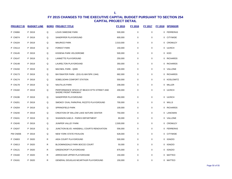| <u>PROJECT ID</u> | <b>BUDGET LINE</b> |   | <b>BORO PROJECT TITLE</b>                                         | FY 2015   | FY 2016     | <b>FY 2017</b> | <b>FY 2018</b> | <b>SPONSOR</b>  |
|-------------------|--------------------|---|-------------------------------------------------------------------|-----------|-------------|----------------|----------------|-----------------|
| <b>P CN066</b>    | P D019             | Q | <b>LOUIS SIMEONE PARK</b>                                         | 500,000   | $\pmb{0}$   | $\pmb{0}$      | 0              | <b>FERRERAS</b> |
| <b>P CN074</b>    | P D019             | Q | SANDPIPER PLAYGROUND                                              | 600,000   | $\mathbf 0$ | $\mathbf 0$    | $\Omega$       | <b>CITYWIDE</b> |
| <b>P CN104</b>    | P D019             | Q | <b>MAURICE PARK</b>                                               | 2,010,000 | $\mathbf 0$ | $\mathbf 0$    | $\Omega$       | CROWLEY         |
| P CN114           | P D019             | Q | <b>FOREST PARK</b>                                                | 150,000   | $\mathbf 0$ | 0              |                | 0 ULRICH        |
| P CN145           | P D019             | Q | KISSENA PARK VELODROME                                            | 500,000   | $\mathbf 0$ | 0              |                | 0 KOO           |
| <b>P CN147</b>    | P D019             | Q | LANNETTE PLAYGROUND                                               | 250,000   | $\mathbf 0$ | 0              | 0              | <b>RICHARDS</b> |
| <b>P CN148</b>    | P D019             | Q | LAURELTON PLAYGROUND                                              | 350,000   | $\mathbf 0$ | $\mathbf 0$    | $\Omega$       | RICHARDS        |
| P CN150           | P D019             | Q | MACNEIL PARK - Q009                                               | 100,000   | $\mathbf 0$ | $\mathbf 0$    |                | 0 VALLONE       |
| P CN173           | P D019             | Q | BAYSWATER PARK - (D31-01-BAYSPK 1344)                             | 682,000   | $\mathbf 0$ | 0              | 0              | RICHARDS        |
| <b>P CN174</b>    | P D019             | Q | SOBELSOHN CONFORT STATION                                         | 550,000   | $\mathbf 0$ | 0              | $\Omega$       | KOSLOWITZ       |
| <b>P CN178</b>    | P D019             | Q | <b>NAUTILUS PARK</b>                                              | 208,000   | $\mathbf 0$ | $\mathbf 0$    |                | 0 MILLER        |
| P CN182           | P D019             | Q | PERFORMANCE SPACE AT BEACH 97TH STREET AND<br>SHORE FRONT PARKWAY | 200,000   | $\mathbf 0$ | $\mathbf 0$    |                | 0 ULRICH        |
| P CN196           | P D019             | Q | SANDPIPER PLAYGROUND                                              | 450,000   | $\mathbf 0$ | $\mathbf 0$    |                | 0 ULRICH        |
| P CN201           | P D019             | Q | SMOKEY OVAL PARK/PHIL RIZZITO PLAYGROUND                          | 700,000   | $\pmb{0}$   | 0              | 0              | WILLS           |
| <b>P CN204</b>    | P D019             | Q | SPRINGFIELD PARK                                                  | 100,000   | $\mathbf 0$ | $\mathbf 0$    |                | 0 RICHARDS      |
| P CN240           | P D019             | Q | CREATION OF WILLOW LAKE NATURE CENTER                             | 750,000   | $\mathbf 0$ | 0              | 0              | LANCMAN         |
| <b>P CN241</b>    | P D019             | Q | SHANNON GAELS - PARKS DEPARTMENT                                  | 80,000    | 0           | $\mathbf 0$    | 0              | VALLONE         |
| <b>P CN245</b>    | P D019             | Q | <b>JUNIPER VALLEY PARK</b>                                        | 2,500,000 | $\mathbf 0$ | $\mathbf 0$    | $\Omega$       | CROWLEY         |
| <b>P CN247</b>    | P D019             | Q | JUNCTION BLVD. HANDBALL COURTS RENOVATION                         | 556,000   | $\mathbf 0$ | 0              |                | 0 FERRERAS      |
| PW CN006          | P D019             | Q | <b>NEW YORK STATE PAVILION</b>                                    | 628,000   | $\mathbf 0$ | 0              |                | 0 CITYWIDE      |
| <b>P CN003</b>    | P D020             | R | AIDA COURT PLAYGROUND                                             | 500,000   | $\mathbf 0$ | 0              | 0              | <b>IGNIZIO</b>  |
| P CN013           | P D020             | R | BLOOMINGDALE PARK BOCCE COURT                                     | 50,000    | $\mathbf 0$ | $\mathbf 0$    | 0              | <b>IGNIZIO</b>  |
| P CN121           | P D020             | R | <b>GREENCROFT PLAYGROUND</b>                                      | 875,000   | $\pmb{0}$   | $\mathbf 0$    | $\Omega$       | <b>IGNIZIO</b>  |
| P CN160           | P D020             | R | ARROCHAR UPPER PLAYGROUND                                         | 150,000   | $\mathbf 0$ | 0              | 0              | MATTEO          |
| P CN161           | P D020             | R | GENERAL DOUGLAS MCARTHUR PLAYGROUND                               | 150,000   | $\mathbf 0$ | 0              | 0              | MATTEO          |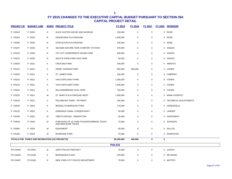| <b>PROJECT ID</b> | <b>BUDGET LINE</b>                             |              | <b>BORO PROJECT TITLE</b>                                       | FY 2015       | <b>FY 2016</b>   | <b>FY 2017</b> |   | <b>FY 2018 SPONSOR</b>  |
|-------------------|------------------------------------------------|--------------|-----------------------------------------------------------------|---------------|------------------|----------------|---|-------------------------|
| P CN163           | P D020                                         | R            | ALICE AUSTEN HOUSE AND MUSEUM                                   | 250,000       | $\boldsymbol{0}$ | $\mathbf 0$    |   | 0 ROSE                  |
| P CN164           | P D020                                         | $\mathsf{R}$ | <b>GRANDVIEW PLAYGROUND</b>                                     | 1,000,000     | 0                | $\mathbf 0$    |   | 0 ROSE                  |
| P CN166           | P D020                                         | $\mathsf{R}$ | STAPLETON PLAYGROUND                                            | 165,000       | 0                | $\mathbf 0$    |   | 0 ROSE                  |
| P CN197           | P D020                                         | $\mathsf{R}$ | SEASIDE NATURE PARK COMFORT STATION                             | 875,000       | 0                | $\mathbf 0$    |   | 0 IGNIZIO               |
| P CN210           | P D020                                         | $\mathsf{R}$ | TOT LOT CONFERENCE HOUSE PARK                                   | 500,000       | 0                | 0              |   | 0 IGNIZIO               |
| <b>P CN222</b>    | P D020                                         | $\mathsf{R}$ | WOLF'S POND PARK DOG PARK                                       | 50,000        | 0                | 0              |   | 0 IGNIZIO               |
| <b>P CN028</b>    | P D021                                         | X            | <b>CROTONA PARK</b>                                             | 400,000       | 0                | 0              |   | 0 ARROYO                |
| P CN124           | P D021                                         | X            | HENRY HUDSON PARK                                               | 600,000       | 400,000          | 0              |   | 0 COHEN                 |
| P CN205           | P D021                                         | X            | ST. JAMES PARK                                                  | 100,000       | 0                | $\mathbf 0$    |   | 0 CABRERA               |
| P CN216           | P D021                                         | X            | VAN CORTLANDT PARK                                              | 1,260,000     | 0                | $\mathbf 0$    |   | 0 COHEN                 |
| P CN218           | P D021                                         | X            | VAN CORTLANDT PARK                                              | 1,500,000     | 0                | $\mathbf 0$    |   | 0 COHEN                 |
| P CN220           | P D021                                         | X            | WILLIAMSBRIDGE OVAL PARK                                        | 750,000       | 0                | $\mathbf 0$    |   | 0 COHEN                 |
| <b>P CN226</b>    | P D021                                         | М            | ST. MARY'S PLAYGROUND WEST                                      | 1,500,000     | $\mathbf 0$      | $\mathbf 0$    |   | 0 MARK-VIVERITO         |
| P CN230           | P D021                                         | X            | PELHAM BAY PARK - PATHWAY                                       | 100,000       | $\mathbf 0$      | $\mathbf 0$    |   | 0 TECHNICAL ADJUSTMENTS |
| <b>P CN045</b>    | P D822                                         | Κ            | <b>BROOKLYN BOROUGH PARK</b>                                    | 170,000       | 0                | $\mathbf 0$    |   | 0 GREENFIELD            |
| P CN120           | P D822                                         | Κ            | GOWANUS CANAL CONSERVANCY                                       | 50,000        | 0                | 0              |   | 0 LANDER                |
| P CN236           | P D822                                         | М            | TREE PLANTING - MANHATTAN                                       | 35,000        | 0                | $\mathbf 0$    |   | 0 GARODNICK             |
| P CN046           | P D933                                         | М            | PURCHASE OF 16-YARD PACKER/GARBAGE TRUCK<br>AND MINI-DUMP TRUCK | 75,000        | 0                | $\mathbf 0$    |   | 0 JOHNSON               |
| <b>P CN095</b>    | P D933                                         | М            | <b>EQUIPMENT</b>                                                | 65,000        | 0                | $\mathbf 0$    |   | 0 KALLOS                |
| P CN193           | P D933                                         | M            | RIVERSIDE PARK                                                  | 75,000        | 0                | $\mathbf 0$    |   | 0 ROSENTHAL             |
|                   | TOTALS FOR PARKS AND RECREATION (122 PROJECTS) |              |                                                                 | 80,455,000    | 400,000          | $\bf{0}$       | 0 |                         |
|                   |                                                |              |                                                                 | <b>POLICE</b> |                  |                |   |                         |
| PO CN002          | PO D001                                        | Q            | 106TH POLICE PRECINCT                                           | 75,000        | 0                | $\overline{0}$ |   | 0 ULRICH                |
| <b>PO CN003</b>   | PO D185                                        | Κ            | <b>BORINQUEN PLAZA</b>                                          | 378,000       | $\mathbf 0$      | $\mathbf 0$    |   | 0 REYNOSO               |
| <b>PO CN007</b>   | PO D185                                        | R            | NEW YORK CITY POLICE DEPARTMENT                                 | 70,000        | 0                | $\mathbf 0$    |   | 0 MATTEO                |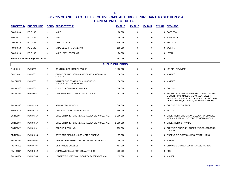| <b>PROJECT ID</b> | <b>BUDGET LINE</b>             |    | <b>BORO PROJECT TITLE</b>                                   | FY 2015                 | <b>FY 2016</b> | FY 2017     |             | FY 2018 SPONSOR                                                                                                                                                              |
|-------------------|--------------------------------|----|-------------------------------------------------------------|-------------------------|----------------|-------------|-------------|------------------------------------------------------------------------------------------------------------------------------------------------------------------------------|
| PO CN009          | PO D185                        | X  | <b>NYPD</b>                                                 | 60,000                  | 0              | $\mathbf 0$ |             | 0 CABRERA                                                                                                                                                                    |
| <b>PO CN011</b>   | PO D185                        | Κ  | <b>NYPD</b>                                                 | 600,000                 | 0              | 0           |             | 0 MENCHACA                                                                                                                                                                   |
| <b>PO CN012</b>   | PO D185                        | Κ  | <b>NYPD CAMERAS</b>                                         | 400,000                 | 0              | 0           |             | 0 WILLIAMS                                                                                                                                                                   |
| PO CN013          | PO D185                        | Q  | NYPD SECURITY CAMERAS                                       | 105,000                 | 0              | 0           |             | 0 WEPRIN                                                                                                                                                                     |
| <b>PO CN014</b>   | PO D185                        | K  | NYPD - 90TH PRECINCT                                        | 74,000                  | 0              | 0           |             | 0 LEVIN                                                                                                                                                                      |
|                   | TOTALS FOR POLICE (8 PROJECTS) |    |                                                             | 1,762,000               | $\bf{0}$       | $\mathbf 0$ | $\mathbf 0$ |                                                                                                                                                                              |
|                   |                                |    |                                                             | <b>PUBLIC BUILDINGS</b> |                |             |             |                                                                                                                                                                              |
| P CN229           | <b>PW D005</b>                 | R  | SOUTH SHORE LITTLE LEAGUE                                   | 1,400,000               | $\pmb{0}$      | 0           |             | 0 IGNIZIO, CITYWIDE                                                                                                                                                          |
| CO CN001          | <b>PW D308</b>                 | R  | OFFICE OF THE DISTRICT ATTORNEY - RICHMOND<br><b>COUNTY</b> | 50,000                  | $\pmb{0}$      | 0           |             | 0 MATTEO                                                                                                                                                                     |
| PW CN002          | <b>PW D308</b>                 | R  | VAN FOR THE STATEN ISLAND BOROUGH<br>PRESIDENT'S CLEAN TEAM | 50,000                  | 0              | 0           |             | 0 MATTEO                                                                                                                                                                     |
| <b>PW NC033</b>   | <b>PW D308</b>                 | м  | COUNCIL COMPUTER UPGRADE                                    | 1,000,000               | 0              | 0           |             | 0 CITYWIDE                                                                                                                                                                   |
| PW NC017          | <b>PW DN061</b>                | Q  | NEW YORK LEGAL ASSISTANCE GROUP                             | 281,000                 | $\mathsf 0$    | $\mathbf 0$ |             | 0 BRONX DELEGATION, ARROYO, COHEN, DROMM,<br>GIBSON, KING, MAISEL, MENCHACA, MILLER,<br>REYNOSO, TORRES, VACCA, BLACK, LATINO, AND<br>ASIAN CAUCUS, CITYWIDE, WOMEN'S CAUCUS |
| PW NC018          | <b>PW DN246</b>                | М  | ARMORY FOUNDATION                                           | 800,000                 | 0              | 0           |             | 0 CITYWIDE, RODRIGUEZ                                                                                                                                                        |
| HD NC015          | <b>PW DN248</b>                | X  | LEAKE AND WATTS SERVICES, INC.                              | 669,000                 | 0              | 0           |             | 0 PALMA                                                                                                                                                                      |
| CS NC006          | <b>PW DN317</b>                | K  | OHEL CHILDREN'S HOME AND FAMILY SERVICES, INC.              | 2,000,000               | 0              | 0           |             | 0 GREENFIELD, BROOKLYN DELEGATION, MAISEL,<br>WEPRIN, ESPINAL, GENTILE, JEWISH CAUCUS                                                                                        |
| CS NC008          | <b>PW DN317</b>                | K  | OHEL CHILDREN'S HOME AND FAMILY SERVICES, INC.              | 2,000,000               | 0              | $\mathbf 0$ |             | 0 GREENFIELD, CITYWIDE                                                                                                                                                       |
| CS NC007          | <b>PW DN361</b>                | X  | SAFE HORIZON, INC.                                          | 273,000                 | 0              | 0           |             | 0 CITYWIDE, EUGENE, LANDER, VACCA, CABRERA,<br><b>GIBSON</b>                                                                                                                 |
| ED NC003          | <b>PW DN393</b>                | Q  | BOYS AND GIRLS CLUB OF METRO QUEENS                         | 97,000                  | $\pmb{0}$      | 0           |             | 0 QUEENS DELEGATION, KOSLOWITZ, ULRICH                                                                                                                                       |
| <b>PW NC022</b>   | <b>PW DN402</b>                | R. | JEWISH COMMUNITY CENTER OF STATEN ISLAND                    | 50,000                  | $\mathbf 0$    | $\mathbf 0$ |             | 0 MATTEO                                                                                                                                                                     |
| <b>PW NC003</b>   | <b>PW DN497</b>                | K  | ST. FRANCIS COLLEGE                                         | 487,000                 | $\mathbf 0$    | $\mathbf 0$ |             | 0 CITYWIDE, CUMBO, LEVIN, MAISEL, MATTEO                                                                                                                                     |
| PW NC014          | <b>PW DN512</b>                | Q  | ASIAN AMERICANS FOR EQUALITY, INC.                          | 300,000                 | $\mathbf 0$    | $\mathbf 0$ |             | 0 KOO                                                                                                                                                                        |
| <b>PW NC004</b>   | <b>PW DN584</b>                | K  | HEBREW EDUCATIONAL SOCIETY PASSENGER VAN                    | 13,000                  | $\mathbf 0$    | 0           |             | 0 MAISEL                                                                                                                                                                     |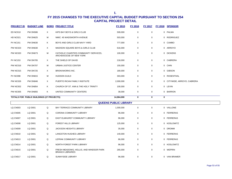| <b>PROJECT ID</b> | <b>BUDGET LINE</b>                        |   | <b>BORO PROJECT TITLE</b>                                          | <b>FY 2015</b>               | <b>FY 2016</b> | <b>FY 2017</b> |             | FY 2018 SPONSOR             |
|-------------------|-------------------------------------------|---|--------------------------------------------------------------------|------------------------------|----------------|----------------|-------------|-----------------------------|
| <b>ED NC010</b>   | <b>PW DN586</b>                           | X | KIPS BAY BOYS & GIRLS CLUB                                         | 509,000                      | 0              | 0              |             | 0 PALMA                     |
| HD NC021          | <b>PW DN625</b>                           | М | NMIC: 45 WADSWORTH AVENUE                                          | 503,000                      | $\mathbf 0$    | $\mathbf 0$    |             | 0 RODRIGUEZ                 |
| <b>PV NC151</b>   | <b>PW DN630</b>                           | Κ | BOYS AND GIRLS CLUB NAVY YARD                                      | 777,000                      | $\mathbf 0$    | $\mathbf 0$    |             | 0 CUMBO                     |
| <b>PW NC023</b>   | <b>PW DN630</b>                           | X | MADISON SQUARE BOYS & GIRLS CLUB                                   | 616,000                      | 0              | $\mathbf 0$    |             | 0 ARROYO                    |
| <b>PW NC020</b>   | <b>PW DN673</b>                           | М | CATHOLIC CHARITIES COMMUNITY SERVICES,<br>ARCHDIOCESE OF NEW YORK  | 100,000                      | 0              | 0              |             | 0 DICKENS                   |
| <b>PV NC153</b>   | <b>PW DN705</b>                           | X | THE SHIELD OF DAVID                                                | 218,000                      | 0              | 0              |             | 0 CABRERA                   |
| <b>PW NC016</b>   | <b>PW DN707</b>                           | М | URBAN JUSTICE CENTER                                               | 150,000                      | 0              | 0              |             | 0 CHIN                      |
| <b>PW NC015</b>   | <b>PW DN725</b>                           | X | <b>BRONXWORKS INC.</b>                                             | 180,000                      | 0              | 0              |             | 0 GIBSON                    |
| <b>PV NC098</b>   | <b>PW DN815</b>                           | м | <b>HUDSON GUILD</b>                                                | 303,000                      | 0              | 0              |             | 0 ROSENTHAL                 |
| <b>PW NC026</b>   | <b>PW DN846</b>                           | X | PUERTO RICAN FAMILY INSITIUTE                                      | 2,000,000                    | 0              | 0              |             | 0 CITYWIDE, ARROYO, CABRERA |
| <b>PW NC002</b>   | <b>PW DN854</b>                           | ĸ | CHURCH OF ST. ANN & THE HOLY TRINITY                               | 100,000                      | 0              | 0              |             | 0 LEVIN                     |
| <b>PW NC005</b>   | <b>PW DN855</b>                           | Κ | UNITED COMMUNITY CENTERS                                           | 38,000                       | 0              | 0              |             | 0 BARRON                    |
|                   | TOTALS FOR PUBLIC BUILDINGS (27 PROJECTS) |   |                                                                    | 14,964,000                   | $\bf{0}$       | 0              | $\mathbf 0$ |                             |
|                   |                                           |   |                                                                    | <b>QUEENS PUBLIC LIBRARY</b> |                |                |             |                             |
| <b>LQ CN003</b>   | <b>LQ D001</b>                            | Q | BAY TERRACE COMMUNITY LIBRARY                                      | 1,000,000                    | $\mathbf 0$    | $\mathbf 0$    |             | 0 VALLONE                   |
| <b>LQ CN005</b>   | <b>LQ D001</b>                            | Q | CORONA COMMUNITY LIBRARY                                           | 96,000                       | 0              | 0              |             | 0 FERRERAS                  |
| LQ CN007          | <b>LQ D001</b>                            | Q | EAST ELMHURST COMMUNITY LIBRARY                                    | 96,000                       | 0              | 0              |             | 0 FERRERAS                  |
| <b>LQ CN008</b>   | <b>LQ D001</b>                            | Q | <b>FOREST HILLS LIBRARY</b>                                        | 125,000                      | 0              | 0              |             | 0 KOSLOWITZ                 |
| <b>LQ CN009</b>   | <b>LQ D001</b>                            | Q | JACKSON HEIGHTS LIBRARY                                            | 35,000                       | 0              | $\mathbf 0$    |             | 0 DROMM                     |
| <b>LQ CN010</b>   | <b>LQ D001</b>                            | Q | LANGSTON HUGHES LIBRARY                                            | 140,000                      | 0              | 0              |             | 0 FERRERAS                  |
| <b>LQ CN013</b>   | <b>LQ D001</b>                            | Q | LEFRAK COMMUNITY LIBRARY                                           | 86,000                       | 0              | $\mathbf 0$    |             | 0 FERRERAS                  |
| LQ CN014          | LQ D001                                   | Q | NORTH FOREST PARK LIBRARY                                          | 96,000                       | 0              | 0              |             | 0 KOSLOWITZ                 |
| LQ CN015          | <b>LQ D001</b>                            | Q | FRESH MEADOWS, HOLLIS, AND WINDSOR PARK<br><b>BRANCH LIBRARIES</b> | 265,000                      | 0              | 0              |             | 0 WEPRIN                    |
| LQ CN017          | <b>LQ D001</b>                            | Q | SUNNYSIDE LIBRARY                                                  | 96,000                       | 0              | 0              |             | 0 VAN BRAMER                |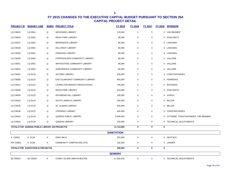| <b>PROJECT ID</b> | <b>BUDGET LINE</b>                             |   | <b>BORO PROJECT TITLE</b>       | <b>FY 2015</b>    | <b>FY 2016</b> | <b>FY 2017</b> |   | FY 2018 SPONSOR                        |
|-------------------|------------------------------------------------|---|---------------------------------|-------------------|----------------|----------------|---|----------------------------------------|
| <b>LQ CN018</b>   | <b>LQ D001</b>                                 | Q | <b>WOODSIDE LIBRARY</b>         | 125,000           | $\mathbf 0$    | 0              |   | 0 VAN BRAMER                           |
| <b>LQ CN029</b>   | <b>LQ D001</b>                                 | Q | <b>REGO PARK LIBRARY</b>        | 96,000            | 0              | 0              |   | 0 KOSLOWITZ                            |
| <b>LQ CN037</b>   | <b>LQ D001</b>                                 | Q | BRIARWOOD LIBRARY               | 86,000            | 0              | 0              |   | 0 LANCMAN                              |
| <b>LQ CN038</b>   | <b>LQ D001</b>                                 | Q | HILLCREST LIBRARY               | 86,000            | 0              | 0              |   | 0 LANCMAN                              |
| <b>LQ CN039</b>   | LQ D001                                        | Q | POMONOK LIBRARY                 | 86,000            | $\pmb{0}$      | 0              |   | 0 LANCMAN                              |
| <b>LQ CN040</b>   | <b>LQ D001</b>                                 | Q | POPPENHUSEN COMMUNITY LIBRARY   | 86,000            | 0              | 0              |   | 0 VALLONE                              |
| <b>LQ CN041</b>   | <b>LQ D001</b>                                 | Q | WHITESTONE COMMUNITY LIBRARY    | 86,000            | 0              | 0              |   | 0 VALLONE                              |
| <b>LQ CN042</b>   | LQ D001                                        | Q | AUBURNDALE COMMUNITY LIBRARY    | 86,000            | 0              | 0              |   | 0 VALLONE                              |
| <b>LQ CN001</b>   | LQ D122                                        | Q | <b>ASTORIA LIBRARY</b>          | 200,000           | 0              | 0              |   | 0 CONSTANTINIDES                       |
| <b>LQ CN006</b>   | LQ D122                                        | Q | EAST ELMHURST COMMUNITY LIBRARY | 600,000           | 0              | 0              |   | 0 FERRERAS                             |
| LQ CN011          | LQ D122                                        | Q | LAURELTON BRANCH RENOVATIONS    | 750,000           | 0              | 0              |   | 0 RICHARDS                             |
| <b>LQ CN028</b>   | LQ D122                                        | Q | REGO PARK LIBRARY               | 533,000           | 0              | 0              |   | 0 KOSLOWITZ                            |
| <b>LQ CN030</b>   | LQ D122                                        | Q | RICHMOND HILL LIBRARY           | 100,000           | $\pmb{0}$      | 0              |   | 0 ULRICH                               |
| <b>LQ CN033</b>   | <b>LQ D122</b>                                 | Q | SOUTH JAMAICA LIBRARY           | 200,000           | 0              | 0              |   | 0 MILLER                               |
| <b>LQ CN035</b>   | LQ D122                                        | Q | ST. ALBANS LIBRARY              | 650,000           | $\pmb{0}$      | 0              |   | 0 MILLER                               |
| <b>LQ CN036</b>   | LQ D122                                        | Q | STEINWAY LIBRARY                | 655,000           | 0              | 0              |   | 0 CONSTANTINIDES                       |
| <b>LQ CN043</b>   | LQ D122                                        | Q | QUEENS PUBLIC LIBRARY           | 5,000,000         | 0              | 0              |   | 0 CITYWIDE, CONSTANTINIDES, VAN BRAMER |
| <b>LQ CN044</b>   | LQ D122                                        | Q | QUEENS LIBRARY                  | 250,000           | 0              | 0              |   | 0 TECHNICAL ADJUSTMENTS                |
|                   | TOTALS FOR QUEENS PUBLIC LIBRARY (28 PROJECTS) |   |                                 | 11,710,000        | 0              | 0              | 0 |                                        |
|                   |                                                |   |                                 | <b>SANITATION</b> |                |                |   |                                        |
| S CN001           | S D129                                         | K | DSNY BK13                       | 253,000           | $\mathbf 0$    | 0              |   | 0 DEUTSCH                              |
| PW CN001          | S D136                                         | K | COMMUNITY COMPOSTING SITE       | 105,000           | 0              | 0              |   | 0 LANDER                               |
|                   | TOTALS FOR SANITATION (2 PROJECTS)             |   |                                 | 358,000           | $\mathbf 0$    | 0              | 0 |                                        |
|                   |                                                |   |                                 | <b>SEWERS</b>     |                |                |   |                                        |
| <b>SE RR003</b>   | SE D002K                                       | Κ | CONEY ISLAND AMPHITHEATER       | 17,000,000        | $\pmb{0}$      | 0              |   | 0 TECHNICAL ADJUSTMENTS                |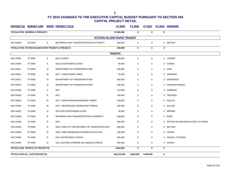|          | <b>PROJECT ID BUDGET LINE</b>                      |   | <b>BORO PROJECT TITLE</b>                  | <b>FY 2015</b> | <b>FY 2016</b> | <b>FY 2017</b> |             | FY 2018 SPONSOR                      |
|----------|----------------------------------------------------|---|--------------------------------------------|----------------|----------------|----------------|-------------|--------------------------------------|
|          | TOTALS FOR SEWERS (1 PROJECT)                      |   |                                            | 17,000,000     | $\bf{0}$       | $\bf{0}$       | $\mathbf 0$ |                                      |
|          |                                                    |   | <b>STATEN ISLAND RAPID TRANSIT</b>         |                |                |                |             |                                      |
| HW CN048 | <b>ST D003</b>                                     | R | METROPOLITIAN TRANSPORTIATION AUTHORITY    | 250,000        | $\mathbf 0$    | $\mathbf 0$    |             | 0 MATTEO                             |
|          | TOTALS FOR STATEN ISLAND RAPID TRANSIT (1 PROJECT) |   |                                            | 250,000        | $\bf{0}$       | $\bf{0}$       | $\mathbf 0$ |                                      |
|          |                                                    |   |                                            | <b>TRAFFIC</b> |                |                |             |                                      |
| HW CN004 | <b>TF D005</b>                                     | Κ | <b>BUS CLOCKS</b>                          | 240,000        | $\mathbf 0$    | $\mathbf 0$    |             | 0 LANDER                             |
| HW CN005 | <b>TF D005</b>                                     | X | <b>BUS COUNTDOWN CLOCKS</b>                | 40,000         | $\mathbf 0$    | $\mathbf 0$    |             | 0 COHEN                              |
| HW CN011 | <b>TF D005</b>                                     | М | DEPARTMENT OF TRANSPORTATION               | 260,000        | $\mathbf 0$    | $\pmb{0}$      |             | 0 CHIN                               |
| HW CN012 | <b>TF D005</b>                                     | M | DOT - COUNTDOWN TIMER                      | 35,000         | $\pmb{0}$      | $\pmb{0}$      |             | 0 JOHNSON                            |
| HW CN013 | <b>TF D005</b>                                     | М | DEPARTMENT OF TRANSPORTATION               | 950,000        | $\mathbf 0$    | $\mathbf 0$    |             | 0 GARODNICK                          |
| HW CN014 | <b>TF D005</b>                                     | Q | DEPARTMENT OF TRANSPORTATION               | 200,000        | $\mathbf 0$    | 0              |             | 0 CONSTANTINIDES                     |
| HW CN029 | <b>TF D005</b>                                     | X | <b>DOT</b>                                 | 113,000        | $\mathbf 0$    | $\mathbf 0$    |             | 0 CABRERA                            |
| HW CN030 | <b>TF D005</b>                                     | Κ | <b>DOT</b>                                 | 100,000        | $\mathbf 0$    | 0              |             | 0 TREYGER                            |
| HW CN035 | <b>TF D005</b>                                     | М | DOT - DOWNTOWN/WESTBOUND TIMERS            | 340,000        | 0              | 0              |             | 0 KALLOS                             |
| HW CN036 | <b>TF D005</b>                                     | M | DOT - WESTBOUND CROSSTOWN TIMERS           | 300,000        | $\mathbf 0$    | $\mathbf 0$    |             | 0 KALLOS                             |
| HW CN037 | <b>TF D005</b>                                     | Q | DOT BUS COUNTDOWN CLOCK                    | 35,000         | $\mathbf 0$    | $\mathbf 0$    |             | 0 WEPRIN                             |
| HW CN046 | <b>TF D005</b>                                     | R | METROPOLITAN TRANSPORTATION AUTHORITY      | 250,000        | $\mathbf 0$    | $\mathbf 0$    |             | 0 ROSE                               |
| HW CN049 | <b>TF D005</b>                                     | R | <b>MTA</b>                                 | 300,000        | 0              | 0              |             | 0 STATEN ISLAND DELEGATION, CITYWIDE |
| HW CN050 | <b>TF D005</b>                                     | R | NEW YORK CITY DEPARTMENT OF TRANSPORTATION | 200,000        | $\mathbf 0$    | $\mathbf 0$    |             | 0 MATTEO                             |
| HW CN056 | <b>TF D005</b>                                     | Q | REAL TIME PASSENGER INFORMATION IN CB 9    | 180,000        | $\mathbf 0$    | $\mathbf 0$    |             | 0 ULRICH                             |
| HW CN080 | <b>TF D005</b>                                     | R | MTA COUNTDOWN CLOCKS                       | 500,000        | $\mathbf 0$    | 0              |             | 0 IGNIZIO, CITYWIDE                  |
| HW CN044 | <b>TF D503</b>                                     | Q | LED LIGHTING UPGRADE ON JAMAICA AVENUE     | 600,000        | $\mathbf 0$    | $\mathbf 0$    |             | 0 ULRICH                             |
|          | TOTALS FOR TRAFFIC (17 PROJECTS)                   |   |                                            | 4,643,000      | $\bf{0}$       | $\mathbf 0$    | $\mathbf 0$ |                                      |
|          | TOTALS FOR ALL (1279 PROJECTS)                     |   |                                            | 465,143,000    | 9,830,000      | 5,000,000      | $\mathbf 0$ |                                      |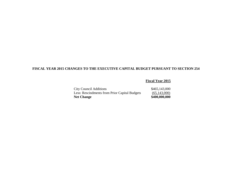### **FISCAL YEAR 2015 CHANGES TO THE EXECUTIVE CAPITAL BUDGET PURSUANT TO SECTION 254**

 **Fiscal Year 2015** 

| <b>City Council Additions</b>                 | \$465,143,000  |
|-----------------------------------------------|----------------|
| Less: Rescindments from Prior Capital Budgets | (65, 143, 000) |
| <b>Net Change</b>                             | \$400,000,000  |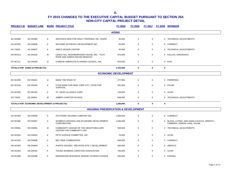| <b>PROJECT ID</b> | <b>BUDGET LINE</b>                           |   | <b>BORO PROJECT TITLE</b>                                                  | FY 2015                     | <b>FY 2016</b> | <b>FY 2017</b> |   | FY 2018 SPONSOR                                                            |  |  |  |
|-------------------|----------------------------------------------|---|----------------------------------------------------------------------------|-----------------------------|----------------|----------------|---|----------------------------------------------------------------------------|--|--|--|
|                   | <b>AGING</b>                                 |   |                                                                            |                             |                |                |   |                                                                            |  |  |  |
| AG DN380          | AG DN380                                     | A | SERVICES NOW FOR ADULT PERSONS, INC. (SNAP)                                | 55,000                      | $\mathbf 0$    | $\mathbf 0$    |   | 0 TECHNICAL ADJUSTMENTS                                                    |  |  |  |
| AG NC002          | AG DN838                                     | Κ | WAYSIDE OUTREACH DEVELOPMENT INC.                                          | 50,000                      | 0              | $\mathbf 0$    |   | 0 CORNEGY                                                                  |  |  |  |
| AG TA001          | AG DN837                                     | Κ | AMICO SENIOR CENTER                                                        | 50,000                      | 0              | 0              |   | 0 TECHNICAL ADJUSTMENTS                                                    |  |  |  |
| HD NC013          | AG DN235                                     | М | LENOX HILL NEIGHBORHOOD HOUSE, INC. - PLAY<br>ROOF AND GREEN HOUSE RENOVAT | 675,000                     | $\mathbf 0$    | $\mathbf 0$    |   | 0 KALLOS, GARODNICK                                                        |  |  |  |
| <b>PV NC111</b>   | <b>AG DN100</b>                              | Q | CHINESE-AMERICAN PLANNING COUNCIL, INC.                                    | 503,000                     | $\mathbf 0$    | $\mathbf 0$    |   | 0 KOO                                                                      |  |  |  |
|                   | <b>TOTALS FOR AGING (5 PROJECTS)</b>         |   |                                                                            | 1,333,000                   | $\mathbf 0$    | 0              | 0 |                                                                            |  |  |  |
|                   |                                              |   |                                                                            | <b>ECONOMIC DEVELOPMENT</b> |                |                |   |                                                                            |  |  |  |
| ED NC009          | ED DN631                                     | Q | MAKE THE ROAD NY                                                           | 277,000                     | $\mathbf 0$    | $\mathbf 0$    |   | 0 FERRERAS                                                                 |  |  |  |
|                   |                                              |   |                                                                            |                             |                |                |   |                                                                            |  |  |  |
| ED NC018          | <b>ED DN160</b>                              | X | FOOD BANK FOR NEW YORK CITY, FOOD FOR<br><b>SURVIVAL</b>                   | 281,000                     | $\mathbf 0$    | $\mathbf 0$    |   | 0 PALMA                                                                    |  |  |  |
| ED NC028          | ED DN760                                     | K | ST. NICKS ALLIANCE CORP.                                                   | 144,000                     | $\mathbf 0$    | $\mathbf 0$    |   | 0 LEVIN                                                                    |  |  |  |
| <b>ED TA002</b>   | ED DN841                                     | м | AMBER CHARTER SCHOOL                                                       | 548,000                     | 0              | 0              |   | 0 TECHNICAL ADJUSTMENTS                                                    |  |  |  |
|                   | TOTALS FOR ECONOMIC DEVELOPMENT (4 PROJECTS) |   |                                                                            | 1,250,000                   | 0              | $\mathbf 0$    | 0 |                                                                            |  |  |  |
|                   |                                              |   | <b>HOUSING PRESERVATION &amp; DEVELOPMENT</b>                              |                             |                |                |   |                                                                            |  |  |  |
| AG NC004          | <b>HD DN849</b>                              | Κ | STUYPARK HOUSING COMPANY INC.                                              | 1,500,000                   | $\mathbf 0$    | $\mathbf 0$    |   | 0 CORNEGY                                                                  |  |  |  |
| ED NC006          | HD DN507                                     | X | WOMEN'S HOUSING AND ECONOMIC DEVELOPMENT<br><b>CORPORATION</b>             | 1,500,000                   | 0              | 0              |   | 0 BLACK, LATINO, AND ASIAN CAUCUS, ARROYO,<br>CABRERA, GIBSON, KING, PALMA |  |  |  |
| HD DN081          | HD DN081                                     | М | COMMUNITY LEAGUE OF THE HEIGHTS/BULGER<br>CENTER FOR COMMUNITY LIFE        | 500,000                     | $\mathbf 0$    | $\mathbf 0$    |   | 0 TECHNICAL ADJUSTMENTS                                                    |  |  |  |
| <b>HD NC001</b>   | HD DN003                                     | Κ | FIFTH AVENUE COMMITTEE, INC.                                               | 75,000                      | 0              | 0              |   | 0 LEVIN                                                                    |  |  |  |
| <b>HD NC002</b>   | HD DN839                                     | K | <b>BEC NEW COMMUNITIES</b>                                                 | 500,000                     | 0              | $\mathbf 0$    |   | 0 CORNEGY                                                                  |  |  |  |
| <b>HD NC003</b>   | <b>HD DN840</b>                              | X | PHIPPS HOUSES - MELROSE SITE C DEVELOPMENT                                 | 600,000                     | $\mathbf 0$    | $\mathbf 0$    |   | 0 ARROYO                                                                   |  |  |  |
| HD NC004          | <b>HD DN781</b>                              | K | YOUNG WOMENS CHRISTIAN ASSOCIATION                                         | 700,000                     | $\mathbf 0$    | $\mathbf 0$    |   | 0 LEVIN                                                                    |  |  |  |
| HD NC008          | <b>HD DN496</b>                              | K | RIDGEWOOD BUSHWICK SENIOR CITIZENS COUNCIL                                 | 500,000                     | $\mathbf 0$    | $\mathbf 0$    |   | 0 ESPINAL                                                                  |  |  |  |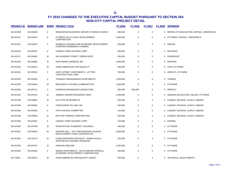| <b>PROJECT ID</b> | <b>BUDGET LINE</b> |   | <b>BORO PROJECT TITLE</b>                                                  | FY 2015   | <b>FY 2016</b> | <b>FY 2017</b> | FY 2018 SPONSOR                            |
|-------------------|--------------------|---|----------------------------------------------------------------------------|-----------|----------------|----------------|--------------------------------------------|
| <b>HD NC009</b>   | <b>HD DN496</b>    | Κ | RIDGEWOOD BUSHWICK SENIOR CITIZENS COUNCIL                                 | 500,000   | $\mathbf 0$    | $\mathbf 0$    | 0 BROOKLYN DELEGATION, ESPINAL, GREENFIELD |
| HD NC011          | HD DN647           | Κ | CYPRESS HILLS LOCAL DEVELOPMENT<br><b>CORPORATION</b>                      | 1,000,000 | $\pmb{0}$      | $\mathbf 0$    | 0 CITYWIDE, ESPINAL, GREENFIELD            |
| HD NC012          | <b>HD DN507</b>    | X | WOMEN'S HOUSING AND ECONOMIC DEVELOPMENT<br>CORPORATION/BRONX COMMON       | 308,000   | $\pmb{0}$      | $\mathbf 0$    | 0 GIBSON                                   |
| HD NC016          | HD DN487           | Κ | LINDSAY PARK HOUSING CORP.                                                 | 500,000   | $\mathbf 0$    | $\mathbf 0$    | 0 REYNOSO                                  |
| HD NC017          | HD DN081           | м | 552 ACADEMY STREET: GREEN ROOF                                             | 500,000   | 0              | $\Omega$       | 0 RODRIGUEZ                                |
| <b>HD NC018</b>   | <b>HD DN850</b>    | М | ESPLANADE GARDENS, INC.                                                    | 1,000,000 | $\mathbf 0$    | $\mathbf 0$    | 0 DICKENS                                  |
| HD NC023          | <b>HD DN512</b>    | м | ASIAN AMERICANS FOR EQUALITY                                               | 400,000   | 0              | $\mathbf 0$    | 0 CHIN, CITYWIDE                           |
| <b>HD NC024</b>   | <b>HD DN525</b>    | X | 138TH STREET APARTMENTS - LETTIRE<br><b>CONSTRUCTION CORP</b>              | 750,000   | 0              | $\mathbf 0$    | 0 ARROYO, CITYWIDE                         |
| <b>HD NC025</b>   | <b>HD DN525</b>    | X | TREMONT RENAISSANCE APARTMENTS                                             | 1,500,000 | 0              | 0              | 0 TORRES                                   |
| HD NC026          | HD DN635           | М | BROADWAY HOUSING COMMUNITITES                                              | 1,000,000 | $\mathbf 0$    | $\mathbf 0$    | 0 CITYWIDE                                 |
| HD NC030          | <b>HD DN711</b>    | X | <b>COMPASS RESIDENCES (SIGNATURE)</b>                                      | 600,000   | 600,000        | $\mathbf 0$    | 0 ARROYO                                   |
| HD NC031          | <b>HD DN742</b>    | Q | JAMAICA SENIOR RESIDENCE HDFC                                              | 1,500,000 | $\pmb{0}$      | $\mathbf 0$    | 0 QUEENS DELEGATION, MILLER, CITYWIDE      |
| HD NC038          | <b>HD DN851</b>    | м | <b>CLAYTON APARTMENTS</b>                                                  | 500,000   | 0              | 0              | 0 LANDER, DICKENS, ULRICH, GIBSON          |
| <b>HD NC038</b>   | HD DN661           | X | CONCOURSE VILLAGE, INC.                                                    | 500,000   | $\mathbf 0$    | $\mathbf 0$    | 0 LANDER, DICKENS, ULRICH, GIBSON          |
| HD NC038          | HD DN003           | Κ | FIFTH AVENUE COMMITTEE                                                     | 110,000   | 0              | 0              | 0 LANDER, DICKENS, ULRICH, GIBSON          |
| <b>HD NC038</b>   | <b>HD DN852</b>    | Q | DAYTON TOWERS CORPORATION                                                  | 250,000   | $\mathbf 0$    | $\mathbf 0$    | 0 LANDER, DICKENS, ULRICH, GIBSON          |
| HD NC039          | HD DN487           | Κ | LINDSAY PARK HOUSING CORP.                                                 | 125,000   | 0              | 0              | 0 ESPINAL                                  |
| HD NC040          | HD DN796           | М | ASSOCIATION TO BENEFIT CHILDREN                                            | 500,000   | $\mathbf 0$    | $\mathbf 0$    | 0 CITYWIDE                                 |
| HD NC041          | <b>HD DN525</b>    | М | DRAPER HALL - NYC PARTNERSHIP HOUSING<br>DEVELOPMENT FUND CORPORATION      | 2,000,000 | $\mathbf 0$    | $\mathbf 0$    | 0 CITYWIDE                                 |
| HD NC042          | <b>HD DN170</b>    | М | GOOD SHEPHERD SERVICES - EDWIN GOULD<br>SUPPORTIVE HOUSING PROGRAM         | 250,000   | 0              | 0              | 0 CITYWIDE                                 |
| HD NC043          | HD DN787           | М | <b>HARLEM DOWLING</b>                                                      | 1,500,000 | 0              | $\mathbf 0$    | 0 CITYWIDE                                 |
| HD NC044          | <b>HD DN503</b>    | X | SENDA APARTMENTS - SOUTH BRONX OVERALL<br>ECONOMIC DEVELOPMENT CORPORATION | 500,000   | 0              | 0              | 0 CITYWIDE                                 |
| HD TA001          | <b>HD DN512</b>    | м | ASIAN AMERICAN FOR EQUALITY (AAFE)                                         | 525,000   | $\mathbf 0$    | $\Omega$       | 0 TECHNICAL ADJUSTMENTS                    |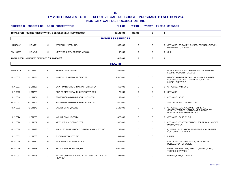| <b>PROJECT ID</b> | <b>BUDGET LINE</b>                        |   | <b>BORO PROJECT TITLE</b>                                   | FY 2015                  | FY 2016     | FY 2017     |             | FY 2018 SPONSOR                                                                                          |  |  |  |
|-------------------|-------------------------------------------|---|-------------------------------------------------------------|--------------------------|-------------|-------------|-------------|----------------------------------------------------------------------------------------------------------|--|--|--|
|                   |                                           |   | TOTALS FOR HOUSING PRESERVATION & DEVELOPMENT (31 PROJECTS) | 22,193,000               | 600,000     | $\mathbf 0$ | $\mathbf 0$ |                                                                                                          |  |  |  |
|                   |                                           |   |                                                             | <b>HOMELESS SERVICES</b> |             |             |             |                                                                                                          |  |  |  |
| HH NC002          | HH DN701                                  | м | WOMEN IN NEED, INC.                                         | 330,000                  | $\mathbf 0$ | $\mathbf 0$ |             | 0 CITYWIDE, CROWLEY, CUMBO, ESPINAL, GIBSON,<br>GREENFIELD, JOHNSON                                      |  |  |  |
| <b>PW NC025</b>   | HH DN845                                  | м | NEW YORK CITY RESCUE MISSION                                | 82,000                   | $\mathbf 0$ | $\mathbf 0$ |             | 0 CHIN                                                                                                   |  |  |  |
|                   | TOTALS FOR HOMELESS SERVICES (2 PROJECTS) |   |                                                             | 412,000                  | 0           | $\bf{0}$    | $\mathbf 0$ |                                                                                                          |  |  |  |
| <b>HEALTH</b>     |                                           |   |                                                             |                          |             |             |             |                                                                                                          |  |  |  |
| <b>HD NC010</b>   | HL DN370                                  | X | SAMARITAN VILLAGE                                           | 886,000                  | $\mathbf 0$ | $\mathbf 0$ |             | 0 BLACK, LATINO, AND ASIAN CAUCUS, ARROYO,<br>LEVINE, WOMEN'S CAUCUS                                     |  |  |  |
| <b>HL NC005</b>   | <b>HL DN254</b>                           | Κ | MAIMONIDES MEDICAL CENTER                                   | 1,500,000                | $\mathbf 0$ | $\mathbf 0$ |             | 0 BROOKLYN DELEGATION, MENCHACA, LANDER,<br>EUGENE, GENTILE, GREENFIELD, WILLIAMS,<br>MAISEL, CITYWIDE   |  |  |  |
| HL NC007          | HL DN367                                  | Q | SAINT MARY'S HOSPITAL FOR CHILDREN                          | 469,000                  | $\Omega$    | $\mathbf 0$ |             | 0 CITYWIDE, VALLONE                                                                                      |  |  |  |
| HL NC009          | HL DN775                                  | K | ODA PRIMARY HEALTH CARE NETWORK                             | 175,000                  | $\Omega$    | $\mathbf 0$ |             | 0 CITYWIDE                                                                                               |  |  |  |
| HL NC016          | HL DN404                                  | R | STATEN ISLAND UNIVERSITY HOSPITAL                           | 52,000                   | $\mathbf 0$ | $\mathbf 0$ |             | 0 CITYWIDE, ROSE                                                                                         |  |  |  |
| HL NC017          | HL DN404                                  | R | STATEN ISLAND UNIVERSITY HOSPITAL                           | 600,000                  | $\mathbf 0$ | $\mathbf 0$ |             | 0 STATEN ISLAND DELEGATION                                                                               |  |  |  |
| <b>HL NC022</b>   | <b>HL DN273</b>                           | Q | <b>MOUNT SINAI QUEENS</b>                                   | 2,135,000                | $\mathbf 0$ | $\mathbf 0$ |             | 0 CITYWIDE, KOO, VALLONE, FERRERAS,<br>CONSTANTINIDES, VAN BRAMER, CROWLEY,<br>ULRICH, QUEENS DELEGATION |  |  |  |
| HL NC024          | <b>HL DN273</b>                           | M | MOUNT SINAI HOSPITAL                                        | 422,000                  | $\mathbf 0$ | $\mathbf 0$ |             | 0 CITYWIDE, GARODNICK                                                                                    |  |  |  |
| HL NC026          | <b>HL DN201</b>                           | м | NEW YORK BLOOD CENTER                                       | 360,000                  | 0           | $\mathbf 0$ |             | 0 CITYWIDE, CONSTANTINIDES, FERRERAS, LANDER,<br>PALMA, VACCA                                            |  |  |  |
| HL NC029          | <b>HL DN328</b>                           | Q | PLANNED PARENTHOOD OF NEW YORK CITY, INC.                   | 737,000                  | $\Omega$    | $\mathbf 0$ |             | 0 QUEENS DELEGATION, FERRERAS, VAN BRAMER,<br>KOSLOWITZ, CITYWIDE                                        |  |  |  |
| HL NC033          | HL DN783                                  | X | THE FAMILY INSTITUTE                                        | 534,000                  | $\mathbf 0$ | $\mathbf 0$ |             | 0 PALMA                                                                                                  |  |  |  |
| HL NC035          | <b>HL DN530</b>                           | м | AIDS SERVICE CENTER OF NYC                                  | 905,000                  | $\mathbf 0$ | $\mathbf 0$ |             | 0 LGBT CAUCUS, GARODNICK, MANHATTAN<br>DELEGATION, CITYWIDE                                              |  |  |  |
| HL NC036          | HL DN843                                  | X | BRONX AIDS SERVICES, INC                                    | 1,000,000                | 0           | 0           |             | 0 BRONX DELEGATION, ARROYO, PALMA, KING,<br>TORRES, CITYWIDE                                             |  |  |  |
| HL NC037          | <b>HL DN795</b>                           | Q | APICHA (ASIAN & PACIFIC ISLANDER COALITION ON<br>HIV/AIDS)  | 248,000                  | $\Omega$    | $\Omega$    |             | 0 DROMM, CHIN, CITYWIDE                                                                                  |  |  |  |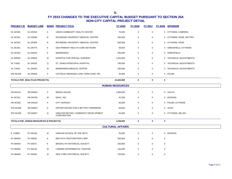|                        | <b>PROJECT ID BUDGET LINE</b>           |   | <b>BORO PROJECT TITLE</b>                                  | <b>FY 2015</b>          | <b>FY 2016</b> |             |             | FY 2017 FY 2018 SPONSOR  |  |  |
|------------------------|-----------------------------------------|---|------------------------------------------------------------|-------------------------|----------------|-------------|-------------|--------------------------|--|--|
| HL NC040               | <b>HL DN762</b>                         | X | UNION COMMUNITY HEALTH CENTER                              | 75,000                  | $\mathbf 0$    | $\mathbf 0$ |             | 0 CITYWIDE, CABRERA      |  |  |
| HL NC041               | HL DN346                                | R | RICHMOND UNIVERSITY MEDICAL CENTER                         | 264,000                 | $\mathbf 0$    | 0           |             | 0 CITYWIDE, ROSE, MATTEO |  |  |
| HL NC042               | HL DN346                                | R | RICHMOND UNIVERSITY MEDICAL CENTER                         | 500,000                 | $\mathbf 0$    | $\mathbf 0$ |             | 0 CITYWIDE, ROSE         |  |  |
| HL NC051               | HL DN775                                | Κ | ODA PRIMARY HEALTH CARE NETWORK                            | 49,000                  | $\mathbf 0$    | $\mathbf 0$ |             | 0 GREENFIELD, CITYWIDE   |  |  |
| HL NC053               | <b>HL DN254</b>                         | Κ | <b>MAIMONIDES</b>                                          | 200,000                 | $\mathbf 0$    | $\mathbf 0$ |             | 0 GREENFIELD             |  |  |
| HL RR003               | <b>HL DN810</b>                         | М | HOSPITAL FOR SPECIAL SURGERY                               | 1,253,000               | $\mathbf 0$    | 0           |             | 0 TECHNICAL ADJUSTMENTS  |  |  |
| HL TA001               | HL DN025                                | Q | ST. JOHN'S EPISCOPAL HOSPITAL                              | 796,000                 | $\mathbf 0$    | 0           |             | 0 TECHNICAL ADJUSTMENTS  |  |  |
| HL TA002               | <b>HL DN254</b>                         | М | MAIMONIDES MEDICAL CENTER                                  | 200,000                 | $\mathbf 0$    | 0           |             | 0 TECHNICAL ADJUSTMENTS  |  |  |
| <b>PW NC028</b>        | HL DN406                                | X | CATHOLIC MANAGED LONG TERM CARE, INC.                      | 43,000                  | $\mathbf 0$    | $\mathbf 0$ |             | 0 PALMA                  |  |  |
|                        | TOTALS FOR HEALTH (23 PROJECTS)         |   |                                                            | 13,403,000              | $\mathbf 0$    | $\mathbf 0$ | $\bf{0}$    |                          |  |  |
| <b>HUMAN RESOURCES</b> |                                         |   |                                                            |                         |                |             |             |                          |  |  |
| HD NC014               | <b>HR DN842</b>                         | X | <b>BRONX HOUSE</b>                                         | 1,000,000               | $\mathsf 0$    | $\mathbf 0$ |             | 0 VACCA                  |  |  |
| HL NC012               | <b>HR DN756</b>                         | М | QSAC, INC.                                                 | 41,000                  | $\mathbf 0$    | $\mathbf 0$ |             | 0 DICKENS                |  |  |
| <b>HR NC002</b>        | <b>HR DN103</b>                         | X | <b>CITY HARVEST</b>                                        | 93,000                  | $\mathbf 0$    | $\mathbf 0$ |             | 0 PALMA, CITYWIDE        |  |  |
| <b>PW NC006</b>        | <b>HR DN822</b>                         | Κ | OPPORTUNITIES FOR A BETTER TOMORROW                        | 50,000                  | $\mathbf 0$    | $\mathbf 0$ |             | 0 LEVIN                  |  |  |
| <b>PW NC029</b>        | <b>HR DN847</b>                         | Q | GREATER BETHEL COMMUNITY DEVELOPMENT<br><b>CORPORATION</b> | 45,000                  | $\mathbf 0$    | $\mathbf 0$ |             | 0 CITYWIDE, MILLER       |  |  |
|                        | TOTALS FOR HUMAN RESOURCES (5 PROJECTS) |   |                                                            | 1,229,000               | $\pmb{0}$      | $\mathbf 0$ | $\bf{0}$    |                          |  |  |
|                        |                                         |   |                                                            | <b>CULTURAL AFFAIRS</b> |                |             |             |                          |  |  |
| E CN863                | <b>PV DN181</b>                         | М | HARLEM SCHOOL OF THE ARTS                                  | 35,000                  | $\mathbf 0$    | $\mathbf 0$ |             | 0 DICKENS                |  |  |
| <b>PV MA003</b>        | <b>PV 0N053</b>                         | Κ | <b>BED-STUY RESTORATION CORP</b>                           | 550,000                 | 0              | 0           | $\mathbf 0$ |                          |  |  |
| <b>PV MA004</b>        | <b>PV 0N072</b>                         | Κ | <b>BROOKLYN HISTORICAL SOCIETY</b>                         | 200,000                 | 0              | 0           | $\mathbf 0$ |                          |  |  |
| <b>PV MA005</b>        | <b>PV 0N134</b>                         | м | LAMAMA EXPERIMENTAL THEATRE                                | 150,000                 | 0              | 0           | $\mathbf 0$ |                          |  |  |
| <b>PV MA006</b>        | <b>PV 0N304</b>                         | М | NEW YORK HISTORICAL SOCIETY                                | 150,000                 | $\mathbf 0$    | 0           | 0           |                          |  |  |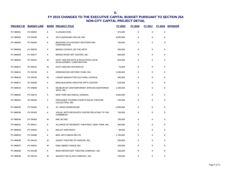| <b>PROJECT ID</b> | <b>BUDGET LINE</b> |   | <b>BORO PROJECT TITLE</b>                                       | FY 2015   | FY 2016     | <b>FY 2017</b> | <b>FY 2018</b> | <b>SPONSOR</b> |
|-------------------|--------------------|---|-----------------------------------------------------------------|-----------|-------------|----------------|----------------|----------------|
| <b>PV MM001</b>   | <b>PV 0N001</b>    | A | 3 LEGGED DOG                                                    | 375,000   | $\mathbf 0$ | $\mathbf 0$    | $\mathbf 0$    |                |
| PV MM004          | <b>PV 0N195</b>    | Α | AN CLAIDHEAMH SOLUIS, INC.                                      | 4,000,000 | 0           | 0              | 0              |                |
| <b>PV MM005</b>   | <b>PV 0N654</b>    | Κ | BEDFORD STUYVESANT RESTORATION<br><b>CORPORATION</b>            | 753,000   | 0           | 0              | $\mathbf 0$    |                |
| <b>PV MM006</b>   | <b>PV 0N678</b>    | X | BRONX COUNCIL ON THE ARTS                                       | 300,000   | 0           | $\mathbf 0$    | $\mathbf 0$    |                |
| <b>PV MM008</b>   | <b>PV 0N677</b>    | X | BRONX RIVER ART CENTER, INC.                                    | 600,000   | 0           | 0              | 0              |                |
| <b>PV MM010</b>   | <b>PV 0N612</b>    | м | EAST HARLEM ARTS & EDUCATION LOCAL<br>DEVELOPMENT CORPORATION   | 553,000   | $\mathbf 0$ | $\mathbf 0$    | $\mathbf 0$    |                |
| <b>PV MM011</b>   | <b>PV 0N612</b>    | м | EAST HARLEM CENTER/LDC                                          | 75,000    | 0           | 0              | 0              |                |
| PV MM013          | <b>PV 0N784</b>    | Κ | GREENWOOD HISTORIC FUND, INC.                                   | 1,000,000 | $\mathbf 0$ | 0              | $\mathbf 0$    |                |
| <b>PV MM016</b>   | <b>PV 0N250</b>    | м | LOWER MANHATTAN CULTURAL COUNCIL                                | 400,000   | $\mathbf 0$ | 0              | 0              |                |
| PV MM017          | <b>PV 0N266</b>    | X | MIND-BUILDERS CREATIVE ARTS CENTER                              | 529,000   | $\mathbf 0$ | 0              | 0              |                |
| <b>PV MM018</b>   | <b>PV 0N680</b>    | ĸ | MUSEUM OF CONTEMPORARY AFRICAN DIASPORIAN<br>ARTS, INC.         | 1,400,000 | $\mathbf 0$ | $\mathbf 0$    | $\mathbf 0$    |                |
| <b>PV MM020</b>   | <b>PV 0N074</b>    | X | NEW YORK BOTANICAL GARDEN                                       | 2,000,000 | 0           | 0              | $\mathbf 0$    |                |
| <b>PV MM022</b>   | <b>PV 0N333</b>    | X | PREGONES TOURING PUERTO RICAN THEATRE<br>COLLECTION, INC.       | 750,000   | $\mathbf 0$ | 0              | 0              |                |
| <b>PV MM025</b>   | <b>PV 0N362</b>    | Α | ST. ANN'S WAREHOUSE                                             | 2,000,000 | $\mathbf 0$ | $\mathbf 0$    | $\mathbf 0$    |                |
| <b>PV MM028</b>   | <b>PV 0N162</b>    | Α | VISUAL ARTS RESOURCE CENTER RELATING TO THE<br><b>CARIBBEAN</b> | 750,000   | 0           | 0              | $\mathbf 0$    |                |
| <b>PV MM030</b>   | <b>PV 0N463</b>    | М | ABC NO RIO                                                      | 750,000   | $\mathbf 0$ | 0              | $\pmb{0}$      |                |
| PV MM031          | <b>PV 0N017</b>    | Α | ALLIANCE OF RESIDENT THEATRES / NEW YORK, INC.                  | 300,000   | $\mathbf 0$ | $\mathbf 0$    | 0              |                |
| <b>PV MM032</b>   | <b>PV 0N042</b>    | Α | <b>BALLET HISPANICO</b>                                         | 68,000    | $\mathbf 0$ | 0              | 0              |                |
| <b>PV MM033</b>   | <b>PV 0N088</b>    | Κ | <b>BRIC ARTS MEDIA BKLYN</b>                                    | 1,750,000 | $\mathbf 0$ | $\mathbf 0$    | 0              |                |
| <b>PV MM036</b>   | <b>PV 0N122</b>    | м | DANCE THEATRE OF HARLEM, INC.                                   | 500,000   | $\mathbf 0$ | 0              | 0              |                |
| PV MM037          | <b>PV 0N831</b>    | м | <b>GINA GIBNEY DANCE INC.</b>                                   | 100,000   | $\mathbf 0$ | $\mathbf 0$    | $\mathbf 0$    |                |
| <b>PV MM038</b>   | <b>PV 0N196</b>    | A | IRISH REPERTORY THEATRE COMPANY, INC.                           | 200,000   | $\mathbf 0$ | $\mathbf 0$    | $\mathbf 0$    |                |
| <b>PV MM039</b>   | <b>PV 0N219</b>    | м | MANHATTAN CLASS COMPANY, INC.                                   | 750.000   | $\Omega$    | $\Omega$       | $\Omega$       |                |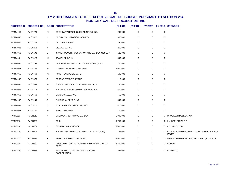| <b>PROJECT ID</b> | <b>BUDGET LINE</b> |   | <b>BORO PROJECT TITLE</b>                               | FY 2015   | FY 2016     | <b>FY 2017</b> | <b>FY 2018</b> | <b>SPONSOR</b>                                              |
|-------------------|--------------------|---|---------------------------------------------------------|-----------|-------------|----------------|----------------|-------------------------------------------------------------|
| <b>PV MM043</b>   | <b>PV 0N729</b>    | M | BROADWAY HOUSING COMMUNITIES, INC.                      | 200,000   | $\mathbf 0$ | $\mathbf 0$    | 0              |                                                             |
| <b>PV MM045</b>   | <b>PV 0N072</b>    | Κ | <b>BROOKLYN HISTORICAL SOCIETY</b>                      | 300,000   | $\Omega$    | 0              | 0              |                                                             |
| PV MM047          | <b>PV 0N124</b>    | Α | DANCEWAVE, INC.                                         | 350,000   | 0           | $\mathbf 0$    | 0              |                                                             |
| PV MM048          | <b>PV 0N258</b>    | Κ | DISCALCED, INC.                                         | 250,000   | 0           | $\mathbf 0$    | 0              |                                                             |
| <b>PV MM050</b>   | <b>PV 0N198</b>    | Q | ISAMU NOGUCHI FOUNDATION AND GARDEN MUSEUM              | 125,000   | 0           | $\mathbf 0$    | $\mathbf 0$    |                                                             |
| <b>PV MM051</b>   | <b>PV 0N423</b>    | M | <b>JEWISH MUSEUM</b>                                    | 500,000   | $\mathbf 0$ | $\mathbf 0$    | 0              |                                                             |
| <b>PV MM052</b>   | <b>PV 0N134</b>    | м | LA MAMA EXPERIMENTAL THEATER CLUB, INC.                 | 750,000   | $\mathbf 0$ | $\mathbf 0$    | 0              |                                                             |
| <b>PV MM054</b>   | <b>PV 0N737</b>    | M | MANHATTAN SCHOOL OF MUSIC                               | 1,000,000 | $\mathbf 0$ | $\mathbf 0$    | 0              |                                                             |
| <b>PV MM055</b>   | <b>PV 0N669</b>    | M | NUYORICAN POETS CAFE                                    | 100,000   | $\mathbf 0$ | $\mathbf 0$    | 0              |                                                             |
| <b>PV MM057</b>   | <b>PV 0N375</b>    | Α | SECOND STAGE THEATRE                                    | 117,000   | $\mathbf 0$ | $\pmb{0}$      | 0              |                                                             |
| <b>PV MM058</b>   | <b>PV 0N694</b>    | M | SOCIETY OF THE EDUCATIONAL ARTS, INC.                   | 50,000    | $\mathbf 0$ | $\mathbf 0$    | 0              |                                                             |
| <b>PV MM059</b>   | <b>PV 0N176</b>    | м | SOLOMON R. GUGGENHEIM FOUNDATION                        | 500,000   | $\mathbf 0$ | $\mathbf 0$    | 0              |                                                             |
| <b>PV MM060</b>   | <b>PV 0N760</b>    | Κ | ST. NICKS ALLIANCE                                      | 50,000    | 0           | $\mathbf 0$    | 0              |                                                             |
| <b>PV MM062</b>   | <b>PV 0N409</b>    | Α | SYMPHONY SPACE, INC.                                    | 500,000   | 0           | $\mathbf 0$    | 0              |                                                             |
| <b>PV MM063</b>   | <b>PV 0N412</b>    | Q | THALIA SPANISH THEATRE, INC.                            | 425,000   | 0           | $\mathbf 0$    | 0              |                                                             |
| <b>PV MM064</b>   | <b>PV 0N430</b>    | M | <b>WNET/THIRTEEN</b>                                    | 100,000   | 0           | $\mathbf 0$    | 0              |                                                             |
| <b>PV NC012</b>   | <b>PV DN610</b>    | Κ | BROOKLYN BOTANICAL GARDEN                               | 8,000,000 | $\mathbf 0$ | $\mathbf 0$    |                | 0 BROOKLYN DELEGATION                                       |
| <b>PV NC015</b>   | PV DN088           | Κ | <b>BRIC</b>                                             | 1,750,000 | 0           | 0              |                | 0 LANDER, CITYWIDE                                          |
| <b>PV NC020</b>   | <b>PV DN362</b>    | Κ | ST. ANN'S WAREHOUSE                                     | 2,000,000 | 0           | 0              |                | 0 CITYWIDE, LEVIN                                           |
| <b>PV NC025</b>   | PV DN694           | X | SOCIETY OF THE EDUCATIONAL ARTS, INC. (SEA)             | 87,000    | $\pmb{0}$   | $\mathbf 0$    | 0              | CITYWIDE, GIBSON, ARROYO, REYNOSO, DICKENS,<br><b>PALMA</b> |
| <b>PV NC027</b>   | <b>PV DN784</b>    | Κ | <b>GREENWOOD HISTORIC FUND</b>                          | 1,000,000 | 0           | $\mathbf 0$    |                | 0 BROOKLYN DELEGATION, MENCHACA, CITYWIDE                   |
| <b>PV NC028</b>   | <b>PV DN680</b>    | Κ | MUSEUM OF CONTEMPORARY AFRICAN DIASPORAN<br><b>ARTS</b> | 1,400,000 | $\mathbf 0$ | $\mathbf 0$    |                | 0 CUMBO                                                     |
| <b>PV NC029</b>   | <b>PV DN654</b>    | Κ | BEDFORD STUYVESANT RESTORATION<br>CORPORATION           | 338,000   | $\pmb{0}$   | $\mathbf 0$    | 0              | <b>CORNEGY</b>                                              |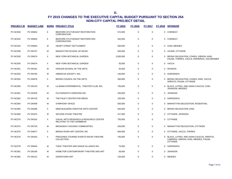| <b>PROJECT ID</b> | <b>BUDGET LINE</b> |          | <b>BORO PROJECT TITLE</b>                                           | FY 2015   | FY 2016     | FY 2017     |              | FY 2018 SPONSOR                                                                                        |
|-------------------|--------------------|----------|---------------------------------------------------------------------|-----------|-------------|-------------|--------------|--------------------------------------------------------------------------------------------------------|
| <b>PV NC030</b>   | <b>PV DN654</b>    | Κ        | BEDFORD-STUYVESANT RESTORATION<br><b>CORPORATION</b>                | 572,000   | 0           | $\mathbf 0$ |              | 0 CORNEGY                                                                                              |
| <b>PV NC032</b>   | <b>PV DN654</b>    | Κ        | BEDFORD STUYVESANT RESTORATION<br><b>CORPORATION</b>                | 342,000   | $\mathbf 0$ | $\mathbf 0$ |              | 0 CORNEGY                                                                                              |
| <b>PV NC034</b>   | <b>PV DN653</b>    | M        | HENRY STREET SETTLEMENT                                             | 500,000   | 0           | 0           |              | 0 CHIN, MENDEZ                                                                                         |
| <b>PV NC038</b>   | <b>PV DN737</b>    | M        | MANHATTAN SCHOOL OF MUSIC                                           | 500,000   | 0           | $\mathbf 0$ |              | 0 LEVINE, CITYWIDE                                                                                     |
| <b>PV NC039</b>   | PV DN074           | $\times$ | NEW YORK BOTANICAL GARDEN                                           | 2,000,000 | 0           | $\mathbf 0$ |              | 0 BRONX DELEGATION, COHEN, GIBSON, KING,<br>PALMA, TORRES, VACCA, FERRERAS, VAN BRAMER                 |
| <b>PV NC040</b>   | PV DN074           | $\times$ | NEW YORK BOTANICAL GARDEN                                           | 35,000    | 0           | 0           |              | 0 VACCA                                                                                                |
| <b>PV NC051</b>   | <b>PV DN181</b>    | м        | HARLEM SCHOOL OF THE ARTS                                           | 35,000    | 0           | 0           |              | 0 DICKENS                                                                                              |
| <b>PV NC053</b>   | <b>PV DN794</b>    | м        | AMERICAS SOCIETY, INC.                                              | 140,000   | 0           | $\mathbf 0$ |              | 0 GARODNICK                                                                                            |
| <b>PV NC055</b>   | <b>PV DN678</b>    | $\times$ | BRONX COUNCIL ON THE ARTS                                           | 300,000   | 0           | 0           |              | 0 BRONX DELEGATION, COHEN, KING, VACCA,<br>ARROYO, PALMA, CITYWIDE                                     |
| <b>PV NC056</b>   | <b>PV DN134</b>    | M        | LA MAMA EXPERIMENTAL THEATER CLUB, INC.                             | 750,000   | 0           | 0           |              | 0 BLACK, LATINO, AND ASIAN CAUCUS, CHIN,<br>JOHNSON, MENDEZ                                            |
| <b>PV NC061</b>   | <b>PV DN329</b>    | М        | PLAYWRIGHTS HORIZONS INC.                                           | 250,000   | 0           | $\mathbf 0$ | $\mathbf{0}$ | <b>JOHNSON</b>                                                                                         |
| <b>PV NC062</b>   | <b>PV DN743</b>    | м        | THE PALEY CENTER FOR MEDIA                                          | 100,000   | 0           | $\mathbf 0$ |              | 0 GARODNICK                                                                                            |
| <b>PV NC064</b>   | <b>PV DN409</b>    | M        | <b>SYMPHONY SPACE</b>                                               | 500,000   | 0           | $\mathbf 0$ |              | 0 MANHATTAN DELEGATION, ROSENTHAL                                                                      |
| <b>PV NC065</b>   | <b>PV DN266</b>    | $\times$ | MIND-BUILDERS CREATIVE ARTS CENTER                                  | 635,000   | $\mathbf 0$ | $\mathbf 0$ |              | 0 BRONX DELEGATION, KING                                                                               |
| <b>PV NC069</b>   | <b>PV DN375</b>    | M        | <b>SECOND STAGE THEATRE</b>                                         | 417,000   | 0           | $\mathbf 0$ |              | 0 CITYWIDE, JOHNSON                                                                                    |
| <b>PV NC070</b>   | <b>PV DN162</b>    | X        | VISUAL ARTS RESEARCH & RESOURCE CENTER<br>RELATING TO THE CARIBBEAN | 750,000   | 0           | 0           |              | 0 CITYWIDE                                                                                             |
| <b>PV NC074</b>   | <b>PV DN729</b>    | M        | <b>BROADWAY HOUSING COMMUNITIES</b>                                 | 200,000   | 0           | 0           |              | 0 MANHATTAN DELEGATION, CITYWIDE                                                                       |
| <b>PV NC075</b>   | <b>PV DN677</b>    | $\times$ | BRONX RIVER ART CENTER, INC.                                        | 600,000   | 0           | $\mathbf 0$ |              | 0 CITYWIDE, VACCA, TORRES                                                                              |
| <b>PV NC076</b>   | <b>PV DN333</b>    | $\times$ | PREGONES TOURING PUERTO RICAN THEATRE<br>COLLECTION                 | 750,000   | 0           | $\mathbf 0$ |              | 0 BLACK, LATINO, AND ASIAN CAUCUS, ARROYO,<br>CABRERA, GIBSON, KING, MENDEZ, PALMA,<br><b>CITYWIDE</b> |
| PV NC078          | PV DN844           | м        | TADA! THEATER AND DANCE ALLIANCE INC.                               | 75,000    | 0           | 0           | 0            | <b>GARODNICK</b>                                                                                       |
| <b>PV NC081</b>   | <b>PV DN185</b>    | м        | HOME FOR CONTEMPORARY THEATRE AND ART                               | 38,000    | 0           | $\mathbf 0$ | $\mathbf{0}$ | <b>JOHNSON</b>                                                                                         |
| <b>PV NC082</b>   | <b>PV DN131</b>    | M        | <b>DOWNTOWN ART</b>                                                 | 126,000   | $\Omega$    | $\mathbf 0$ |              | 0 MENDEZ                                                                                               |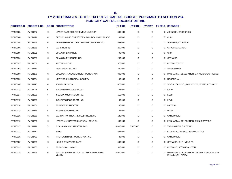| <b>PROJECT ID</b> | <b>BUDGET LINE</b> |   | <b>BORO PROJECT TITLE</b>                                    | FY 2015   | <b>FY 2016</b> | <b>FY 2017</b> | <u>FY 2018</u> | <b>SPONSOR</b>                                                       |
|-------------------|--------------------|---|--------------------------------------------------------------|-----------|----------------|----------------|----------------|----------------------------------------------------------------------|
| <b>PV NC083</b>   | <b>PV DN247</b>    | М | LOWER EAST SIDE TENEMENT MUSEUM                              | 300,000   | $\pmb{0}$      | $\mathbf 0$    | 0              | JOHNSON, GARODNICK                                                   |
| <b>PV NC084</b>   | <b>PV DN127</b>    | М | OPEN CHANNELS NEW YORK, INC., DBA DIXON PLACE                | 61,000    | $\mathbf 0$    | $\mathbf 0$    |                | 0 CHIN                                                               |
| <b>PV NC085</b>   | <b>PV DN196</b>    | М | THE IRISH REPERTORY THEATRE COMPANY INC.                     | 563,000   | 0              | 0              | $\mathbf{0}$   | JOHNSON, CITYWIDE                                                    |
| <b>PV NC086</b>   | <b>PV DN258</b>    | Κ | <b>MARK MORRIS</b>                                           | 250,000   | 0              | 0              |                | 0 CITYWIDE, CUMBO                                                    |
| <b>PV NC089</b>   | <b>PV DN831</b>    | М | <b>GINA GIBNEY DANCE</b>                                     | 96,000    | 0              | 0              |                | 0 CHIN                                                               |
| <b>PV NC090</b>   | <b>PV DN831</b>    | М | GINA GIBNEY DANCE, INC.                                      | 250,000   | 0              | $\mathbf 0$    |                | 0 CITYWIDE                                                           |
| <b>PV NC093</b>   | PV DN001           | М | 3 LEGGED DOG                                                 | 375,000   | 0              | $\mathbf 0$    |                | 0 CITYWIDE, CHIN                                                     |
| PV NC094          | <b>PV DN413</b>    | Q | THEATER ET AL, INC.                                          | 250,000   | $\mathbf 0$    | $\mathbf 0$    |                | 0 VAN BRAMER                                                         |
| PV NC096          | <b>PV DN176</b>    | М | SOLOMON R. GUGGENHEIM FOUNDATION                             | 800,000   | 0              | 0              |                | 0 MANHATTAN DELEGATION, GARODNICK, CITYWIDE                          |
| <b>PV NC099</b>   | <b>PV DN304</b>    | М | NEW YORK HISTORICAL SOCIETY                                  | 50,000    | 0              | 0              |                | 0 ROSENTHAL                                                          |
| <b>PV NC104</b>   | <b>PV DN423</b>    | М | <b>JEWISH MUSEUM</b>                                         | 675,000   | 0              | 0              | $\mathbf{0}$   | JEWISH CAUCUS, GARODNICK, LEVINE, CITYWIDE                           |
| <b>PV NC112</b>   | <b>PV DN028</b>    | Κ | <b>ISSUE PROJECT ROOM, INC.</b>                              | 68,000    | 0              | 0              |                | 0 LEVIN                                                              |
| <b>PV NC114</b>   | PV DN028           | Κ | <b>ISSUE PROJECT ROOM, INC.</b>                              | 110,000   | 0              | 0              |                | 0 LEVIN                                                              |
| <b>PV NC115</b>   | PV DN028           | Κ | <b>ISSUE PROJECT ROOM, INC.</b>                              | 60,000    | 0              | $\mathbf 0$    |                | 0 LEVIN                                                              |
| <b>PV NC116</b>   | <b>PV DN364</b>    | R | ST. GEORGE THEATRE                                           | 86,000    | $\mathbf 0$    | $\mathbf 0$    |                | 0 MATTEO                                                             |
| <b>PV NC117</b>   | <b>PV DN364</b>    | R | ST. GEORGE THEATRE                                           | 86,000    | $\mathbf 0$    | $\mathbf 0$    |                | 0 ROSE                                                               |
| <b>PV NC118</b>   | <b>PV DN256</b>    | М | MANHATTAN THEATRE CLUB, INC. NYCC                            | 140,000   | 0              | 0              | 0              | <b>GARODNICK</b>                                                     |
| <b>PV NC119</b>   | <b>PV DN250</b>    | М | LOWER MANHATTAN CULTURAL COUNCIL                             | 400,000   | 0              | 0              |                | 0 MANHATTAN DELEGATION, CHIN, CITYWIDE                               |
| <b>PV NC121</b>   | <b>PV DN412</b>    | Q | THALIA SPANISH THEATRE INC.                                  | 1,000,000 | 3,000,000      | 0              | $\mathbf{0}$   | VAN BRAMER, CITYWIDE                                                 |
| <b>PV NC123</b>   | <b>PV DN430</b>    | Q | WNET                                                         | 524,000   | 0              | 0              |                | 0 CITYWIDE, DROMM, LANDER, VACCA                                     |
| <b>PV NC128</b>   | <b>PV DN789</b>    | м | THE TOWN HALL FOUNDATION, INC.                               | 35,000    | 0              | $\mathbf 0$    | 0              | <b>GARODNICK</b>                                                     |
| <b>PV NC132</b>   | PV DN669           | м | NUYORICAN POETS CAFE                                         | 500,000   | 0              | $\mathbf 0$    |                | 0 CITYWIDE, CHIN, MENDEZ                                             |
| <b>PV NC133</b>   | <b>PV DN760</b>    | Κ | <b>ST. NICKS ALLIANCE</b>                                    | 500,000   | $\mathbf 0$    | $\mathbf 0$    | 0              | CITYWIDE, REYNOSO, LEVIN                                             |
| <b>PV NC134</b>   | <b>PV DN195</b>    | М | AN CLAIDHEAMH SOLUIS, INC. D/B/A IRISH ARTS<br><b>CENTER</b> | 5,000,000 | $\mathbf 0$    | $\mathbf 0$    | 0              | MANHATTAN DELEGATION, DROMM, JOHNSON, VAN<br><b>BRAMER, CITYWIDE</b> |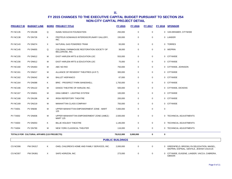| <b>PROJECT ID</b> | <b>BUDGET LINE</b>                         |          | <b>BORO PROJECT TITLE</b>                                           | <b>FY 2015</b> | <b>FY 2016</b> | <u>FY 2017</u> |             | <b>FY 2018 SPONSOR</b>                                                                |  |  |  |
|-------------------|--------------------------------------------|----------|---------------------------------------------------------------------|----------------|----------------|----------------|-------------|---------------------------------------------------------------------------------------|--|--|--|
| <b>PV NC135</b>   | <b>PV DN198</b>                            | Q        | <b>ISAMU NOGUCHI FOUNDATION</b>                                     | 250,000        | 0              | $\mathbf 0$    |             | 0 VAN BRAMER, CITYWIDE                                                                |  |  |  |
| <b>PV NC138</b>   | <b>PV DN726</b>                            | Κ        | PROTEUS GOWANUS INTERDISCIPLINARY GALLERY,<br>INC.                  | 150,000        | 0              | $\Omega$       |             | 0 LANDER                                                                              |  |  |  |
| <b>PV NC143</b>   | PV DN074                                   | $\times$ | NATURAL GAS POWERED TRAM                                            | 93,000         | $\mathbf 0$    | $\mathbf 0$    |             | 0 TORRES                                                                              |  |  |  |
| <b>PV NC145</b>   | <b>PV DN655</b>                            | Q        | COLONIAL FARMHOUSE RESTORATION SOCIETY OF<br><b>BELLEROSE, INC.</b> | 38,000         | 0              | $\mathbf 0$    |             | 0 WEPRIN                                                                              |  |  |  |
| <b>PV NC155</b>   | <b>PV DN612</b>                            | м        | EAST HARLEM ARTS & EDUCATION LDC                                    | 553,000        | 0              | $\mathbf 0$    |             | 0 CITYWIDE                                                                            |  |  |  |
| <b>PV NC156</b>   | <b>PV DN612</b>                            | М        | EAST HARLEM ARTS & EDUCATION LDC                                    | 75,000         | 0              | $\mathbf 0$    |             | 0 CITYWIDE                                                                            |  |  |  |
| <b>PV NC160</b>   | <b>PV DN463</b>                            | М        | ABC NO RIO                                                          | 750,000        | 0              | $\mathbf 0$    |             | 0 CITYWIDE, JOHNSON                                                                   |  |  |  |
| <b>PV NC161</b>   | PV DN017                                   | м        | ALLIANCE OF RESIDENT THEATRES (A.R.T)                               | 300,000        | 0              | 0              |             | 0 CITYWIDE                                                                            |  |  |  |
| <b>PV NC162</b>   | <b>PV DN042</b>                            | M        | <b>BALLET HISPANICO</b>                                             | 67,000         | 0              | $\mathbf 0$    |             | 0 CITYWIDE                                                                            |  |  |  |
| <b>PV NC164</b>   | PV DN088                                   | K        | <b>BRIC - PROSPECT PARK BANDSHELL</b>                               | 1,750,000      | 0              | 0              |             | 0 CITYWIDE                                                                            |  |  |  |
| <b>PV NC166</b>   | <b>PV DN122</b>                            | м        | DANCE THEATRE OF HARLEM, INC.                                       | 500,000        | 0              | $\mathbf 0$    |             | 0 CITYWIDE, DICKENS                                                                   |  |  |  |
| <b>PV NC167</b>   | <b>PV DN831</b>                            | M        | GINA GIBNEY - LIGHTING SYSTEM                                       | 100,000        | $\mathbf 0$    | $\Omega$       |             | 0 CITYWIDE                                                                            |  |  |  |
| <b>PV NC168</b>   | <b>PV DN196</b>                            | м        | <b>IRISH REPERTORY THEATRE</b>                                      | 200,000        | 0              | $\Omega$       |             | 0 CITYWIDE                                                                            |  |  |  |
| <b>PV NC169</b>   | <b>PV DN219</b>                            | м        | MANHATTAN CLASS COMPANY                                             | 750,000        | 0              | $\mathbf 0$    |             | 0 CITYWIDE                                                                            |  |  |  |
| <b>PV TA001</b>   | <b>PV 0N836</b>                            | М        | UPPER MANHATTAN EMPOWERMENT ZONE - MART<br>125                      | 7,000,000      | 0              | $\Omega$       | $\mathbf 0$ |                                                                                       |  |  |  |
| <b>PV TA002</b>   | <b>PV DN836</b>                            | М        | UPPER MANHANTTAN EMPOWERMENT ZONE (UMEZ) -<br><b>MART 125</b>       | 2,500,000      | 0              | $\mathbf 0$    |             | 0 TECHNICAL ADJUSTMENTS                                                               |  |  |  |
| <b>PV TA003</b>   | <b>PV DN053</b>                            | K        | BILLIE HOLIDAY THEATRE                                              | 1,146,000      | $\mathbf 0$    | $\mathbf 0$    |             | 0 TECHNICAL ADJUSTMENTS                                                               |  |  |  |
| <b>PV TA004</b>   | <b>PV DN790</b>                            | М        | NEW YORK CLASSICAL THEATER                                          | 116,000        | 0              | 0              |             | 0 TECHNICAL ADJUSTMENTS                                                               |  |  |  |
|                   | TOTALS FOR CULTURAL AFFAIRS (115 PROJECTS) |          |                                                                     | 79,012,000     | 3,000,000      | 0              | 0           |                                                                                       |  |  |  |
|                   | <b>PUBLIC BUILDINGS</b>                    |          |                                                                     |                |                |                |             |                                                                                       |  |  |  |
| CS NC006          | <b>PW DN317</b>                            | K        | OHEL CHILDREN'S HOME AND FAMILY SERVICES, INC.                      | 2,000,000      | 0              | $\Omega$       |             | 0 GREENFIELD, BROOKLYN DELEGATION, MAISEL,<br>WEPRIN, ESPINAL, GENTILE, JEWISH CAUCUS |  |  |  |
| CS NC007          | <b>PW DN361</b>                            | X        | SAFE HORIZON, INC.                                                  | 273,000        | 0              | $\mathbf 0$    |             | 0 CITYWIDE, EUGENE, LANDER, VACCA, CABRERA,<br><b>GIBSON</b>                          |  |  |  |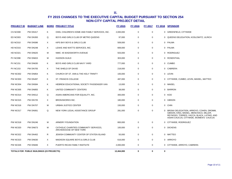| <b>PROJECT ID</b> | <b>BUDGET LINE</b>                        |   | <b>BORO PROJECT TITLE</b>                                         | <b>FY 2015</b> | <b>FY 2016</b> | <b>FY 2017</b> |          | FY 2018 SPONSOR                                                                                                                                                            |
|-------------------|-------------------------------------------|---|-------------------------------------------------------------------|----------------|----------------|----------------|----------|----------------------------------------------------------------------------------------------------------------------------------------------------------------------------|
| CS NC008          | <b>PW DN317</b>                           | Κ | OHEL CHILDREN'S HOME AND FAMILY SERVICES, INC.                    | 2,000,000      | 0              | $\mathbf 0$    |          | 0 GREENFIELD, CITYWIDE                                                                                                                                                     |
| <b>ED NC003</b>   | <b>PW DN393</b>                           | Q | BOYS AND GIRLS CLUB OF METRO QUEENS                               | 97,000         | 0              | $\mathbf 0$    |          | 0 QUEENS DELEGATION, KOSLOWITZ, ULRICH                                                                                                                                     |
| ED NC010          | <b>PW DN586</b>                           | X | KIPS BAY BOYS & GIRLS CLUB                                        | 509,000        | 0              | $\mathbf 0$    |          | 0 PALMA                                                                                                                                                                    |
| HD NC015          | <b>PW DN248</b>                           | X | LEAKE AND WATTS SERVICES, INC.                                    | 669,000        | 0              | $\mathbf 0$    |          | 0 PALMA                                                                                                                                                                    |
| HD NC021          | <b>PW DN625</b>                           | м | NMIC: 45 WADSWORTH AVENUE                                         | 503,000        | 0              | $\mathbf 0$    |          | 0 RODRIGUEZ                                                                                                                                                                |
| <b>PV NC098</b>   | <b>PW DN815</b>                           | м | <b>HUDSON GUILD</b>                                               | 303,000        | 0              | $\mathbf 0$    |          | 0 ROSENTHAL                                                                                                                                                                |
| <b>PV NC151</b>   | <b>PW DN630</b>                           | Κ | BOYS AND GIRLS CLUB NAVY YARD                                     | 777,000        | 0              | 0              |          | 0 CUMBO                                                                                                                                                                    |
| <b>PV NC153</b>   | <b>PW DN705</b>                           | X | THE SHIELD OF DAVID                                               | 218,000        | 0              | $\mathbf 0$    |          | 0 CABRERA                                                                                                                                                                  |
| <b>PW NC002</b>   | <b>PW DN854</b>                           | Κ | CHURCH OF ST. ANN & THE HOLY TRINITY                              | 100,000        | 0              | $\mathbf 0$    |          | 0 LEVIN                                                                                                                                                                    |
| <b>PW NC003</b>   | <b>PW DN497</b>                           | Κ | ST. FRANCIS COLLEGE                                               | 487,000        | 0              | $\mathbf 0$    |          | 0 CITYWIDE, CUMBO, LEVIN, MAISEL, MATTEO                                                                                                                                   |
| <b>PW NC004</b>   | <b>PW DN584</b>                           | Κ | HEBREW EDUCATIONAL SOCIETY PASSENGER VAN                          | 13,000         | 0              | 0              |          | 0 MAISEL                                                                                                                                                                   |
| <b>PW NC005</b>   | <b>PW DN855</b>                           | Κ | UNITED COMMUNITY CENTERS                                          | 38,000         | 0              | $\mathbf 0$    |          | 0 BARRON                                                                                                                                                                   |
| <b>PW NC014</b>   | <b>PW DN512</b>                           | Q | ASIAN AMERICANS FOR EQUALITY, INC.                                | 300,000        | 0              | $\mathbf 0$    |          | 0 KOO                                                                                                                                                                      |
| <b>PW NC015</b>   | <b>PW DN725</b>                           | X | <b>BRONXWORKS INC.</b>                                            | 180,000        | 0              | $\mathbf 0$    |          | 0 GIBSON                                                                                                                                                                   |
| <b>PW NC016</b>   | <b>PW DN707</b>                           | м | URBAN JUSTICE CENTER                                              | 150,000        | 0              | $\mathbf 0$    |          | 0 CHIN                                                                                                                                                                     |
| PW NC017          | PW DN061                                  | Q | NEW YORK LEGAL ASSISTANCE GROUP                                   | 281,000        | 0              | $\mathbf 0$    | $\Omega$ | BRONX DELEGATION, ARROYO, COHEN, DROMM,<br>GIBSON, KING, MAISEL, MENCHACA, MILLER,<br>REYNOSO, TORRES, VACCA, BLACK, LATINO, AND<br>ASIAN CAUCUS, CITYWIDE, WOMEN'S CAUCUS |
| <b>PW NC018</b>   | <b>PW DN246</b>                           | м | ARMORY FOUNDATION                                                 | 800,000        | 0              | 0              |          | 0 CITYWIDE, RODRIGUEZ                                                                                                                                                      |
| <b>PW NC020</b>   | <b>PW DN673</b>                           | м | CATHOLIC CHARITIES COMMUNITY SERVICES,<br>ARCHDIOCESE OF NEW YORK | 100,000        | 0              | $\mathbf 0$    |          | 0 DICKENS                                                                                                                                                                  |
| <b>PW NC022</b>   | <b>PW DN402</b>                           | R | JEWISH COMMUNITY CENTER OF STATEN ISLAND                          | 50,000         | 0              | $\mathbf 0$    |          | 0 MATTEO                                                                                                                                                                   |
| <b>PW NC023</b>   | <b>PW DN630</b>                           | X | MADISON SQUARE BOYS & GIRLS CLUB                                  | 616,000        | 0              | $\mathbf 0$    |          | 0 ARROYO                                                                                                                                                                   |
| <b>PW NC026</b>   | <b>PW DN846</b>                           | X | PUERTO RICAN FAMILY INSITIUTE                                     | 2,000,000      | $\mathbf 0$    | $\mathbf 0$    |          | 0 CITYWIDE, ARROYO, CABRERA                                                                                                                                                |
|                   | TOTALS FOR PUBLIC BUILDINGS (23 PROJECTS) |   |                                                                   | 12,464,000     | 0              | $\bf{0}$       | 0        |                                                                                                                                                                            |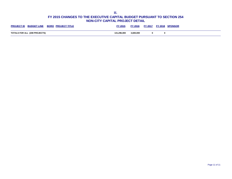**II.**

| <b>BUDGET LINE</b><br><b>BORO PROJECT TITLE</b><br><b>PROJECT ID</b> | TY 2015     | FY 2016   | <b>FY 2017</b> | <u>ፕY 2018 -</u> | <b>SPONSOR</b> |
|----------------------------------------------------------------------|-------------|-----------|----------------|------------------|----------------|
| TOTALS FOR ALL (208 PROJECTS)                                        | 131,296,000 | 3,600,000 |                |                  |                |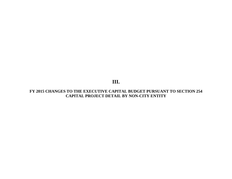**III.**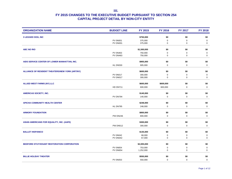| <b>ORGANIZATION NAME</b>                        | <b>BUDGET LINE</b>                 | <b>FY 2015</b>       | <b>FY 2016</b>   | <b>FY 2017</b>   | <b>FY 2018</b>   |
|-------------------------------------------------|------------------------------------|----------------------|------------------|------------------|------------------|
| 3 LEGGED DOG, INC                               |                                    | \$750,000            | \$0              | \$0              | \$0              |
|                                                 | <b>PV 0N001</b>                    | 375,000              | $\mathbf 0$      | $\mathbf 0$      | $\mathbf 0$      |
|                                                 | PV DN001                           | 375,000              | 0                | $\mathbf 0$      | 0                |
| <b>ABC NO RIO</b>                               |                                    | \$1,500,000          | \$0              | \$0              | \$0              |
|                                                 | <b>PV 0N463</b>                    | 750,000              | 0                | 0                | $\mathbf 0$      |
|                                                 | <b>PV DN463</b>                    | 750,000              | $\mathbf 0$      | $\mathbf 0$      | $\mathbf 0$      |
| AIDS SERVICE CENTER OF LOWER MANHATTAN, INC.    |                                    | \$905,000            | \$0              | \$0              | \$0              |
|                                                 | <b>HL DN530</b>                    | 905,000              | $\mathbf 0$      | $\mathbf 0$      | $\mathbf 0$      |
| ALLIANCE OF RESIDENT THEATERS/NEW YORK (ART/NY) |                                    | \$600,000            | \$0              | \$0              | \$0              |
|                                                 | <b>PV 0N017</b>                    | 300,000              | $\Omega$         | $\pmb{0}$        | $\mathbf 0$      |
|                                                 | PV DN017                           | 300,000              | $\mathbf 0$      | $\pmb{0}$        | $\pmb{0}$        |
| <b>ALLIED WEST FARMS (NY) LLC</b>               |                                    | \$600,000            | \$600,000        | \$0              | \$0              |
|                                                 | <b>HD DN711</b>                    | 600,000              | 600,000          | $\mathbf 0$      | $\mathbf 0$      |
| <b>AMERICAS SOCIETY, INC.</b>                   |                                    | \$140,000            | \$0              | \$0              | \$0              |
|                                                 | PV DN794                           | 140,000              | $\mathbf 0$      | $\mathbf 0$      | $\mathbf 0$      |
|                                                 |                                    |                      |                  |                  |                  |
| <b>APICHA COMMUNITY HEALTH CENTER</b>           |                                    | \$248,000            | \$0              | \$0              | \$0              |
|                                                 | HL DN795                           | 248,000              | $\pmb{0}$        | 0                | $\mathbf 0$      |
| <b>ARMORY FOUNDATION</b>                        |                                    | \$800,000            | \$0              | \$0              | \$0              |
|                                                 | <b>PW DN246</b>                    | 800,000              | $\mathbf 0$      | $\pmb{0}$        | $\mathbf 0$      |
| ASIAN AMERICANS FOR EQUALITY, INC. (AAFE)       |                                    | \$300,000            | \$0              | \$0              | \$0              |
|                                                 | <b>PW DN512</b>                    | 300,000              | $\mathbf 0$      | $\mathbf 0$      | $\mathbf 0$      |
|                                                 |                                    |                      |                  |                  |                  |
| <b>BALLET HISPANICO</b>                         |                                    | \$135,000            | \$0              | \$0              | \$0              |
|                                                 | <b>PV 0N042</b><br>PV DN042        | 68,000<br>67,000     | 0<br>$\pmb{0}$   | 0<br>$\mathbf 0$ | $\mathbf 0$<br>0 |
| BEDFORD STUYVESANT RESTORATION CORPORATION      |                                    |                      | \$0              | \$0              | \$0              |
|                                                 |                                    | \$2,005,000          |                  |                  |                  |
|                                                 | <b>PV 0N654</b><br><b>PV DN654</b> | 753,000<br>1,252,000 | 0<br>$\mathbf 0$ | 0<br>$\mathbf 0$ | 0<br>$\mathbf 0$ |
| <b>BILLIE HOLIDAY THEATER</b>                   |                                    | \$550,000            | \$0              | \$0              | \$0              |
|                                                 | <b>PV 0N053</b>                    | 550,000              | $\Omega$         | $\mathbf 0$      | $\mathbf 0$      |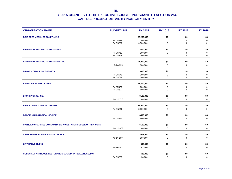| <b>ORGANIZATION NAME</b>                                         | <b>BUDGET LINE</b> | FY 2015     | <b>FY 2016</b> | <b>FY 2017</b> | <b>FY 2018</b> |
|------------------------------------------------------------------|--------------------|-------------|----------------|----------------|----------------|
| BRIC ARTS MEDIA, BROOKLYN, INC.                                  |                    | \$5,250,000 | \$0            | \$0            | \$0            |
|                                                                  | <b>PV 0N088</b>    | 1,750,000   | 0              | 0              | 0              |
|                                                                  | PV DN088           | 3,500,000   | 0              | 0              | 0              |
| <b>BROADWAY HOUSING COMMUNITIES</b>                              |                    | \$400,000   | \$0            | \$0            | \$0            |
|                                                                  | <b>PV 0N729</b>    | 200,000     | 0              | 0              | $\pmb{0}$      |
|                                                                  | <b>PV DN729</b>    | 200,000     | 0              | 0              | 0              |
| <b>BROADWAY HOUSING COMMUNITIES, INC.</b>                        |                    | \$1,000,000 | \$0            | \$0            | \$0            |
|                                                                  | HD DN635           | 1,000,000   | 0              | 0              | 0              |
| <b>BRONX COUNCIL ON THE ARTS</b>                                 |                    | \$600,000   | \$0            | \$0            | \$0            |
|                                                                  | <b>PV 0N678</b>    | 300,000     | 0              | 0              | 0              |
|                                                                  | <b>PV DN678</b>    | 300,000     | 0              | $\mathbf 0$    | 0              |
| <b>BRONX RIVER ART CENTER</b>                                    |                    | \$1,200,000 | \$0            | \$0            | \$0            |
|                                                                  | <b>PV 0N677</b>    | 600,000     | 0              | 0              | 0              |
|                                                                  | PV DN677           | 600,000     | 0              | $\mathbf 0$    | 0              |
| <b>BRONXWORKS, INC.</b>                                          |                    | \$180,000   | \$0            | \$0            | \$0            |
|                                                                  | <b>PW DN725</b>    | 180,000     | 0              | 0              | 0              |
| <b>BROOKLYN BOTANICAL GARDEN</b>                                 |                    | \$8,000,000 | \$0            | \$0            | \$0            |
|                                                                  | <b>PV DN610</b>    | 8,000,000   | 0              | 0              | $\mathbf 0$    |
| <b>BROOKLYN HISTORICAL SOCIETY</b>                               |                    | \$500,000   | \$0            | \$0            | \$0            |
|                                                                  | <b>PV 0N072</b>    | 500,000     | $\pmb{0}$      | 0              | $\pmb{0}$      |
| CATHOLIC CHARITIES COMMUNITY SERVICES, ARCHDIOCESE OF NEW YORK   |                    | \$100,000   | \$0            | \$0            | \$0            |
|                                                                  | <b>PW DN673</b>    | 100,000     | 0              | 0              | $\mathbf 0$    |
|                                                                  |                    |             |                |                |                |
| <b>CHINESE-AMERICAN PLANNING COUNCIL</b>                         |                    | \$503,000   | \$0            | \$0            | \$0            |
|                                                                  | <b>AG DN100</b>    | 503,000     | 0              | 0              | 0              |
| <b>CITY HARVEST, INC.</b>                                        |                    | \$93,000    | \$0            | \$0            | \$0            |
|                                                                  | <b>HR DN103</b>    | 93,000      | 0              | $\mathbf 0$    | $\mathbf 0$    |
| <b>COLONIAL FARMHOUSE RESTORATION SOCIETY OF BELLEROSE, INC.</b> |                    | \$38,000    | \$0            | \$0            | \$0            |
|                                                                  | <b>PV DN655</b>    | 38,000      | 0              | 0              | 0              |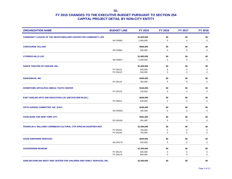| <b>ORGANIZATION NAME</b>                                                | <b>BUDGET LINE</b>                 | FY 2015            | <b>FY 2016</b>   | <b>FY 2017</b>   | <b>FY 2018</b>             |
|-------------------------------------------------------------------------|------------------------------------|--------------------|------------------|------------------|----------------------------|
| <b>COMMUNITY LEAGUE OF THE HEIGHTS/BULGER CENTER FOR COMMUNITY LIFE</b> |                                    | \$1,000,000        | \$0              | \$0              | \$0                        |
|                                                                         | HD DN081                           | 1,000,000          | $\mathbf 0$      | $\mathbf 0$      | $\mathbf 0$                |
| <b>CONCOURSE VILLAGE</b>                                                |                                    | \$500,000          | \$0              | \$0              | \$0                        |
|                                                                         | <b>HD DN661</b>                    | 500,000            | 0                | $\mathbf 0$      | $\mathbf 0$                |
|                                                                         |                                    |                    |                  |                  |                            |
| <b>CYPRESS HILLS LDC</b>                                                |                                    | \$1,000,000        | \$0              | \$0              | \$0                        |
|                                                                         | HD DN647                           | 1,000,000          | 0                | 0                | 0                          |
| DANCE THEATER OF HARLEM, INC.                                           |                                    | \$1,000,000        | \$0              | \$0              | \$0                        |
|                                                                         | <b>PV 0N122</b>                    | 500,000            | 0                | 0                | $\mathbf 0$                |
|                                                                         | <b>PV DN122</b>                    | 500,000            | 0                | $\mathbf 0$      | 0                          |
| <b>DANCEWAVE, INC</b>                                                   |                                    | \$350,000          | \$0              | \$0              | \$0                        |
|                                                                         | <b>PV 0N124</b>                    | 350,000            | $\mathbf 0$      | $\mathsf 0$      | $\mathsf 0$                |
|                                                                         |                                    |                    |                  |                  |                            |
| <b>DOWNTOWN ART/ALPHA OMEGA YOUTH CENTER</b>                            |                                    | \$126,000          | \$0              | \$0              | \$0                        |
|                                                                         | <b>PV DN131</b>                    | 126,000            | 0                | $\mathbf 0$      | $\mathbf 0$                |
| <b>EAST HARLEM ARTS AND EDUCATION LDC (HECKSCHER BLDG.)</b>             |                                    | \$628,000          | \$0              | \$0              | \$0                        |
|                                                                         | <b>PV 0N612</b>                    | 628,000            | 0                | $\mathbf 0$      | 0                          |
|                                                                         |                                    |                    |                  |                  |                            |
| FIFTH AVENUE COMMITTEE, INC. (FAC)                                      |                                    | \$185,000          | \$0              | \$0              | \$0                        |
|                                                                         | HD DN003                           | 185,000            | $\Omega$         | $\mathbf 0$      | $\mathbf 0$                |
| <b>FOOD BANK FOR NEW YORK CITY</b>                                      |                                    | \$281,000          | \$0              | \$0              | \$0                        |
|                                                                         | <b>ED DN160</b>                    | 281,000            | $\mathbf 0$      | $\mathbf 0$      | $\mathbf 0$                |
|                                                                         |                                    |                    |                  |                  |                            |
| FRANKLIN H. WILLIAMS CARIBBEAN CULTURAL CTR AFRICAN DIASPORA INST       |                                    | \$1,500,000        | \$0              | \$0              | \$0                        |
|                                                                         | <b>PV 0N162</b><br><b>PV DN162</b> | 750,000<br>750,000 | 0<br>$\mathbf 0$ | 0<br>$\mathbf 0$ | $\mathbf 0$<br>$\mathbf 0$ |
|                                                                         |                                    |                    |                  |                  |                            |
| <b>GOOD SHEPHERD SERVICES</b>                                           |                                    | \$250,000          | \$0              | \$0              | \$0                        |
|                                                                         | <b>HD DN170</b>                    | 250,000            | $\mathbf 0$      | $\mathbf 0$      | $\mathbf 0$                |
| <b>GUGGENHEIM MUSEUM</b>                                                |                                    | \$1,300,000        | \$0              | \$0              | \$0                        |
|                                                                         | <b>PV 0N176</b>                    | 500,000            | 0                | 0                | $\mathbf 0$                |
|                                                                         | <b>PV DN176</b>                    | 800,000            | 0                | 0                | $\mathbf 0$                |
| HARLEM DOWLING WEST SIDE CENTER FOR CHILDREN AND FAMILY SERVICES, INC.  |                                    | \$1,500,000        | \$0              | \$0              | \$0                        |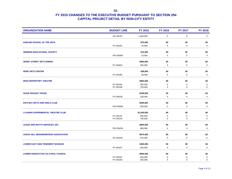| <b>ORGANIZATION NAME</b>                   | <b>BUDGET LINE</b> | <b>FY 2015</b>       | <b>FY 2016</b>     | <b>FY 2017</b>     | <b>FY 2018</b>     |
|--------------------------------------------|--------------------|----------------------|--------------------|--------------------|--------------------|
|                                            | <b>HD DN787</b>    | 1,500,000            | $\mathbf 0$        | $\mathbf 0$        | $\mathbf 0$        |
| <b>HARLEM SCHOOL OF THE ARTS</b>           |                    | \$70,000             | \$0                | \$0                | \$0                |
|                                            | <b>PV DN181</b>    | 70,000               | 0                  | 0                  | $\mathbf 0$        |
|                                            |                    |                      |                    |                    |                    |
| <b>HEBREW EDUCATIONAL SOCIETY</b>          | <b>PW DN584</b>    | \$13,000<br>13,000   | \$0<br>$\mathbf 0$ | \$0<br>$\mathbf 0$ | \$0<br>$\mathbf 0$ |
|                                            |                    |                      |                    |                    |                    |
| HENRY STREET SETTLEMENT                    |                    | \$500,000            | \$0                | \$0                | \$0                |
|                                            | <b>PV DN653</b>    | 500,000              | 0                  | 0                  | 0                  |
| <b>HERE ARTS CENTER</b>                    |                    | \$38,000             | \$0                | \$0                | \$0                |
|                                            | <b>PV DN185</b>    | 38,000               | $\mathbf 0$        | $\mathsf 0$        | $\mathbf 0$        |
| <b>IRISH REPERTORY THEATRE</b>             |                    | \$963,000            | \$0                | \$0                | \$0                |
|                                            | <b>PV 0N196</b>    | 200,000              | $\mathbf 0$        | 0                  | $\mathbf 0$        |
|                                            | <b>PV DN196</b>    | 763,000              | $\mathbf 0$        | $\mathbf 0$        | $\mathbf 0$        |
| <b>ISSUE PROJECT ROOM</b>                  |                    | \$238,000            | \$0                | \$0                | \$0                |
|                                            | <b>PV DN028</b>    | 238,000              | $\mathbf 0$        | $\mathbf 0$        | $\mathbf 0$        |
|                                            |                    |                      |                    |                    |                    |
| <b>KIPS BAY BOYS AND GIRLS CLUB</b>        |                    | \$509,000            | \$0                | \$0                | \$0                |
|                                            | <b>PW DN586</b>    | 509,000              | $\mathbf 0$        | 0                  | $\mathbf 0$        |
| LA MAMA EXPERIMENTAL THEATRE CLUB          |                    | \$1,650,000          | \$0                | \$0                | \$0                |
|                                            | <b>PV 0N134</b>    | 900,000              | $\mathbf 0$        | $\pmb{0}$          | $\mathbf 0$        |
|                                            | <b>PV DN134</b>    | 750,000              | $\mathbf 0$        | $\mathbf 0$        | $\mathbf 0$        |
| LEAKE AND WATTS SERVICES, INC.             |                    | \$669,000            | \$0                | \$0                | \$0                |
|                                            | <b>PW DN248</b>    | 669,000              | 0                  | 0                  | $\mathbf 0$        |
|                                            |                    |                      |                    |                    |                    |
| <b>LENOX HILL NEIGHBORHOOD ASSOCIATION</b> | AG DN235           | \$675,000<br>675,000 | \$0<br>$\mathbf 0$ | \$0<br>$\mathbf 0$ | \$0<br>$\mathbf 0$ |
|                                            |                    |                      |                    |                    |                    |
| <b>LOWER EAST SIDE TENEMENT MUSEUM</b>     |                    | \$300,000            | \$0                | \$0                | \$0                |
|                                            | <b>PV DN247</b>    | 300,000              | $\mathbf 0$        | 0                  | $\mathbf 0$        |
| <b>LOWER MANHATTAN CULTURAL COUNCIL</b>    |                    | \$800,000            | \$0                | \$0                | \$0                |
|                                            | <b>PV 0N250</b>    | 400,000              | 0                  | $\mathbf 0$        | $\pmb{0}$          |
|                                            | <b>PV DN250</b>    | 400,000              | $\mathbf 0$        | $\mathbf 0$        | $\mathbf 0$        |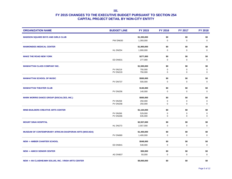| <b>ORGANIZATION NAME</b>                                      | <b>BUDGET LINE</b> | <b>FY 2015</b>       | <b>FY 2016</b>     | <b>FY 2017</b>     | <b>FY 2018</b>     |
|---------------------------------------------------------------|--------------------|----------------------|--------------------|--------------------|--------------------|
| <b>MADISON SQUARE BOYS AND GIRLS CLUB</b>                     |                    | \$1,393,000          | \$0                | \$0                | \$0                |
|                                                               | <b>PW DN630</b>    | 1,393,000            | $\mathbf 0$        | $\mathbf 0$        | $\mathbf 0$        |
| <b>MAIMONIDES MEDICAL CENTER</b>                              |                    | \$1,900,000          | \$0                | \$0                | \$0                |
|                                                               | <b>HL DN254</b>    | 1,900,000            | 0                  | $\mathbf 0$        | $\mathbf 0$        |
|                                                               |                    |                      |                    |                    |                    |
| <b>MAKE THE ROAD NEW YORK</b>                                 | <b>ED DN631</b>    | \$277,000<br>277,000 | \$0<br>$\mathbf 0$ | \$0<br>$\mathbf 0$ | \$0<br>$\mathbf 0$ |
|                                                               |                    |                      |                    |                    |                    |
| <b>MANHATTAN CLASS COMPANY INC.</b>                           |                    | \$1,500,000          | \$0                | \$0                | \$0                |
|                                                               | <b>PV 0N219</b>    | 750,000              | 0                  | $\mathbf 0$        | $\mathbf 0$        |
|                                                               | <b>PV DN219</b>    | 750,000              | 0                  | $\mathbf 0$        | $\mathbf 0$        |
| <b>MANHATTAN SCHOOL OF MUSIC</b>                              |                    | \$500,000            | \$0                | \$0                | \$0                |
|                                                               | PV DN737           | 500,000              | $\mathbf 0$        | $\mathbf 0$        | $\mathbf 0$        |
| <b>MANHATTAN THEATER CLUB</b>                                 |                    |                      | \$0                | \$0                | \$0                |
|                                                               | <b>PV DN256</b>    | \$140,000<br>140,000 | $\mathbf 0$        | $\mathbf 0$        | $\mathbf 0$        |
|                                                               |                    |                      |                    |                    |                    |
| <b>MARK MORRIS DANCE GROUP (DISCALCED, INC.)</b>              |                    | \$500,000            | \$0                | \$0                | \$0                |
|                                                               | <b>PV 0N258</b>    | 250,000              | 0                  | 0                  | $\mathbf 0$        |
|                                                               | <b>PV DN258</b>    | 250,000              | 0                  | $\mathbf 0$        | 0                  |
| <b>MIND-BUILDERS CREATIVE ARTS CENTER</b>                     |                    | \$1,164,000          | \$0                | \$0                | \$0                |
|                                                               | <b>PV 0N266</b>    | 529,000              | 0                  | 0                  | $\pmb{0}$          |
|                                                               | <b>PV DN266</b>    | 635,000              | $\mathbf 0$        | 0                  | $\mathsf 0$        |
| <b>MOUNT SINAI HOSPITAL</b>                                   |                    | \$2,557,000          | \$0                | \$0                | \$0                |
|                                                               | HL DN273           | 2,557,000            | 0                  | 0                  | 0                  |
|                                                               |                    |                      |                    |                    |                    |
| <b>MUSEUM OF CONTEMPORARY AFRICAN DIASPORAN ARTS (MOCADA)</b> |                    | \$1,400,000          | \$0                | \$0                | \$0                |
|                                                               | <b>PV DN680</b>    | 1,400,000            | $\mathbf 0$        | $\mathbf 0$        | $\mathbf 0$        |
| <b>NEW -&gt; AMBER CHARTER SCHOOL</b>                         |                    | \$548,000            | \$0                | \$0                | \$0                |
|                                                               | <b>ED DN841</b>    | 548,000              | 0                  | $\mathbf 0$        | $\mathbf 0$        |
|                                                               |                    |                      |                    |                    |                    |
| <b>NEW -&gt; AMICO SENIOR CENTER</b>                          |                    | \$50,000             | \$0                | \$0                | \$0                |
|                                                               | AG DN837           | 50,000               | $\mathbf 0$        | $\mathbf 0$        | $\mathbf 0$        |
| NEW -> AN CLAIDHEAMH SOLUIS, INC. / IRISH ARTS CENTER         |                    | \$9,000,000          | \$0                | \$0                | \$0                |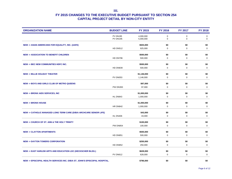| <b>ORGANIZATION NAME</b>                                                   | <b>BUDGET LINE</b> | <b>FY 2015</b>       | <b>FY 2016</b>     | <b>FY 2017</b>     | <b>FY 2018</b>     |
|----------------------------------------------------------------------------|--------------------|----------------------|--------------------|--------------------|--------------------|
|                                                                            | <b>PV 0N195</b>    | 4,000,000            | $\mathbf 0$        | $\pmb{0}$          | $\mathbf 0$        |
|                                                                            | <b>PV DN195</b>    | 5,000,000            | $\pmb{0}$          | 0                  | $\mathbf 0$        |
| <b>NEW -&gt; ASIAN AMERICANS FOR EQUALITY, INC. (AAFE)</b>                 |                    | \$925,000            | \$0                | \$0                | \$0                |
|                                                                            | <b>HD DN512</b>    | 925,000              | 0                  | $\mathbf 0$        | $\mathbf 0$        |
| <b>NEW -&gt; ASSOCIATION TO BENEFIT CHILDREN</b>                           |                    | \$500,000            | \$0                | \$0                | \$0                |
|                                                                            | HD DN796           | 500,000              | 0                  | 0                  | 0                  |
|                                                                            |                    |                      |                    |                    |                    |
| <b>NEW -&gt; BEC NEW COMMUNITIES HDFC INC.</b>                             |                    | \$500,000            | \$0                | \$0                | \$0                |
|                                                                            | <b>HD DN839</b>    | 500,000              | $\mathbf 0$        | $\mathbf 0$        | $\mathbf 0$        |
| <b>NEW -&gt; BILLIE HOLIDAY THEATER</b>                                    |                    | \$1,146,000          | \$0                | \$0                | \$0                |
|                                                                            | <b>PV DN053</b>    | 1,146,000            | $\pmb{0}$          | 0                  | $\mathbf 0$        |
|                                                                            |                    |                      |                    |                    |                    |
| <b>NEW -&gt; BOYS AND GIRLS CLUB OF METRO QUEENS</b>                       | <b>PW DN393</b>    | \$97,000<br>97,000   | \$0<br>0           | \$0<br>0           | \$0<br>$\mathbf 0$ |
|                                                                            |                    |                      |                    |                    |                    |
| <b>NEW -&gt; BRONX AIDS SERVICES, INC</b>                                  |                    | \$1,000,000          | \$0                | \$0                | \$0                |
|                                                                            | HL DN843           | 1,000,000            | 0                  | $\mathbf 0$        | $\mathbf 0$        |
| <b>NEW -&gt; BRONX HOUSE</b>                                               |                    | \$1,000,000          | \$0                | \$0                | \$0                |
|                                                                            | <b>HR DN842</b>    | 1,000,000            | $\pmb{0}$          | 0                  | $\pmb{0}$          |
|                                                                            |                    |                      |                    |                    |                    |
| NEW -> CATHOLIC MANAGED LONG TERM CARE (D/B/A ARCHCARE SENIOR LIFE)        |                    | \$43,000             | \$0                | \$0                | \$0                |
|                                                                            | HL DN406           | 43,000               | $\mathbf 0$        | $\mathbf 0$        | $\mathbf 0$        |
| NEW -> CHURCH OF ST. ANN & THE HOLY TRINITY                                |                    | \$100,000            | \$0                | \$0                | \$0                |
|                                                                            | <b>PW DN854</b>    | 100,000              | 0                  | $\mathbf 0$        | $\mathbf 0$        |
|                                                                            |                    |                      |                    |                    |                    |
| <b>NEW-&gt; CLAYTON APARTMENTS</b>                                         |                    | \$500,000            | \$0                | \$0                | \$0                |
|                                                                            | <b>HD DN851</b>    | 500,000              | $\pmb{0}$          | 0                  | $\mathbf 0$        |
| <b>NEW -&gt; DAYTON TOWERS CORPORATION</b>                                 |                    | \$250,000            | \$0                | \$0                | \$0                |
|                                                                            | <b>HD DN852</b>    | 250,000              | 0                  | $\mathbf 0$        | $\mathbf 0$        |
|                                                                            |                    |                      |                    |                    |                    |
| <b>NEW -&gt; EAST HARLEM ARTS AND EDUCATION LDC (HECKSCHER BLDG.)</b>      | <b>PV DN612</b>    | \$628,000<br>628,000 | \$0<br>$\mathbf 0$ | \$0<br>$\mathbf 0$ | \$0<br>$\mathbf 0$ |
|                                                                            |                    |                      |                    |                    |                    |
| NEW -> EPISCOPAL HEALTH SERVICES INC. D/B/A ST. JOHN'S EPISCOPAL HOSPITAL. |                    | \$796,000            | \$0                | \$0                | \$0                |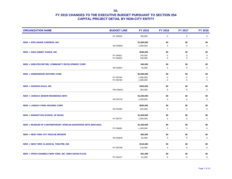| <b>ORGANIZATION NAME</b>                                                | <b>BUDGET LINE</b> | FY 2015     | <b>FY 2016</b> | <b>FY 2017</b> | <b>FY 2018</b> |
|-------------------------------------------------------------------------|--------------------|-------------|----------------|----------------|----------------|
|                                                                         | HL DN025           | 796,000     | $\mathbf 0$    | $\mathbf 0$    | 0              |
| <b>NEW -&gt; ESPLANADE GARDENS, INC.</b>                                |                    | \$1,000,000 | \$0            | \$0            | \$0            |
|                                                                         | <b>HD DN850</b>    | 1,000,000   | $\mathbf 0$    | $\mathbf 0$    | $\mathbf 0$    |
| <b>NEW -&gt; GINA GIBNEY DANCE, INC.</b>                                |                    | \$546,000   | \$0            | \$0            | \$0            |
|                                                                         | <b>PV 0N831</b>    | 100,000     | 0              | 0              | $\mathbf 0$    |
|                                                                         | <b>PV DN831</b>    | 446,000     | $\mathbf 0$    | $\mathbf 0$    | $\mathbf 0$    |
| <b>NEW -&gt; GREATER BETHEL COMMUNITY DEVELOPMENT CORP.</b>             |                    | \$45,000    | \$0            | \$0            | \$0            |
|                                                                         | <b>HR DN847</b>    | 45,000      | $\mathbf 0$    | $\mathbf 0$    | 0              |
| <b>NEW -&gt; GREENWOOD HISTORIC FUND</b>                                |                    | \$2,000,000 | \$0            | \$0            | \$0            |
|                                                                         | <b>PV 0N784</b>    | 1,000,000   | 0              | 0              | 0              |
|                                                                         | <b>PV DN784</b>    | 1,000,000   | 0              | $\mathbf 0$    | $\mathbf 0$    |
| <b>NEW -&gt; HUDSON GUILD, INC.</b>                                     |                    | \$303,000   | \$0            | \$0            | \$0            |
|                                                                         | <b>PW DN815</b>    | 303,000     | 0              | $\mathbf 0$    | $\mathbf 0$    |
|                                                                         |                    |             |                |                |                |
| <b>NEW -&gt; JAMAICA SENIOR RESIDENCE HDFC</b>                          |                    | \$1,500,000 | \$0            | \$0            | \$0            |
|                                                                         | <b>HD DN742</b>    | 1,500,000   | $\mathbf 0$    | $\mathbf 0$    | $\mathbf 0$    |
| <b>NEW -&gt; LINDSAY PARK HOUSING CORP.</b>                             |                    | \$625,000   | \$0            | \$0            | \$0            |
|                                                                         | <b>HD DN487</b>    | 625,000     | $\mathbf 0$    | $\mathbf 0$    | $\mathbf 0$    |
| <b>NEW -&gt; MANHATTAN SCHOOL OF MUSIC</b>                              |                    | \$1,000,000 | \$0            | \$0            | \$0            |
|                                                                         | <b>PV 0N737</b>    | 1,000,000   | $\mathbf 0$    | $\mathbf 0$    | $\mathbf 0$    |
|                                                                         |                    |             |                |                |                |
| <b>NEW -&gt; MUSEUM OF CONTEMPORARY AFRICAN DIASPORAN ARTS (MOCADA)</b> |                    | \$1,400,000 | \$0            | \$0            | \$0            |
|                                                                         | <b>PV 0N680</b>    | 1,400,000   | 0              | $\mathbf 0$    | 0              |
| <b>NEW -&gt; NEW YORK CITY RESCUE MISSION</b>                           |                    | \$82,000    | \$0            | \$0            | \$0            |
|                                                                         | HH DN845           | 82,000      | $\mathbf 0$    | $\mathbf 0$    | $\mathbf 0$    |
| <b>NEW -&gt; NEW YORK CLASSICAL THEATRE, INC.</b>                       |                    | \$116,000   | \$0            | \$0            | \$0            |
|                                                                         | <b>PV DN790</b>    | 116,000     | 0              | $\mathbf 0$    | $\mathbf 0$    |
|                                                                         |                    |             |                |                |                |
| NEW -> OPEN CHANNELS NEW YORK, INC. D/B/A DIXON PLACE                   |                    | \$61,000    | \$0            | \$0            | \$0            |
|                                                                         | <b>PV DN127</b>    | 61,000      | $\Omega$       | $\mathbf 0$    | $\mathbf 0$    |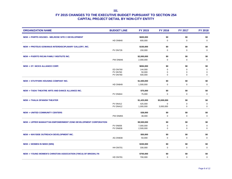| <b>ORGANIZATION NAME</b>                                        | <b>BUDGET LINE</b> | <b>FY 2015</b> | <b>FY 2016</b>     | <b>FY 2017</b>     | <b>FY 2018</b>     |
|-----------------------------------------------------------------|--------------------|----------------|--------------------|--------------------|--------------------|
| NEW -> PHIPPS HOUSES - MELROSE SITE C DEVELOPMENT               |                    | \$600,000      | \$0                | \$0                | \$0                |
|                                                                 | <b>HD DN840</b>    | 600,000        | 0                  | $\mathbf 0$        | $\mathbf 0$        |
| NEW-> PROTEUS GOWANUS INTERDISCIPLINARY GALLERY, INC.           |                    | \$150,000      | \$0                | \$0                | \$0                |
|                                                                 | <b>PV DN726</b>    | 150,000        | 0                  | 0                  | 0                  |
|                                                                 |                    |                |                    |                    |                    |
| <b>NEW -&gt; PUERTO RICAN FAMILY INSITIUTE INC.</b>             |                    | \$2,000,000    | \$0                | \$0                | \$0                |
|                                                                 | <b>PW DN846</b>    | 2,000,000      | 0                  | $\mathbf 0$        | $\mathbf 0$        |
| <b>NEW -&gt; ST. NICKS ALLIANCE CORP.</b>                       |                    | \$694,000      | \$0                | \$0                | \$0                |
|                                                                 | ED DN760           | 144,000        | $\Omega$           | 0                  | 0                  |
|                                                                 | <b>PV 0N760</b>    | 50,000         | 0                  | 0                  | $\pmb{0}$          |
|                                                                 | <b>PV DN760</b>    | 500,000        | 0                  | 0                  | 0                  |
| <b>NEW -&gt; STUYPARK HOUSING COMPANY INC.</b>                  |                    | \$1,500,000    | \$0                | \$0                | \$0                |
|                                                                 | <b>HD DN849</b>    | 1,500,000      | 0                  | $\mathbf 0$        | $\mathbf 0$        |
|                                                                 |                    |                |                    |                    |                    |
| NEW -> TADA! THEATRE ARTS AND DANCE ALLIANCE INC.               |                    | \$75,000       | \$0                | \$0                | \$0                |
|                                                                 | <b>PV DN844</b>    | 75,000         | $\mathbf 0$        | $\mathbf 0$        | $\mathbf 0$        |
| <b>NEW -&gt; THALIA SPANISH THEATER</b>                         |                    | \$1,425,000    | \$3,000,000        | \$0                | \$0                |
|                                                                 | <b>PV 0N412</b>    | 425,000        | $\Omega$           | $\mathbf 0$        | $\mathbf 0$        |
|                                                                 | <b>PV DN412</b>    | 1,000,000      | 3,000,000          | 0                  | $\mathbf 0$        |
| <b>NEW -&gt; UNITED COMMUNITY CENTERS</b>                       |                    | \$38,000       | \$0                | \$0                | \$0                |
|                                                                 | <b>PW DN855</b>    | 38,000         | $\Omega$           | $\mathbf 0$        | $\mathbf 0$        |
|                                                                 |                    |                |                    |                    |                    |
| NEW -> UPPER MANHATTAN EMPOWERMENT ZONE DEVELOPMENT CORPORATION |                    | \$9,500,000    | \$0                | \$0                | \$0                |
|                                                                 | <b>PV 0N836</b>    | 7,000,000      | 0                  | 0                  | 0                  |
|                                                                 | PV DN836           | 2,500,000      | 0                  | $\mathbf 0$        | $\mathbf 0$        |
| <b>NEW -&gt; WAYSIDE OUTREACH DEVELOPMENT INC.</b>              |                    | \$50,000       | \$0                | \$0                | \$0                |
|                                                                 | AG DN838           | 50,000         | $\mathbf 0$        | $\mathbf 0$        | $\mathbf 0$        |
|                                                                 |                    |                |                    |                    |                    |
| <b>NEW -&gt; WOMEN IN NEED (WIN)</b>                            | HH DN701           | \$330,000      | \$0<br>$\mathbf 0$ | \$0<br>$\mathbf 0$ | \$0<br>$\mathbf 0$ |
|                                                                 |                    | 330,000        |                    |                    |                    |
| NEW -> YOUNG WOMEN'S CHRISTIAN ASSOCIATION (YWCA) OF BROOKLYN   |                    | \$700,000      | \$0                | \$0                | \$0                |
|                                                                 | <b>HD DN781</b>    | 700,000        | $\Omega$           | $\Omega$           | $\mathbf 0$        |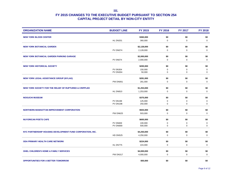| <b>ORGANIZATION NAME</b>                                   | <b>BUDGET LINE</b>                 | <b>FY 2015</b>     | <b>FY 2016</b> | <b>FY 2017</b> | <b>FY 2018</b> |
|------------------------------------------------------------|------------------------------------|--------------------|----------------|----------------|----------------|
| <b>NEW YORK BLOOD CENTER</b>                               |                                    | \$360,000          | \$0            | \$0            | \$0            |
|                                                            | <b>HL DN201</b>                    | 360,000            | $\mathbf 0$    | $\mathbf 0$    | $\mathbf 0$    |
| <b>NEW YORK BOTANICAL GARDEN</b>                           |                                    | \$2,128,000        | \$0            | \$0            | \$0            |
|                                                            | PV DN074                           | 2,128,000          | $\Omega$       | $\mathbf 0$    | $\mathbf 0$    |
|                                                            |                                    |                    |                |                |                |
| NEW YORK BOTANICAL GARDEN PARKING GARAGE                   | <b>PV 0N074</b>                    | \$2,000,000        | \$0            | \$0            | \$0            |
|                                                            |                                    | 2,000,000          | $\mathbf 0$    | $\mathbf 0$    | $\mathbf 0$    |
| <b>NEW YORK HISTORICAL SOCIETY</b>                         |                                    | \$200,000          | \$0            | \$0            | \$0            |
|                                                            | <b>PV 0N304</b>                    | 150,000            | $\Omega$       | 0              | $\mathbf 0$    |
|                                                            | <b>PV DN304</b>                    | 50,000             | 0              | 0              | 0              |
| <b>NEW YORK LEGAL ASSISTANCE GROUP (NYLAG)</b>             |                                    | \$281,000          | \$0            | \$0            | \$0            |
|                                                            | <b>PW DN061</b>                    | 281,000            | 0              | $\mathbf 0$    | $\mathbf 0$    |
| NEW YORK SOCIETY FOR THE RELIEF OF RUPTURED & CRIPPLED     |                                    | \$1,253,000        | \$0            | \$0            | \$0            |
|                                                            | HL DN810                           | 1,253,000          | 0              | $\mathbf 0$    | $\mathbf 0$    |
|                                                            |                                    |                    |                |                |                |
| <b>NOGUCHI MUSEUM</b>                                      |                                    | \$375,000          | \$0            | \$0            | \$0            |
|                                                            | <b>PV 0N198</b><br><b>PV DN198</b> | 125,000<br>250,000 | 0<br>0         | 0<br>$\pmb{0}$ | 0<br>0         |
|                                                            |                                    |                    |                |                |                |
| <b>NORTHERN MANHATTAN IMPROVEMENT CORPORATION</b>          |                                    | \$503,000          | \$0            | \$0            | \$0            |
|                                                            | <b>PW DN625</b>                    | 503,000            | $\mathbf 0$    | 0              | $\pmb{0}$      |
| <b>NUYORICAN POETS CAFE</b>                                |                                    | \$600,000          | \$0            | \$0            | \$0            |
|                                                            | <b>PV 0N669</b>                    | 100,000            | 0              | 0              | $\mathbf 0$    |
|                                                            | PV DN669                           | 500,000            | 0              | $\mathbf 0$    | $\mathbf 0$    |
| NYC PARTNERSHIP HOUSING DEVELOPMENT FUND CORPORATION, INC. |                                    | \$4,250,000        | \$0            | \$0            | \$0            |
|                                                            | <b>HD DN525</b>                    | 4,250,000          | $\mathbf 0$    | $\mathbf 0$    | $\mathbf 0$    |
|                                                            |                                    |                    |                |                |                |
| <b>ODA PRIMARY HEALTH CARE NETWORK</b>                     |                                    | \$224,000          | \$0            | \$0            | \$0            |
|                                                            | HL DN775                           | 224,000            | $\mathbf 0$    | $\mathbf 0$    | $\mathbf 0$    |
| <b>OHEL CHILDREN'S HOME &amp; FAMILY SERVICES</b>          |                                    | \$4,000,000        | \$0            | \$0            | \$0            |
|                                                            | <b>PW DN317</b>                    | 4,000,000          | 0              | $\mathbf 0$    | $\mathbf 0$    |
| OPPORTUNITIES FOR A BETTER TOMORROW                        |                                    | \$50,000           | \$0            | \$0            | \$0            |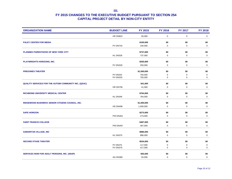| <b>ORGANIZATION NAME</b>                              | <b>BUDGET LINE</b> | <b>FY 2015</b> | <b>FY 2016</b> | FY 2017     | <b>FY 2018</b> |
|-------------------------------------------------------|--------------------|----------------|----------------|-------------|----------------|
|                                                       | <b>HR DN822</b>    | 50,000         | $\mathbf 0$    | $\mathbf 0$ | $\mathbf 0$    |
| <b>PALEY CENTER FOR MEDIA</b>                         |                    | \$100,000      | \$0            | \$0         | \$0            |
|                                                       | <b>PV DN743</b>    | 100,000        | 0              | $\mathbf 0$ | $\pmb{0}$      |
| PLANNED PARENTHOOD OF NEW YORK CITY                   |                    | \$737,000      | \$0            | \$0         | \$0            |
|                                                       | <b>HL DN328</b>    | 737,000        | 0              | 0           | $\mathbf 0$    |
| <b>PLAYWRIGHTS HORIZONS, INC.</b>                     |                    | \$250,000      | \$0            | \$0         | \$0            |
|                                                       | <b>PV DN329</b>    | 250,000        | 0              | $\mathbf 0$ | $\mathbf 0$    |
| <b>PREGONES THEATER</b>                               |                    | \$1,500,000    | \$0            | \$0         | \$0            |
|                                                       | <b>PV 0N333</b>    | 750,000        | 0              | 0           | $\mathbf 0$    |
|                                                       | <b>PV DN333</b>    | 750,000        | 0              | 0           | $\mathbf 0$    |
| QUALITY SERVICES FOR THE AUTISM COMMUNITY INC. (QSAC) |                    | \$41,000       | \$0            | \$0         | \$0            |
|                                                       | <b>HR DN756</b>    | 41,000         | 0              | 0           | $\mathbf 0$    |
| RICHMOND UNIVERSITY MEDICAL CENTER                    |                    | \$764,000      | \$0            | \$0         | \$0            |
|                                                       | HL DN346           | 764,000        | 0              | $\mathbf 0$ | $\mathbf 0$    |
| RIDGEWOOD BUSHWICK SENIOR CITIZENS COUNCIL, INC.      |                    | \$1,000,000    | \$0            | \$0         | \$0            |
|                                                       | <b>HD DN496</b>    | 1,000,000      | 0              | 0           | $\mathbf 0$    |
| <b>SAFE HORIZON</b>                                   |                    | \$273,000      | \$0            | \$0         | \$0            |
|                                                       | <b>PW DN361</b>    | 273,000        | $\mathbf 0$    | $\mathbf 0$ | $\mathbf 0$    |
| <b>SAINT FRANCIS COLLEGE</b>                          |                    | \$487,000      | \$0            | \$0         | \$0            |
|                                                       | <b>PW DN497</b>    | 487,000        | 0              | $\pmb{0}$   | $\pmb{0}$      |
| <b>SAMARITAN VILLAGE, INC</b>                         |                    | \$886,000      | \$0            | \$0         | \$0            |
|                                                       | HL DN370           | 886,000        | $\mathbf 0$    | $\mathbf 0$ | $\mathbf 0$    |
| <b>SECOND STAGE THEATER</b>                           |                    | \$534,000      | \$0            | \$0         | \$0            |
|                                                       | <b>PV 0N375</b>    | 117,000        | 0              | 0           | 0              |
|                                                       | <b>PV DN375</b>    | 417,000        | $\mathbf 0$    | $\mathbf 0$ | $\mathbf 0$    |
| <b>SERVICES NOW FOR ADULT PERSONS, INC. (SNAP)</b>    |                    | \$55,000       | \$0            | \$0         | \$0            |
|                                                       | <b>AG DN380</b>    | 55,000         | $\Omega$       | $\mathbf 0$ | $\mathbf 0$    |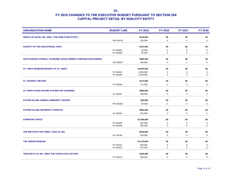| <b>ORGANIZATION NAME</b>                                     | <b>BUDGET LINE</b> | FY 2015     | <b>FY 2016</b> | <b>FY 2017</b> | <b>FY 2018</b> |
|--------------------------------------------------------------|--------------------|-------------|----------------|----------------|----------------|
| SHIELD OF DAVID, INC. (DBA "THE SHIELD INSTITUTE")           |                    | \$218,000   | \$0            | \$0            | \$0            |
|                                                              | <b>PW DN705</b>    | 218,000     | $\mathbf 0$    | $\mathbf 0$    | $\mathbf 0$    |
| SOCIETY OF THE EDUCATIONAL ARTS                              |                    | \$137,000   | \$0            | \$0            | \$0            |
|                                                              | <b>PV 0N694</b>    | 50,000      | 0              | 0              | $\mathbf 0$    |
|                                                              | PV DN694           | 87,000      | 0              | $\mathbf 0$    | $\mathsf 0$    |
| SOUTH BRONX OVERALL ECONOMIC DEVELOPMENT CORPORATION (SOBRO) |                    | \$500,000   | \$0            | \$0            | \$0            |
|                                                              | <b>HD DN503</b>    | 500,000     | $\mathbf 0$    | $\mathbf 0$    | $\mathbf 0$    |
| ST. ANN'S WAREHOUSE/ARTS AT ST. ANN'S                        |                    | \$4,000,000 | \$0            | \$0            | \$0            |
|                                                              | <b>PV 0N362</b>    | 2,000,000   | 0              | $\mathbf 0$    | $\mathbf 0$    |
|                                                              | <b>PV DN362</b>    | 2,000,000   | $\mathbf 0$    | $\mathbf 0$    | $\mathbf 0$    |
| <b>ST. GEORGE THEATER</b>                                    |                    | \$172,000   | \$0            | \$0            | \$0            |
|                                                              | <b>PV DN364</b>    | 172,000     | $\mathbf 0$    | $\mathbf 0$    | $\mathbf 0$    |
| <b>ST. MARY'S HEALTHCARE SYSTEM FOR CHILDREN</b>             |                    | \$469,000   | \$0            | \$0            | \$0            |
|                                                              | HL DN367           | 469,000     | $\mathbf 0$    | $\mathbf 0$    | $\mathbf 0$    |
| <b>STATEN ISLAND JEWISH COMMUNITY CENTER</b>                 |                    | \$50,000    | \$0            | \$0            | \$0            |
|                                                              | <b>PW DN402</b>    | 50,000      | $\mathbf 0$    | $\mathbf 0$    | $\mathbf 0$    |
| <b>STATEN ISLAND UNIVERSITY HOSPITAL</b>                     |                    | \$652,000   | \$0            | \$0            | \$0            |
|                                                              | HL DN404           | 652,000     | $\mathbf 0$    | $\mathbf 0$    | 0              |
| <b>SYMPHONY SPACE</b>                                        |                    | \$1,000,000 | \$0            | \$0            | \$0            |
|                                                              | <b>PV 0N409</b>    | 500,000     | 0              | $\pmb{0}$      | $\mathbf 0$    |
|                                                              | <b>PV DN409</b>    | 500,000     | $\mathbf 0$    | $\mathbf 0$    | 0              |
| THE INSTITUTE FOR FAMILY HEALTH, INC.                        |                    | \$534,000   | \$0            | \$0            | \$0            |
|                                                              | HL DN783           | 534,000     | $\mathbf 0$    | $\mathbf 0$    | $\mathbf 0$    |
| THE JEWISH MUSEUM                                            |                    | \$1,175,000 | \$0            | \$0            | \$0            |
|                                                              | <b>PV 0N423</b>    | 500,000     | 0              | 0              | 0              |
|                                                              | <b>PV DN423</b>    | 675,000     | 0              | $\mathbf 0$    | $\mathbf 0$    |
| THEATER ET AL INC. D/B/A THE CHOCOLATE FACTORY               |                    | \$250,000   | \$0            | \$0            | \$0            |
|                                                              | <b>PV DN413</b>    | 250,000     | $\Omega$       | $\mathbf 0$    | $\mathbf 0$    |